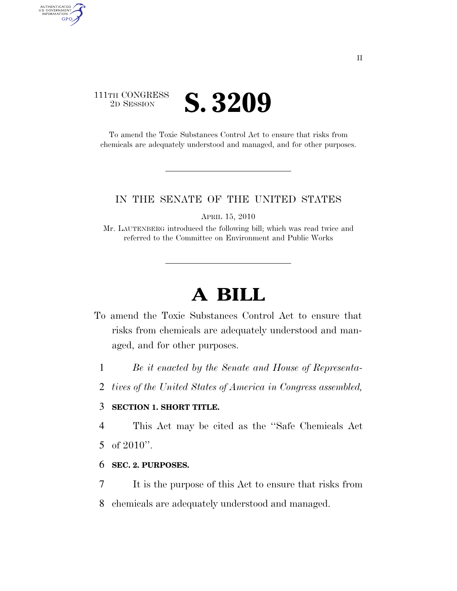## 111TH CONGRESS **2D SESSION S. 3209**

AUTHENTICATED<br>U.S. GOVERNMENT<br>INFORMATION GPO

> To amend the Toxic Substances Control Act to ensure that risks from chemicals are adequately understood and managed, and for other purposes.

#### IN THE SENATE OF THE UNITED STATES

APRIL 15, 2010

Mr. LAUTENBERG introduced the following bill; which was read twice and referred to the Committee on Environment and Public Works

# **A BILL**

- To amend the Toxic Substances Control Act to ensure that risks from chemicals are adequately understood and managed, and for other purposes.
	- 1 *Be it enacted by the Senate and House of Representa-*
	- 2 *tives of the United States of America in Congress assembled,*

### 3 **SECTION 1. SHORT TITLE.**

4 This Act may be cited as the ''Safe Chemicals Act 5 of 2010''.

- 6 **SEC. 2. PURPOSES.**
- 7 It is the purpose of this Act to ensure that risks from
- 8 chemicals are adequately understood and managed.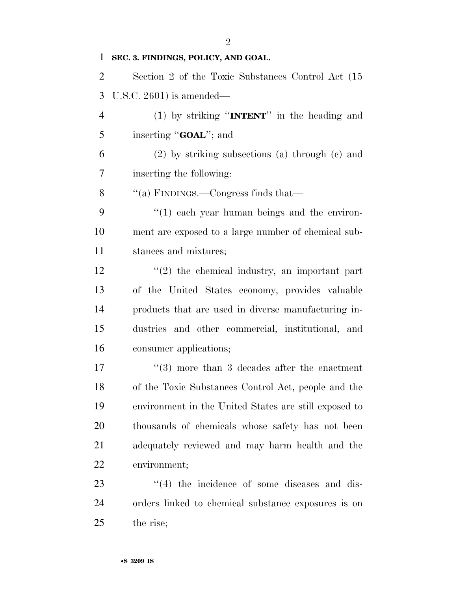**SEC. 3. FINDINGS, POLICY, AND GOAL.**  Section 2 of the Toxic Substances Control Act (15 U.S.C. 2601) is amended— (1) by striking ''**INTENT**'' in the heading and inserting ''**GOAL**''; and (2) by striking subsections (a) through (c) and inserting the following: ''(a) FINDINGS.—Congress finds that— ''(1) each year human beings and the environ- ment are exposed to a large number of chemical sub- stances and mixtures; 12 ''(2) the chemical industry, an important part of the United States economy, provides valuable products that are used in diverse manufacturing in- dustries and other commercial, institutional, and consumer applications; 17 ''(3) more than 3 decades after the enactment of the Toxic Substances Control Act, people and the environment in the United States are still exposed to thousands of chemicals whose safety has not been adequately reviewed and may harm health and the environment;  $\frac{1}{4}$  the incidence of some diseases and dis-orders linked to chemical substance exposures is on

the rise;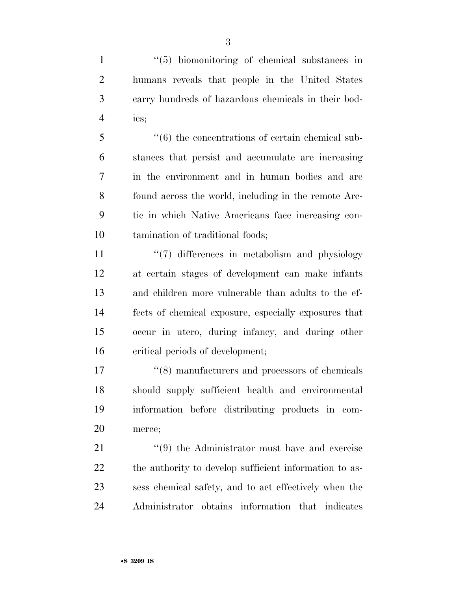1 ''(5) biomonitoring of chemical substances in humans reveals that people in the United States carry hundreds of hazardous chemicals in their bod-ies;

 ''(6) the concentrations of certain chemical sub- stances that persist and accumulate are increasing in the environment and in human bodies and are found across the world, including in the remote Arc- tic in which Native Americans face increasing con-tamination of traditional foods;

 $\frac{1}{2}$   $\frac{1}{2}$  differences in metabolism and physiology at certain stages of development can make infants and children more vulnerable than adults to the ef- fects of chemical exposure, especially exposures that occur in utero, during infancy, and during other critical periods of development;

 $\frac{17}{2}$  (8) manufacturers and processors of chemicals should supply sufficient health and environmental information before distributing products in com-merce;

21 ''(9) the Administrator must have and exercise 22 the authority to develop sufficient information to as- sess chemical safety, and to act effectively when the Administrator obtains information that indicates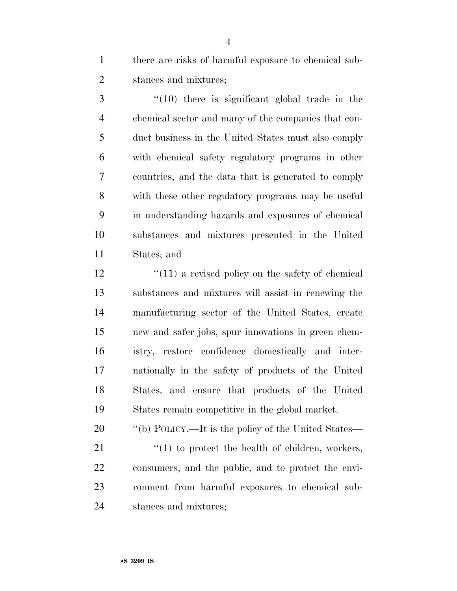there are risks of harmful exposure to chemical sub-stances and mixtures;

 ''(10) there is significant global trade in the chemical sector and many of the companies that con- duct business in the United States must also comply with chemical safety regulatory programs in other countries, and the data that is generated to comply with these other regulatory programs may be useful in understanding hazards and exposures of chemical substances and mixtures presented in the United States; and

12 ''(11) a revised policy on the safety of chemical substances and mixtures will assist in renewing the manufacturing sector of the United States, create new and safer jobs, spur innovations in green chem- istry, restore confidence domestically and inter- nationally in the safety of products of the United States, and ensure that products of the United States remain competitive in the global market.

20  $\qquad$  "(b) POLICY.—It is the policy of the United States—

 ''(1) to protect the health of children, workers, consumers, and the public, and to protect the envi- ronment from harmful exposures to chemical sub-stances and mixtures;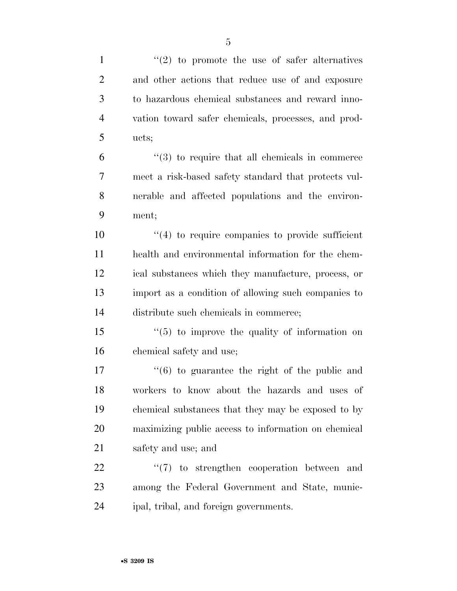| $\mathbf{1}$   | $\lq(2)$ to promote the use of safer alternatives              |
|----------------|----------------------------------------------------------------|
| $\overline{2}$ | and other actions that reduce use of and exposure              |
| 3              | to hazardous chemical substances and reward inno-              |
| $\overline{4}$ | vation toward safer chemicals, processes, and prod-            |
| 5              | ucts;                                                          |
| 6              | $\lq(3)$ to require that all chemicals in commerce             |
| 7              | meet a risk-based safety standard that protects vul-           |
| 8              | nerable and affected populations and the environ-              |
| 9              | ment;                                                          |
| 10             | $"(4)$ to require companies to provide sufficient              |
| 11             | health and environmental information for the chem-             |
| 12             | ical substances which they manufacture, process, or            |
| 13             | import as a condition of allowing such companies to            |
| 14             | distribute such chemicals in commerce;                         |
| 15             | $\cdot$ (5) to improve the quality of information on           |
| 16             | chemical safety and use;                                       |
| 17             | $\cdot\cdot\cdot$ (6) to guarantee the right of the public and |
| 18             | workers to know about the hazards and uses of                  |
| 19             | chemical substances that they may be exposed to by             |
| 20             | maximizing public access to information on chemical            |
| 21             | safety and use; and                                            |
| 22             | $\lq(7)$ to strengthen cooperation between and                 |
| 23             | among the Federal Government and State, munic-                 |
| 24             | ipal, tribal, and foreign governments.                         |
|                |                                                                |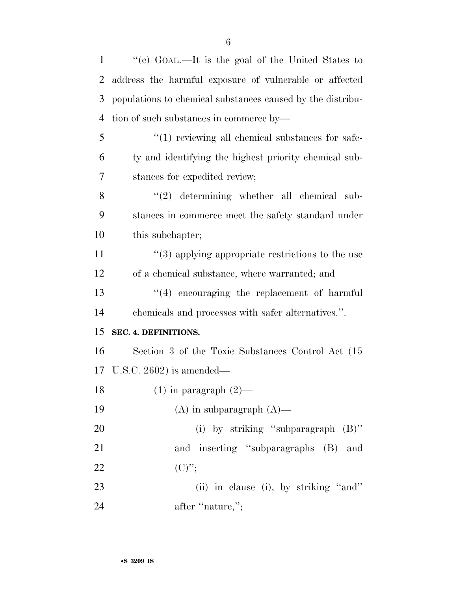| 2              | address the harmful exposure of vulnerable or affected     |
|----------------|------------------------------------------------------------|
| 3              | populations to chemical substances caused by the distribu- |
| $\overline{4}$ | tion of such substances in commerce by—                    |
| 5              | $"(1)$ reviewing all chemical substances for safe-         |
| 6              | ty and identifying the highest priority chemical sub-      |
| $\overline{7}$ | stances for expedited review;                              |
| 8              | $(2)$ determining whether all chemical sub-                |
| 9              | stances in commerce meet the safety standard under         |
| 10             | this subchapter;                                           |
| 11             | $\cdot$ (3) applying appropriate restrictions to the use   |
| 12             | of a chemical substance, where warranted; and              |
| 13             | "(4) encouraging the replacement of harmful                |
| 14             | chemicals and processes with safer alternatives.".         |
| 15             | SEC. 4. DEFINITIONS.                                       |
| 16             | Section 3 of the Toxic Substances Control Act (15          |
| 17             | U.S.C. $2602$ ) is amended—                                |
| 18             | $(1)$ in paragraph $(2)$ —                                 |
| 19             | $(A)$ in subparagraph $(A)$                                |
| 20             | (i) by striking "subparagraph (B)"                         |
| 21             | and inserting "subparagraphs (B) and                       |
| 22             | $(C)$ ";                                                   |
| 23             | (ii) in clause (i), by striking "and"                      |
| 24             | after "nature,";                                           |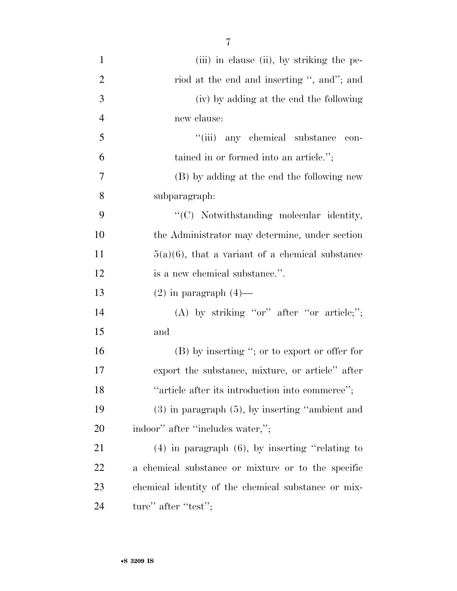| $\mathbf{1}$   | (iii) in clause (ii), by striking the pe-            |
|----------------|------------------------------------------------------|
| $\overline{2}$ | riod at the end and inserting ", and"; and           |
| 3              | (iv) by adding at the end the following              |
| $\overline{4}$ | new clause:                                          |
| 5              | "(iii) any chemical substance<br>con-                |
| 6              | tained in or formed into an article.";               |
| 7              | (B) by adding at the end the following new           |
| 8              | subparagraph:                                        |
| 9              | "(C) Notwithstanding molecular identity,             |
| 10             | the Administrator may determine, under section       |
| 11             | $5(a)(6)$ , that a variant of a chemical substance   |
| 12             | is a new chemical substance.".                       |
| 13             | $(2)$ in paragraph $(4)$ —                           |
| 14             | (A) by striking "or" after "or article;";            |
| 15             | and                                                  |
| 16             | $(B)$ by inserting "; or to export or offer for      |
| 17             | export the substance, mixture, or article" after     |
| 18             | "article after its introduction into commerce";      |
| 19             | $(3)$ in paragraph $(5)$ , by inserting "ambient and |
| 20             | indoor" after "includes water,";                     |
| 21             | $(4)$ in paragraph $(6)$ , by inserting "relating to |
| 22             | a chemical substance or mixture or to the specific   |
| 23             | chemical identity of the chemical substance or mix-  |
| 24             | ture" after "test";                                  |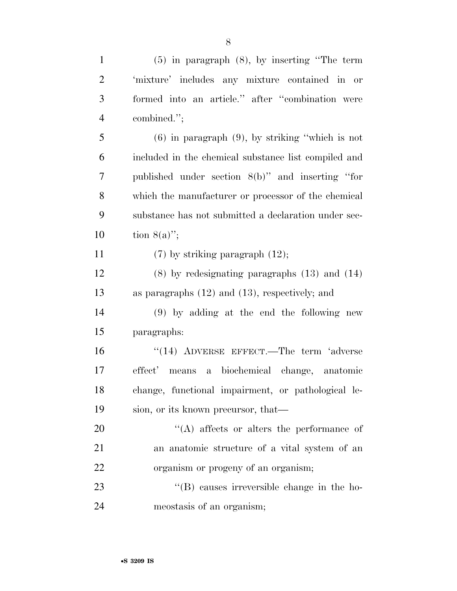| $\mathbf{1}$   | $(5)$ in paragraph $(8)$ , by inserting "The term    |
|----------------|------------------------------------------------------|
| $\overline{2}$ | 'mixture' includes any mixture contained in or       |
| 3              | formed into an article." after "combination were     |
| $\overline{4}$ | combined.";                                          |
| 5              | $(6)$ in paragraph $(9)$ , by striking "which is not |
| 6              | included in the chemical substance list compiled and |
| 7              | published under section 8(b)" and inserting "for     |
| 8              | which the manufacturer or processor of the chemical  |
| 9              | substance has not submitted a declaration under sec- |
| 10             | tion $8(a)$ ";                                       |
| 11             | $(7)$ by striking paragraph $(12)$ ;                 |
| 12             | $(8)$ by redesignating paragraphs $(13)$ and $(14)$  |
| 13             | as paragraphs $(12)$ and $(13)$ , respectively; and  |
| 14             | $(9)$ by adding at the end the following new         |
| 15             | paragraphs:                                          |
| 16             | $((14)$ ADVERSE EFFECT.—The term 'adverse            |
| 17             | effect' means a biochemical change, anatomic         |
| 18             | change, functional impairment, or pathological le-   |
| 19             | sion, or its known precursor, that—                  |
| 20             | $\lq\lq$ affects or alters the performance of        |
| 21             | an anatomic structure of a vital system of an        |
| 22             | organism or progeny of an organism;                  |
| 23             | $\lq\lq$ causes irreversible change in the ho-       |
| 24             | meostasis of an organism;                            |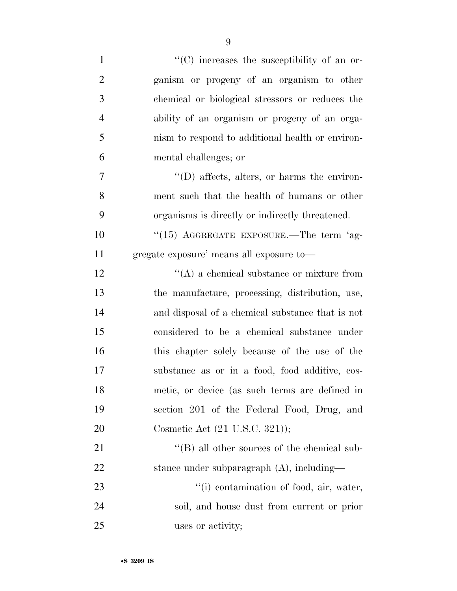| $\mathbf{1}$   | $\lq\lq$ increases the susceptibility of an or-     |
|----------------|-----------------------------------------------------|
| $\overline{2}$ | ganism or progeny of an organism to other           |
| 3              | chemical or biological stressors or reduces the     |
| $\overline{4}$ | ability of an organism or progeny of an orga-       |
| 5              | nism to respond to additional health or environ-    |
| 6              | mental challenges; or                               |
| 7              | $\lq\lq$ (D) affects, alters, or harms the environ- |
| 8              | ment such that the health of humans or other        |
| 9              | organisms is directly or indirectly threatened.     |
| 10             | "(15) AGGREGATE EXPOSURE.—The term 'ag-             |
| 11             | gregate exposure' means all exposure to-            |
| 12             | $\lq\lq$ a chemical substance or mixture from       |
| 13             | the manufacture, processing, distribution, use,     |
| 14             | and disposal of a chemical substance that is not    |
| 15             | considered to be a chemical substance under         |
| 16             | this chapter solely because of the use of the       |
| 17             | substance as or in a food, food additive, cos-      |
| 18             | metic, or device (as such terms are defined in      |
| 19             | section 201 of the Federal Food, Drug, and          |
| 20             | Cosmetic Act (21 U.S.C. 321));                      |
| 21             | $\lq\lq (B)$ all other sources of the chemical sub- |
| 22             | stance under subparagraph (A), including—           |
| 23             | "(i) contamination of food, air, water,             |
| 24             | soil, and house dust from current or prior          |
| 25             | uses or activity;                                   |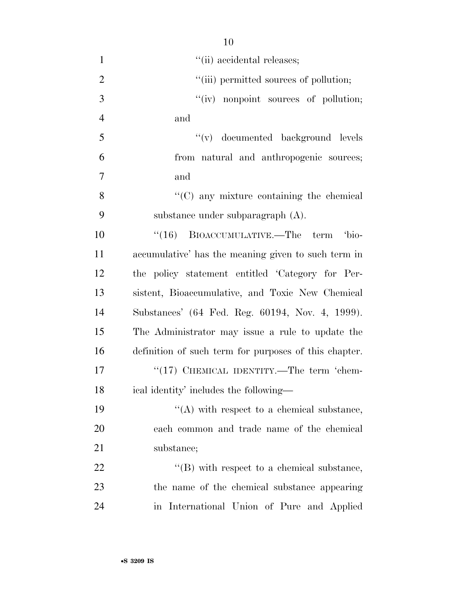| $\mathbf{1}$   | "(ii) accidental releases;                            |
|----------------|-------------------------------------------------------|
| $\overline{2}$ | "(iii) permitted sources of pollution;                |
| 3              | "(iv) nonpoint sources of pollution;                  |
| $\overline{4}$ | and                                                   |
| 5              | "(v) documented background levels                     |
| 6              | from natural and anthropogenic sources;               |
| $\overline{7}$ | and                                                   |
| 8              | $\cdot$ (C) any mixture containing the chemical       |
| 9              | substance under subparagraph $(A)$ .                  |
| 10             | $\cdot$ (16) BIOACCUMULATIVE.—The term<br>'bio-       |
| 11             | accumulative' has the meaning given to such term in   |
| 12             | the policy statement entitled 'Category for Per-      |
| 13             | sistent, Bioaccumulative, and Toxic New Chemical      |
| 14             | Substances' (64 Fed. Reg. 60194, Nov. 4, 1999).       |
| 15             | The Administrator may issue a rule to update the      |
| 16             | definition of such term for purposes of this chapter. |
| 17             | "(17) CHEMICAL IDENTITY.—The term 'chem-              |
| 18             | ical identity' includes the following—                |
| 19             | $\lq\lq$ with respect to a chemical substance,        |
| 20             | each common and trade name of the chemical            |
| 21             | substance;                                            |
| 22             | $\lq\lq$ (B) with respect to a chemical substance,    |
| 23             | the name of the chemical substance appearing          |
| 24             | in International Union of Pure and Applied            |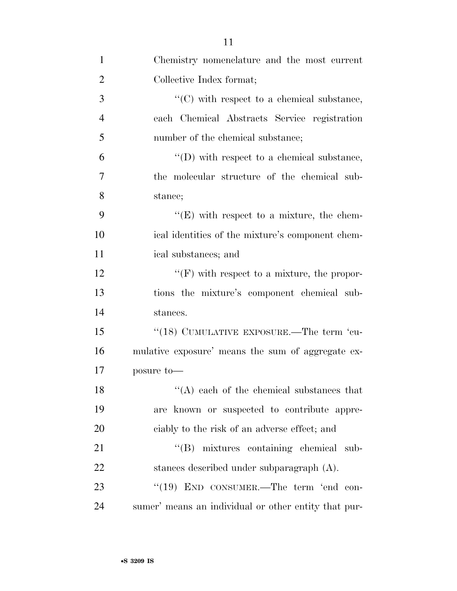| $\mathbf{1}$   | Chemistry nomenclature and the most current          |
|----------------|------------------------------------------------------|
| $\overline{2}$ | Collective Index format;                             |
| 3              | $\lq\lq$ (C) with respect to a chemical substance,   |
| $\overline{4}$ | each Chemical Abstracts Service registration         |
| 5              | number of the chemical substance;                    |
| 6              | $\lq\lq$ (D) with respect to a chemical substance,   |
| 7              | the molecular structure of the chemical sub-         |
| 8              | stance;                                              |
| 9              | $\lq\lq(E)$ with respect to a mixture, the chem-     |
| 10             | ical identities of the mixture's component chem-     |
| 11             | ical substances; and                                 |
| 12             | $\lq\lq(F)$ with respect to a mixture, the propor-   |
| 13             | tions the mixture's component chemical sub-          |
| 14             | stances.                                             |
| 15             | "(18) CUMULATIVE EXPOSURE.—The term 'cu-             |
| 16             | mulative exposure' means the sum of aggregate ex-    |
| 17             | posure to-                                           |
| 18             | $H(A)$ each of the chemical substances that          |
| 19             | are known or suspected to contribute appre-          |
| 20             | ciably to the risk of an adverse effect; and         |
| 21             | "(B) mixtures containing chemical sub-               |
| 22             | stances described under subparagraph $(A)$ .         |
| 23             | "(19) END CONSUMER.—The term 'end con-               |
| 24             | sumer' means an individual or other entity that pur- |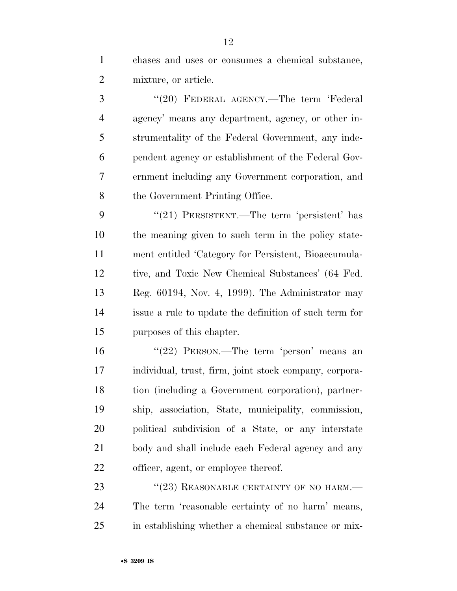chases and uses or consumes a chemical substance, mixture, or article.

 ''(20) FEDERAL AGENCY.—The term 'Federal agency' means any department, agency, or other in- strumentality of the Federal Government, any inde- pendent agency or establishment of the Federal Gov- ernment including any Government corporation, and the Government Printing Office.

9 "(21) PERSISTENT.—The term 'persistent' has the meaning given to such term in the policy state- ment entitled 'Category for Persistent, Bioaccumula- tive, and Toxic New Chemical Substances' (64 Fed. Reg. 60194, Nov. 4, 1999). The Administrator may issue a rule to update the definition of such term for purposes of this chapter.

 ''(22) PERSON.—The term 'person' means an individual, trust, firm, joint stock company, corpora- tion (including a Government corporation), partner- ship, association, State, municipality, commission, political subdivision of a State, or any interstate body and shall include each Federal agency and any officer, agent, or employee thereof.

23 "(23) REASONABLE CERTAINTY OF NO HARM.— The term 'reasonable certainty of no harm' means, in establishing whether a chemical substance or mix-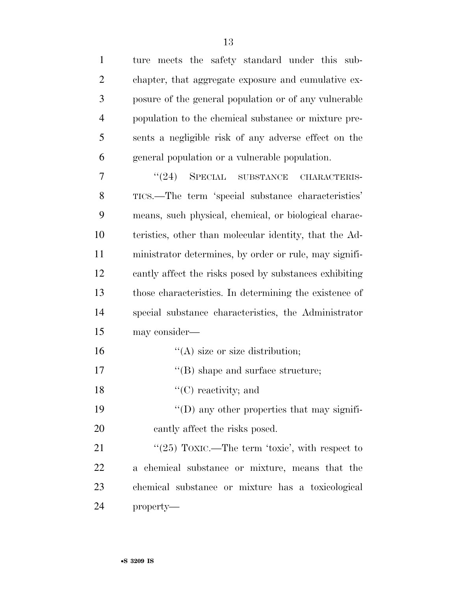| $\mathbf{1}$   | meets the safety standard under this sub-<br>ture      |
|----------------|--------------------------------------------------------|
| $\overline{2}$ | chapter, that aggregate exposure and cumulative ex-    |
| 3              | posure of the general population or of any vulnerable  |
| $\overline{4}$ | population to the chemical substance or mixture pre-   |
| 5              | sents a negligible risk of any adverse effect on the   |
| 6              | general population or a vulnerable population.         |
| 7              | $\frac{1}{24}$ SPECIAL<br>SUBSTANCE<br>CHARACTERIS-    |
| 8              | TICS.—The term 'special substance characteristics'     |
| 9              | means, such physical, chemical, or biological charac-  |
| 10             | teristics, other than molecular identity, that the Ad- |
| 11             | ministrator determines, by order or rule, may signifi- |
| 12             | cantly affect the risks posed by substances exhibiting |
| 13             | those characteristics. In determining the existence of |
| 14             | special substance characteristics, the Administrator   |
| 15             | may consider—                                          |
| 16             | $\lq\lq$ size or size distribution;                    |
| 17             | $\lq\lq$ (B) shape and surface structure;              |
| 18             | $\lq\lq$ (C) reactivity; and                           |
| 19             | $\lq\lq$ (D) any other properties that may signifi-    |
| 20             | cantly affect the risks posed.                         |
| 21             | " $(25)$ TOXIC.—The term 'toxic', with respect to      |
| 22             | a chemical substance or mixture, means that the        |
| 23             | chemical substance or mixture has a toxicological      |
| 24             | property-                                              |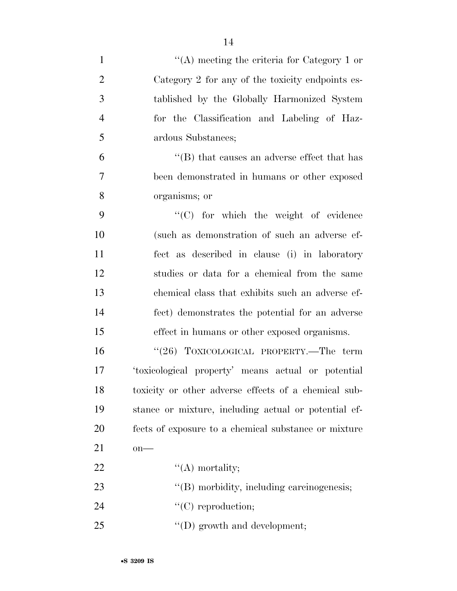| $\mathbf{1}$   | "(A) meeting the criteria for Category 1 or          |
|----------------|------------------------------------------------------|
| $\overline{2}$ | Category 2 for any of the toxicity endpoints es-     |
| 3              | tablished by the Globally Harmonized System          |
| $\overline{4}$ | for the Classification and Labeling of Haz-          |
| 5              | ardous Substances;                                   |
| 6              | $\lq$ (B) that causes an adverse effect that has     |
| $\overline{7}$ | been demonstrated in humans or other exposed         |
| 8              | organisms; or                                        |
| 9              | $\lq\lq$ (C) for which the weight of evidence        |
| 10             | (such as demonstration of such an adverse ef-        |
| 11             | fect as described in clause (i) in laboratory        |
| 12             | studies or data for a chemical from the same         |
| 13             | chemical class that exhibits such an adverse ef-     |
| 14             | fect) demonstrates the potential for an adverse      |
| 15             | effect in humans or other exposed organisms.         |
| 16             | "(26) TOXICOLOGICAL PROPERTY.—The term               |
| 17             | 'toxicological property' means actual or potential   |
| 18             | toxicity or other adverse effects of a chemical sub- |
| 19             | stance or mixture, including actual or potential ef- |
| 20             | fects of exposure to a chemical substance or mixture |
| 21             | $on$ —                                               |
| 22             | $\lq\lq$ mortality;                                  |
| 23             | "(B) morbidity, including carcinogenesis;            |
| 24             | $\lq\lq$ reproduction;                               |
| 25             | $\lq\lq$ (D) growth and development;                 |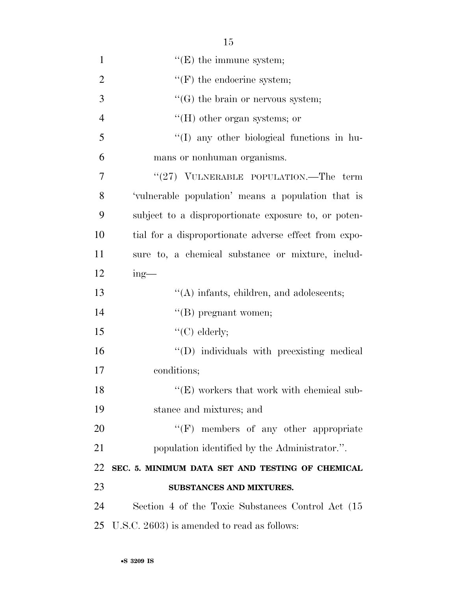| $\mathbf{1}$   | $\lq\lq(E)$ the immune system;                        |
|----------------|-------------------------------------------------------|
| $\overline{2}$ | $\lq\lq(F)$ the endocrine system;                     |
| 3              | $\lq\lq(G)$ the brain or nervous system;              |
| $\overline{4}$ | $\lq\lq (H)$ other organ systems; or                  |
| 5              | "(I) any other biological functions in hu-            |
| 6              | mans or nonhuman organisms.                           |
| 7              | " $(27)$ VULNERABLE POPULATION.—The term              |
| 8              | 'vulnerable population' means a population that is    |
| 9              | subject to a disproportionate exposure to, or poten-  |
| 10             | tial for a disproportionate adverse effect from expo- |
| 11             | sure to, a chemical substance or mixture, includ-     |
| 12             | $ing$ —                                               |
| 13             | $\lq\lq$ infants, children, and adolescents;          |
| 14             | $\lq\lq$ (B) pregnant women;                          |
| 15             | " $(C)$ elderly;                                      |
| 16             | "(D) individuals with preexisting medical             |
| 17             | conditions;                                           |
| 18             | $\lq\lq$ (E) workers that work with chemical sub-     |
| 19             | stance and mixtures; and                              |
| 20             | $\lq\lq(F)$ members of any other appropriate          |
| 21             | population identified by the Administrator.".         |
| 22             | SEC. 5. MINIMUM DATA SET AND TESTING OF CHEMICAL      |
| 23             | SUBSTANCES AND MIXTURES.                              |
| 24             | Section 4 of the Toxic Substances Control Act (15     |
| 25             | U.S.C. 2603) is amended to read as follows:           |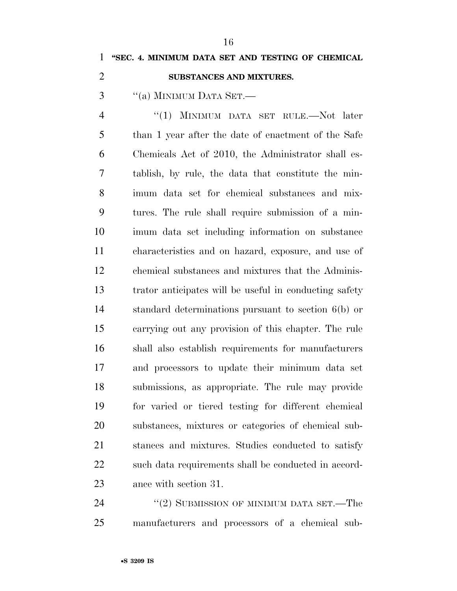### **''SEC. 4. MINIMUM DATA SET AND TESTING OF CHEMICAL**

#### **SUBSTANCES AND MIXTURES.**

"(a) MINIMUM DATA SET.—

 ''(1) MINIMUM DATA SET RULE.—Not later than 1 year after the date of enactment of the Safe Chemicals Act of 2010, the Administrator shall es- tablish, by rule, the data that constitute the min- imum data set for chemical substances and mix- tures. The rule shall require submission of a min- imum data set including information on substance characteristics and on hazard, exposure, and use of chemical substances and mixtures that the Adminis- trator anticipates will be useful in conducting safety standard determinations pursuant to section 6(b) or carrying out any provision of this chapter. The rule shall also establish requirements for manufacturers and processors to update their minimum data set submissions, as appropriate. The rule may provide for varied or tiered testing for different chemical substances, mixtures or categories of chemical sub- stances and mixtures. Studies conducted to satisfy 22 such data requirements shall be conducted in accord-ance with section 31.

24 ''(2) SUBMISSION OF MINIMUM DATA SET.—The manufacturers and processors of a chemical sub-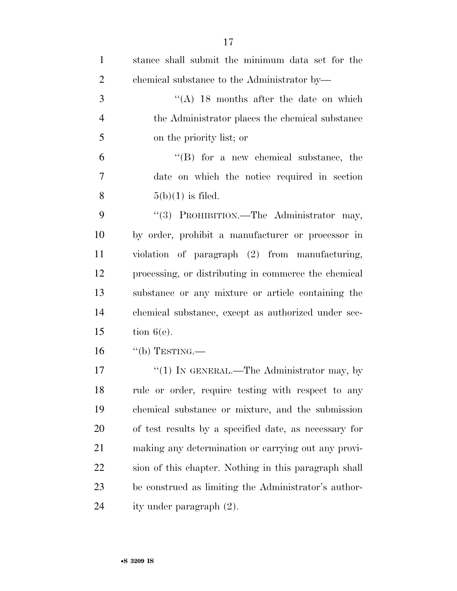| $\mathbf{1}$   | stance shall submit the minimum data set for the      |
|----------------|-------------------------------------------------------|
| $\overline{2}$ | chemical substance to the Administrator by-           |
| 3              | "(A) 18 months after the date on which                |
| $\overline{4}$ | the Administrator places the chemical substance       |
| 5              | on the priority list; or                              |
| 6              | $\lq\lq$ for a new chemical substance, the            |
| $\overline{7}$ | date on which the notice required in section          |
| 8              | $5(b)(1)$ is filed.                                   |
| 9              | "(3) PROHIBITION.—The Administrator may,              |
| 10             | by order, prohibit a manufacturer or processor in     |
| 11             | violation of paragraph (2) from manufacturing,        |
| 12             | processing, or distributing in commerce the chemical  |
| 13             | substance or any mixture or article containing the    |
| 14             | chemical substance, except as authorized under sec-   |
| 15             | tion $6(e)$ .                                         |
| 16             | $``$ (b) TESTING.—                                    |
| 17             | " $(1)$ In GENERAL.—The Administrator may, by         |
| 18             | rule or order, require testing with respect to any    |
| 19             | chemical substance or mixture, and the submission     |
| 20             | of test results by a specified date, as necessary for |
| 21             | making any determination or carrying out any provi-   |
| 22             | sion of this chapter. Nothing in this paragraph shall |
| 23             | be construed as limiting the Administrator's author-  |
| 24             | ity under paragraph (2).                              |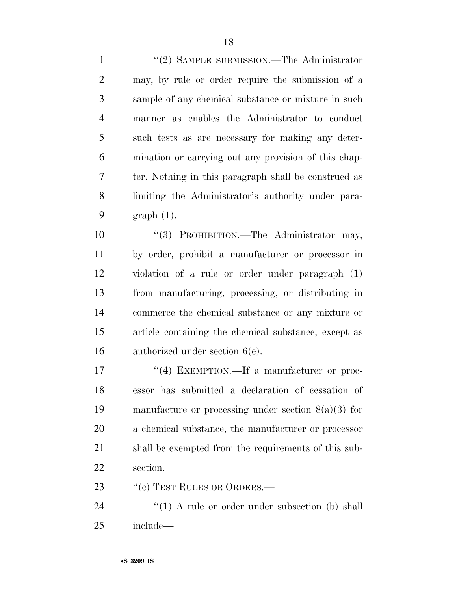1 ''(2) SAMPLE SUBMISSION.—The Administrator may, by rule or order require the submission of a sample of any chemical substance or mixture in such manner as enables the Administrator to conduct such tests as are necessary for making any deter- mination or carrying out any provision of this chap- ter. Nothing in this paragraph shall be construed as limiting the Administrator's authority under para-graph (1).

 $(3)$  PROHIBITION.—The Administrator may, by order, prohibit a manufacturer or processor in violation of a rule or order under paragraph (1) from manufacturing, processing, or distributing in commerce the chemical substance or any mixture or article containing the chemical substance, except as authorized under section 6(e).

 $\frac{17}{2}$  EXEMPTION.—If a manufacturer or proc- essor has submitted a declaration of cessation of manufacture or processing under section 8(a)(3) for a chemical substance, the manufacturer or processor shall be exempted from the requirements of this sub-section.

23 "(c) TEST RULES OR ORDERS.—

24 ''(1) A rule or order under subsection (b) shall include—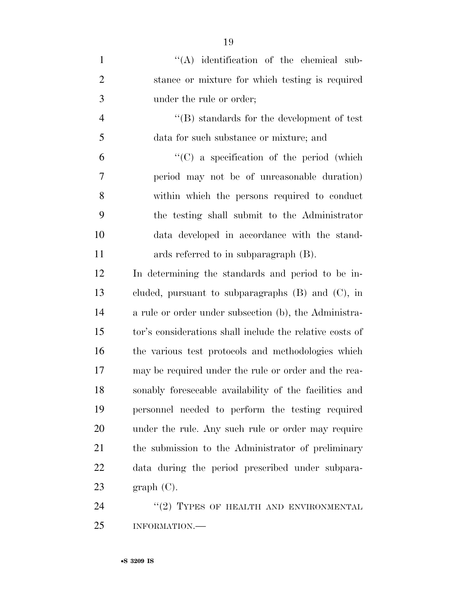| $\mathbf{1}$   | $\lq\lq$ identification of the chemical sub-             |
|----------------|----------------------------------------------------------|
| $\overline{2}$ | stance or mixture for which testing is required          |
| 3              | under the rule or order;                                 |
| $\overline{4}$ | $\lq\lq (B)$ standards for the development of test       |
| 5              | data for such substance or mixture; and                  |
| 6              | $\lq\lq$ (C) a specification of the period (which        |
| 7              | period may not be of unreasonable duration)              |
| 8              | within which the persons required to conduct             |
| 9              | the testing shall submit to the Administrator            |
| 10             | data developed in accordance with the stand-             |
| 11             | ards referred to in subparagraph (B).                    |
| 12             | In determining the standards and period to be in-        |
| 13             | cluded, pursuant to subparagraphs $(B)$ and $(C)$ , in   |
| 14             | a rule or order under subsection (b), the Administra-    |
| 15             | tor's considerations shall include the relative costs of |
| 16             | the various test protocols and methodologies which       |
| 17             | may be required under the rule or order and the rea-     |
| 18             | sonably foreseeable availability of the facilities and   |
| 19             | personnel needed to perform the testing required         |
| 20             | under the rule. Any such rule or order may require       |
| 21             | the submission to the Administrator of preliminary       |
| 22             | data during the period prescribed under subpara-         |
| 23             | graph(C).                                                |
| 24             | $"(2)$ TYPES OF HEALTH AND ENVIRONMENTAL                 |

INFORMATION.—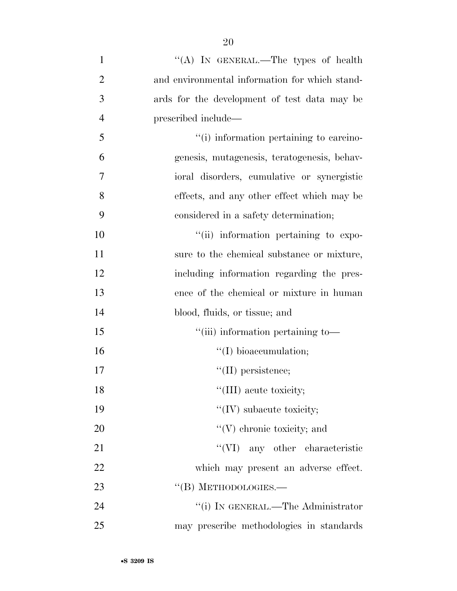| $\mathbf{1}$   | "(A) IN GENERAL.—The types of health           |
|----------------|------------------------------------------------|
| $\overline{2}$ | and environmental information for which stand- |
| 3              | ards for the development of test data may be   |
| $\overline{4}$ | prescribed include—                            |
| 5              | "(i) information pertaining to carcino-        |
| 6              | genesis, mutagenesis, teratogenesis, behav-    |
| 7              | ioral disorders, cumulative or synergistic     |
| 8              | effects, and any other effect which may be     |
| 9              | considered in a safety determination;          |
| 10             | "(ii) information pertaining to expo-          |
| 11             | sure to the chemical substance or mixture,     |
| 12             | including information regarding the pres-      |
| 13             | ence of the chemical or mixture in human       |
| 14             | blood, fluids, or tissue; and                  |
| 15             | "(iii) information pertaining to-              |
| 16             | $\lq\lq$ (I) bioaccumulation;                  |
| 17             | $\lq\lq$ (II) persistence;                     |
| 18             | "(III) acute toxicity;                         |
| 19             | "(IV) subacute toxicity;                       |
| 20             | $\lq\lq$ (V) chronic toxicity; and             |
| 21             | "(VI) any other characteristic                 |
| 22             | which may present an adverse effect.           |
| 23             | $\lq\lq$ (B) METHODOLOGIES.—                   |
| 24             | "(i) IN GENERAL.—The Administrator             |
| 25             | may prescribe methodologies in standards       |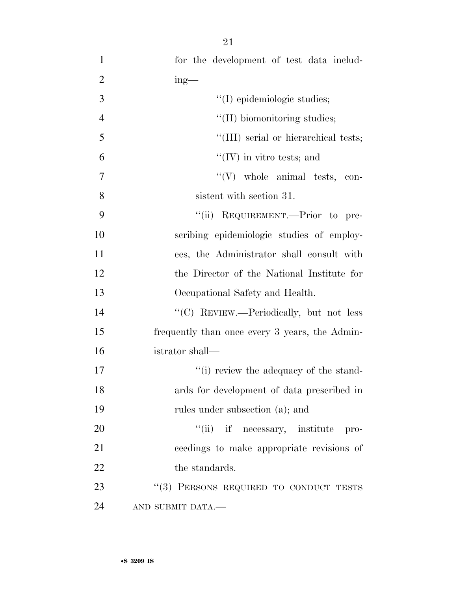| $\mathbf{1}$   | for the development of test data includ-       |
|----------------|------------------------------------------------|
| $\overline{2}$ | $ing$ —                                        |
| 3              | "(I) epidemiologic studies;                    |
| $\overline{4}$ | $\lq\lq$ (II) biomonitoring studies;           |
| 5              | "(III) serial or hierarchical tests;           |
| 6              | $\lq\lq$ (IV) in vitro tests; and              |
| $\overline{7}$ | $``(V)$ whole animal tests, con-               |
| 8              | sistent with section 31.                       |
| 9              | "(ii) REQUIREMENT.—Prior to pre-               |
| 10             | scribing epidemiologic studies of employ-      |
| 11             | ees, the Administrator shall consult with      |
| 12             | the Director of the National Institute for     |
| 13             | Occupational Safety and Health.                |
| 14             | "(C) REVIEW.—Periodically, but not less        |
| 15             | frequently than once every 3 years, the Admin- |
| 16             | istrator shall—                                |
| 17             | "(i) review the adequacy of the stand-         |
| 18             | ards for development of data prescribed in     |
| 19             | rules under subsection (a); and                |
| 20             | "(ii) if necessary, institute pro-             |
| 21             | ceedings to make appropriate revisions of      |
| 22             | the standards.                                 |
| 23             | "(3) PERSONS REQUIRED TO CONDUCT TESTS         |
| 24             | AND SUBMIT DATA.-                              |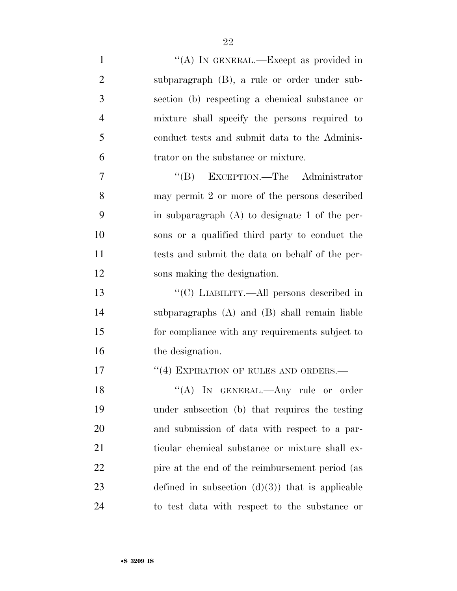| $\mathbf{1}$   | "(A) IN GENERAL.—Except as provided in            |
|----------------|---------------------------------------------------|
| $\overline{2}$ | subparagraph (B), a rule or order under sub-      |
| 3              | section (b) respecting a chemical substance or    |
| $\overline{4}$ | mixture shall specify the persons required to     |
| 5              | conduct tests and submit data to the Adminis-     |
| 6              | trator on the substance or mixture.               |
| 7              | "(B) EXCEPTION.—The Administrator                 |
| 8              | may permit 2 or more of the persons described     |
| 9              | in subparagraph $(A)$ to designate 1 of the per-  |
| 10             | sons or a qualified third party to conduct the    |
| 11             | tests and submit the data on behalf of the per-   |
| 12             | sons making the designation.                      |
| 13             | "(C) LIABILITY.—All persons described in          |
| 14             | subparagraphs $(A)$ and $(B)$ shall remain liable |
| 15             | for compliance with any requirements subject to   |
| 16             | the designation.                                  |
| 17             | "(4) EXPIRATION OF RULES AND ORDERS.-             |
| 18             | "(A) IN GENERAL.—Any rule or order                |
| 19             | under subsection (b) that requires the testing    |
| 20             | and submission of data with respect to a par-     |
| 21             | ticular chemical substance or mixture shall ex-   |
| 22             | pire at the end of the reimbursement period (as   |
| 23             | defined in subsection $(d)(3)$ that is applicable |
| 24             | to test data with respect to the substance or     |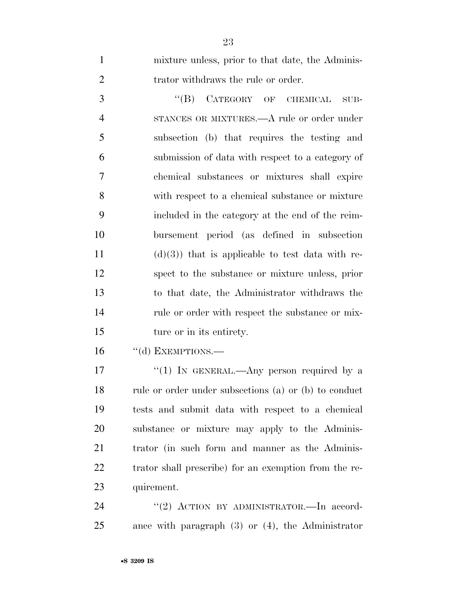| $\mathbf{1}$   | mixture unless, prior to that date, the Adminis-  |
|----------------|---------------------------------------------------|
| $\overline{2}$ | trator withdraws the rule or order.               |
| 3              | "(B) CATEGORY OF CHEMICAL<br>$SUB-$               |
| $\overline{4}$ | STANCES OR MIXTURES.—A rule or order under        |
| 5              | subsection (b) that requires the testing and      |
| 6              | submission of data with respect to a category of  |
| 7              | chemical substances or mixtures shall expire      |
| 8              | with respect to a chemical substance or mixture   |
| 9              | included in the category at the end of the reim-  |
| 10             | bursement period (as defined in subsection        |
| 11             | $(d)(3)$ that is applicable to test data with re- |
| 12             | spect to the substance or mixture unless, prior   |
| 13             | to that date, the Administrator withdraws the     |
| 14             | rule or order with respect the substance or mix-  |
| 15             | ture or in its entirety.                          |
|                |                                                   |

16 "(d) EXEMPTIONS.—

17 "(1) IN GENERAL.—Any person required by a 18 rule or order under subsections (a) or (b) to conduct tests and submit data with respect to a chemical substance or mixture may apply to the Adminis- trator (in such form and manner as the Adminis- trator shall prescribe) for an exemption from the re-quirement.

24 ''(2) ACTION BY ADMINISTRATOR. In accord-ance with paragraph (3) or (4), the Administrator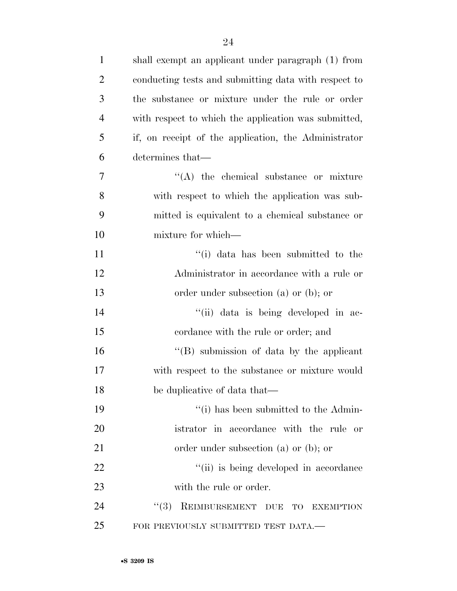| $\mathbf{1}$   | shall exempt an applicant under paragraph (1) from   |
|----------------|------------------------------------------------------|
| $\overline{2}$ | conducting tests and submitting data with respect to |
| 3              | the substance or mixture under the rule or order     |
| $\overline{4}$ | with respect to which the application was submitted, |
| 5              | if, on receipt of the application, the Administrator |
| 6              | determines that—                                     |
| $\overline{7}$ | $\lq\lq$ the chemical substance or mixture           |
| 8              | with respect to which the application was sub-       |
| 9              | mitted is equivalent to a chemical substance or      |
| 10             | mixture for which—                                   |
| 11             | "(i) data has been submitted to the                  |
| 12             | Administrator in accordance with a rule or           |
| 13             | order under subsection $(a)$ or $(b)$ ; or           |
| 14             | "(ii) data is being developed in ac-                 |
| 15             | cordance with the rule or order; and                 |
| 16             | $\lq\lq$ submission of data by the applicant         |
| 17             | with respect to the substance or mixture would       |
| 18             | be duplicative of data that—                         |
| 19             | "(i) has been submitted to the Admin-                |
| 20             | istrator in accordance with the rule or              |
| 21             | order under subsection (a) or (b); or                |
| 22             | "(ii) is being developed in accordance               |
| 23             | with the rule or order.                              |
| 24             | REIMBURSEMENT DUE TO<br>(3)<br><b>EXEMPTION</b>      |
| 25             | FOR PREVIOUSLY SUBMITTED TEST DATA.—                 |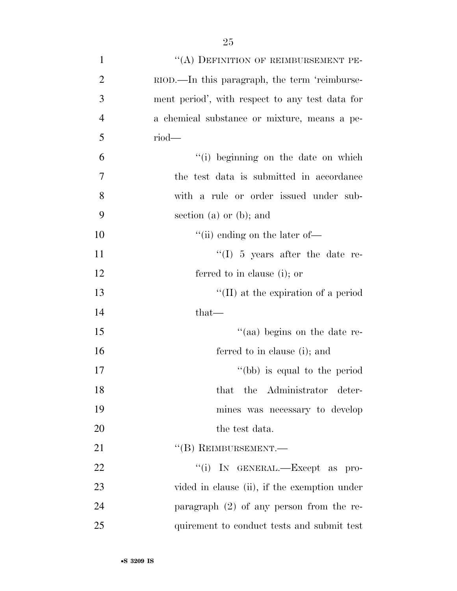| $\mathbf{1}$   | "(A) DEFINITION OF REIMBURSEMENT PE-            |
|----------------|-------------------------------------------------|
| $\overline{2}$ | RIOD.—In this paragraph, the term 'reimburse-   |
| 3              | ment period', with respect to any test data for |
| $\overline{4}$ | a chemical substance or mixture, means a pe-    |
| 5              | $riod$ —                                        |
| 6              | "(i) beginning on the date on which             |
| 7              | the test data is submitted in accordance        |
| 8              | with a rule or order issued under sub-          |
| 9              | section (a) or (b); and                         |
| 10             | "(ii) ending on the later of-                   |
| 11             | "(I) $5$ years after the date re-               |
| 12             | ferred to in clause (i); or                     |
| 13             | $\lq\lq$ (II) at the expiration of a period     |
| 14             | $that-$                                         |
| 15             | "(aa) begins on the date re-                    |
| 16             | ferred to in clause (i); and                    |
| 17             | "(bb) is equal to the period                    |
| 18             | that the Administrator deter-                   |
| 19             | mines was necessary to develop                  |
| 20             | the test data.                                  |
| 21             | $\lq\lq (B)$ REIMBURSEMENT.—                    |
| 22             | "(i) IN GENERAL.—Except as pro-                 |
| 23             | vided in clause (ii), if the exemption under    |
| 24             | paragraph $(2)$ of any person from the re-      |
| 25             | quirement to conduct tests and submit test      |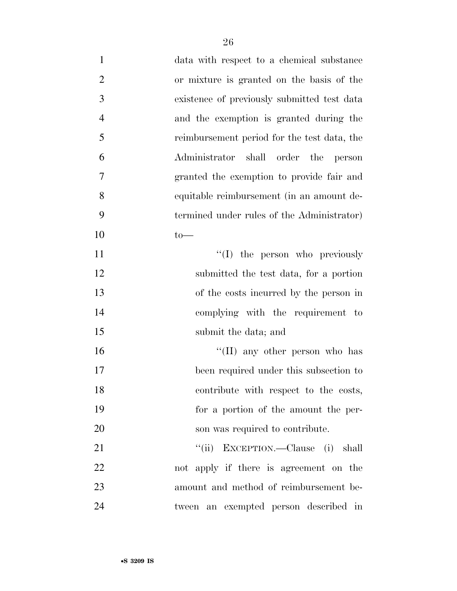| $\mathbf{1}$   | data with respect to a chemical substance   |
|----------------|---------------------------------------------|
| $\overline{2}$ | or mixture is granted on the basis of the   |
| 3              | existence of previously submitted test data |
| $\overline{4}$ | and the exemption is granted during the     |
| 5              | reimbursement period for the test data, the |
| 6              | Administrator shall order the person        |
| 7              | granted the exemption to provide fair and   |
| 8              | equitable reimbursement (in an amount de-   |
| 9              | termined under rules of the Administrator)  |
| 10             | $to-$                                       |
| 11             | "(I) the person who previously              |
| 12             | submitted the test data, for a portion      |
| 13             | of the costs incurred by the person in      |
| 14             | complying with the requirement to           |
| 15             | submit the data; and                        |
| 16             | "(II) any other person who has              |
| 17             | been required under this subsection to      |
| 18             | contribute with respect to the costs,       |
| 19             | for a portion of the amount the per-        |
| 20             | son was required to contribute.             |
| 21             | "(ii) EXCEPTION.—Clause (i) shall           |
| 22             | not apply if there is agreement on the      |
| 23             | amount and method of reimbursement be-      |
| 24             | tween an exempted person described in       |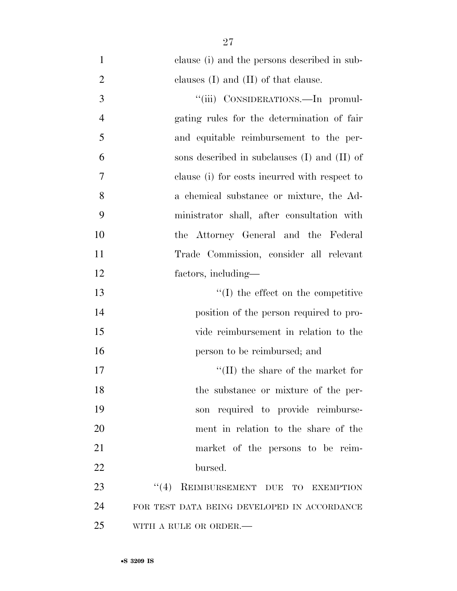clause (i) and the persons described in sub-2 clauses (I) and (II) of that clause. 3 "(iii) CONSIDERATIONS.—In promul- gating rules for the determination of fair and equitable reimbursement to the per- sons described in subclauses (I) and (II) of clause (i) for costs incurred with respect to a chemical substance or mixture, the Ad- ministrator shall, after consultation with the Attorney General and the Federal Trade Commission, consider all relevant factors, including— 13 ''(I) the effect on the competitive position of the person required to pro- vide reimbursement in relation to the person to be reimbursed; and  $\text{``(II)}$  the share of the market for 18 the substance or mixture of the per- son required to provide reimburse- ment in relation to the share of the market of the persons to be reim- bursed. 23 "(4) REIMBURSEMENT DUE TO EXEMPTION

 FOR TEST DATA BEING DEVELOPED IN ACCORDANCE WITH A RULE OR ORDER.—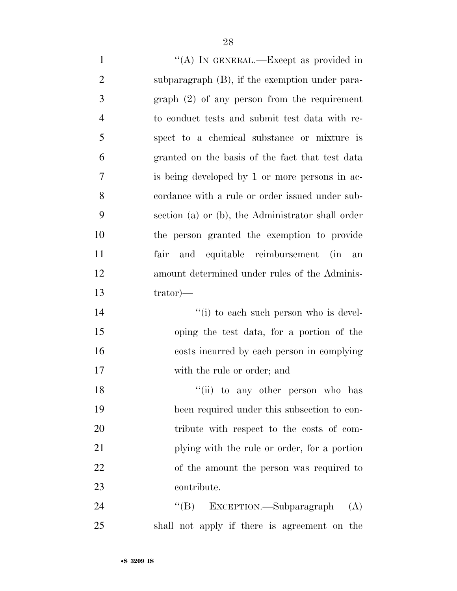$\langle A \rangle$  In GENERAL.—Except as provided in subparagraph (B), if the exemption under para- graph (2) of any person from the requirement to conduct tests and submit test data with re- spect to a chemical substance or mixture is granted on the basis of the fact that test data is being developed by 1 or more persons in ac- cordance with a rule or order issued under sub- section (a) or (b), the Administrator shall order the person granted the exemption to provide fair and equitable reimbursement (in an amount determined under rules of the Adminis- trator)—  $\frac{1}{2}$  to each such person who is devel- oping the test data, for a portion of the costs incurred by each person in complying

18 ''(ii) to any other person who has been required under this subsection to con- tribute with respect to the costs of com- plying with the rule or order, for a portion of the amount the person was required to contribute.

with the rule or order; and

24 "(B) EXCEPTION.—Subparagraph (A) shall not apply if there is agreement on the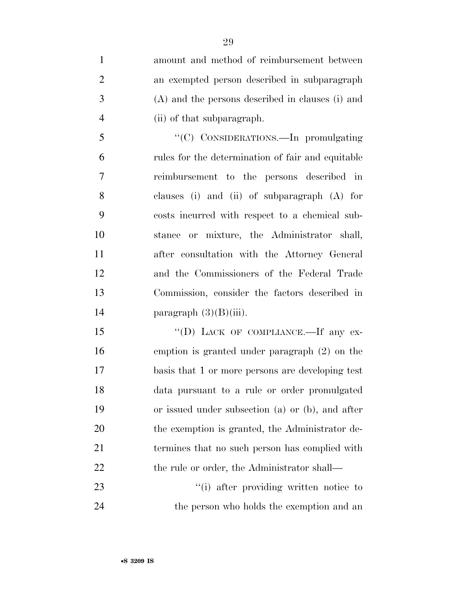amount and method of reimbursement between an exempted person described in subparagraph (A) and the persons described in clauses (i) and (ii) of that subparagraph.

 ''(C) CONSIDERATIONS.—In promulgating rules for the determination of fair and equitable reimbursement to the persons described in clauses (i) and (ii) of subparagraph (A) for costs incurred with respect to a chemical sub- stance or mixture, the Administrator shall, after consultation with the Attorney General and the Commissioners of the Federal Trade Commission, consider the factors described in 14 paragraph  $(3)(B)(iii)$ .

15 "(D) LACK OF COMPLIANCE.—If any ex- emption is granted under paragraph (2) on the basis that 1 or more persons are developing test data pursuant to a rule or order promulgated or issued under subsection (a) or (b), and after 20 the exemption is granted, the Administrator de- termines that no such person has complied with 22 the rule or order, the Administrator shall—

23  $\frac{1}{1}$  after providing written notice to 24 the person who holds the exemption and an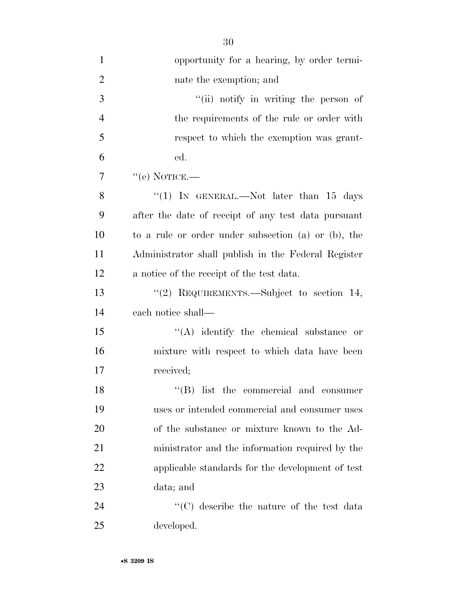| $\mathbf{1}$   | opportunity for a hearing, by order termi-          |
|----------------|-----------------------------------------------------|
| $\overline{2}$ | nate the exemption; and                             |
| 3              | "(ii) notify in writing the person of               |
| $\overline{4}$ | the requirements of the rule or order with          |
| 5              | respect to which the exemption was grant-           |
| 6              | ed.                                                 |
| $\tau$         | $``$ (e) NOTICE.—                                   |
| 8              | "(1) IN GENERAL.—Not later than $15$ days           |
| 9              | after the date of receipt of any test data pursuant |
| 10             | to a rule or order under subsection (a) or (b), the |
| 11             | Administrator shall publish in the Federal Register |
| 12             | a notice of the receipt of the test data.           |
| 13             | "(2) REQUIREMENTS.—Subject to section $14$ ,        |
| 14             | each notice shall—                                  |
| 15             | $\lq\lq$ identify the chemical substance or         |
| 16             | mixture with respect to which data have been        |
| 17             | received;                                           |
| 18             | $\lq\lq (B)$ list the commercial and consumer       |
| 19             | uses or intended commercial and consumer uses       |
| <b>20</b>      | of the substance or mixture known to the Ad-        |
| 21             | ministrator and the information required by the     |
| 22             | applicable standards for the development of test    |
| 23             | data; and                                           |
| 24             | "(C) describe the nature of the test data           |
| 25             | developed.                                          |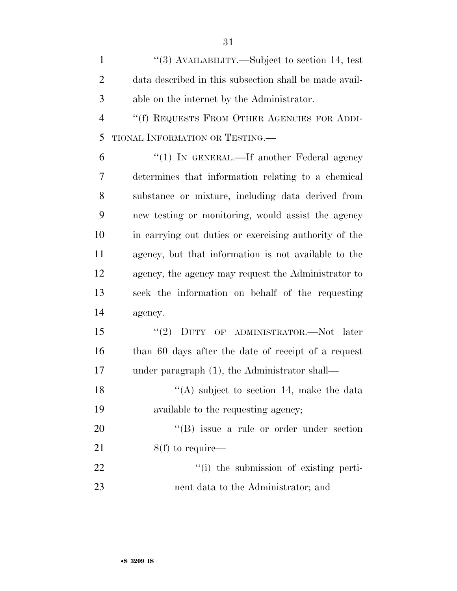1  $\frac{1}{3}$  AVAILABILITY.—Subject to section 14, test data described in this subsection shall be made avail-able on the internet by the Administrator.

 ''(f) REQUESTS FROM OTHER AGENCIES FOR ADDI-TIONAL INFORMATION OR TESTING.—

 ''(1) IN GENERAL.—If another Federal agency determines that information relating to a chemical substance or mixture, including data derived from new testing or monitoring, would assist the agency in carrying out duties or exercising authority of the agency, but that information is not available to the agency, the agency may request the Administrator to seek the information on behalf of the requesting agency.

 ''(2) DUTY OF ADMINISTRATOR.—Not later than 60 days after the date of receipt of a request under paragraph (1), the Administrator shall—

18 ''(A) subject to section 14, make the data available to the requesting agency;

20  $\text{``(B)}$  issue a rule or order under section 21  $8(f)$  to require— 22  $\frac{1}{2}$   $\frac{1}{2}$  the submission of existing perti-

nent data to the Administrator; and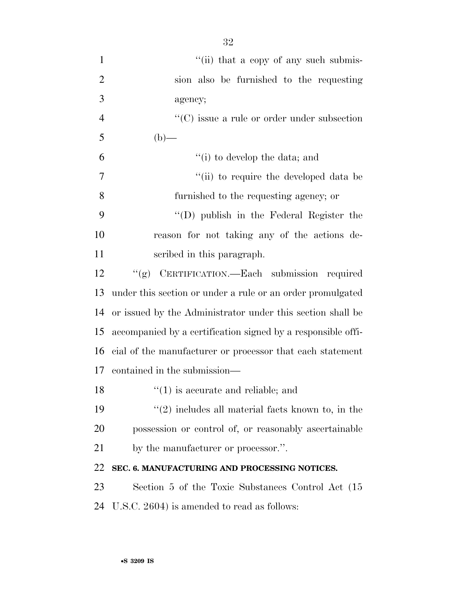| $\mathbf{1}$   | "(ii) that a copy of any such submis-                        |
|----------------|--------------------------------------------------------------|
| $\overline{2}$ | sion also be furnished to the requesting                     |
| 3              | agency;                                                      |
| $\overline{4}$ | $\lq\lq$ issue a rule or order under subsection              |
| 5              | $(b)$ —                                                      |
| 6              | "(i) to develop the data; and                                |
| 7              | "(ii) to require the developed data be                       |
| 8              | furnished to the requesting agency; or                       |
| 9              | $\lq\lq$ (D) publish in the Federal Register the             |
| 10             | reason for not taking any of the actions de-                 |
| 11             | scribed in this paragraph.                                   |
| 12             | "(g) CERTIFICATION.—Each submission required                 |
| 13             | under this section or under a rule or an order promulgated   |
| 14             | or issued by the Administrator under this section shall be   |
| 15             | accompanied by a certification signed by a responsible offi- |
| 16             | cial of the manufacturer or processor that each statement    |
| 17             | contained in the submission—                                 |
| 18             | $\lq(1)$ is accurate and reliable; and                       |
| 19             | $\lq(2)$ includes all material facts known to, in the        |
| 20             | possession or control of, or reasonably ascertainable        |
| 21             | by the manufacturer or processor.".                          |
| 22             | SEC. 6. MANUFACTURING AND PROCESSING NOTICES.                |
| 23             | Section 5 of the Toxic Substances Control Act (15            |
| 24             | U.S.C. 2604) is amended to read as follows:                  |
|                |                                                              |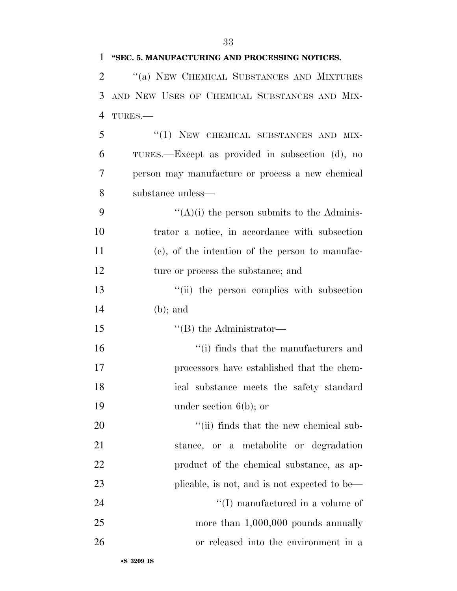#### **''SEC. 5. MANUFACTURING AND PROCESSING NOTICES.**

 ''(a) NEW CHEMICAL SUBSTANCES AND MIXTURES AND NEW USES OF CHEMICAL SUBSTANCES AND MIX-TURES.—

5 "(1) NEW CHEMICAL SUBSTANCES AND MIX- TURES.—Except as provided in subsection (d), no person may manufacture or process a new chemical substance unless—

 $"({\rm A})$ (i) the person submits to the Adminis- trator a notice, in accordance with subsection (c), of the intention of the person to manufac-12 ture or process the substance; and

13 ''(ii) the person complies with subsection (b); and

15  $\text{``(B)}$  the Administrator—

16 ''(i) finds that the manufacturers and processors have established that the chem- ical substance meets the safety standard under section 6(b); or

 $\frac{1}{1}$  (ii) finds that the new chemical sub- stance, or a metabolite or degradation **product** of the chemical substance, as ap-23 plicable, is not, and is not expected to be—  $\langle (I) \rangle$  manufactured in a volume of 25 more than 1,000,000 pounds annually or released into the environment in a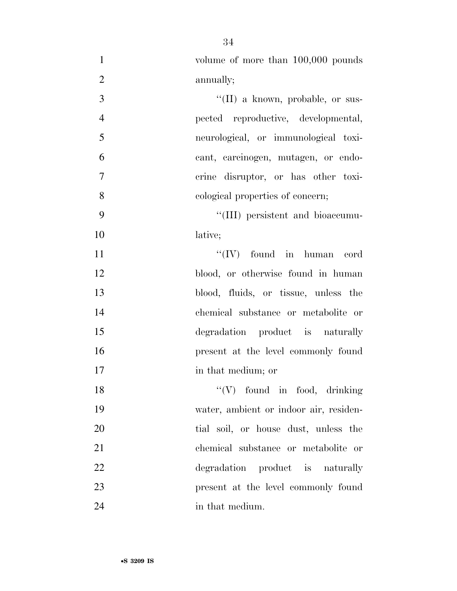| $\mathbf{1}$   | volume of more than 100,000 pounds       |
|----------------|------------------------------------------|
| $\sqrt{2}$     | annually;                                |
| 3              | $\lq\lq$ (II) a known, probable, or sus- |
| $\overline{4}$ | pected reproductive, developmental,      |
| 5              | neurological, or immunological toxi-     |
| 6              | cant, carcinogen, mutagen, or endo-      |
| $\overline{7}$ | crine disruptor, or has other toxi-      |
| 8              | cological properties of concern;         |
| 9              | "(III) persistent and bioaccumu-         |
| 10             | lative;                                  |
| 11             | $``(IV)$ found in human cord             |
| 12             | blood, or otherwise found in human       |
| 13             | blood, fluids, or tissue, unless the     |
| 14             | chemical substance or metabolite or      |
| 15             | degradation product is naturally         |
| 16             | present at the level commonly found      |
| 17             | in that medium; or                       |
| 18             | $\lq\lq (V)$ found in food, drinking     |
| 19             | water, ambient or indoor air, residen-   |
| 20             | tial soil, or house dust, unless the     |
| 21             | chemical substance or metabolite or      |
| 22             | degradation product is naturally         |
| 23             | present at the level commonly found      |
| 24             | in that medium.                          |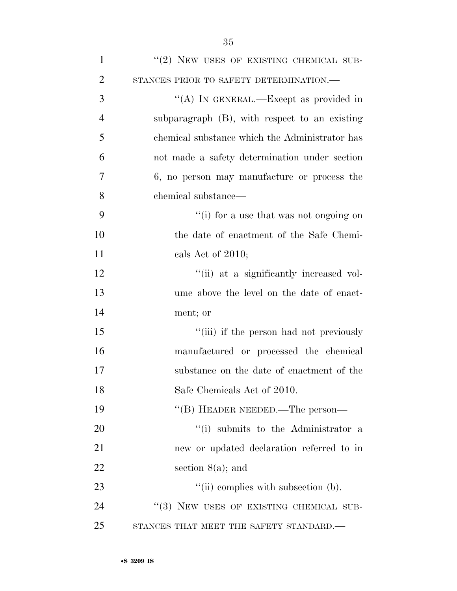| $\overline{2}$ | STANCES PRIOR TO SAFETY DETERMINATION.-        |
|----------------|------------------------------------------------|
| 3              | "(A) IN GENERAL.—Except as provided in         |
| $\overline{4}$ | subparagraph (B), with respect to an existing  |
| 5              | chemical substance which the Administrator has |
| 6              | not made a safety determination under section  |
| 7              | 6, no person may manufacture or process the    |
| 8              | chemical substance—                            |
| 9              | "(i) for a use that was not ongoing on         |
| 10             | the date of enactment of the Safe Chemi-       |
| 11             | cals Act of 2010;                              |
| 12             | "(ii) at a significantly increased vol-        |
| 13             | ume above the level on the date of enact-      |
| 14             | ment; or                                       |
| 15             | "(iii) if the person had not previously        |
| 16             | manufactured or processed the chemical         |
| 17             | substance on the date of enactment of the      |
| 18             | Safe Chemicals Act of 2010.                    |
| 19             | "(B) HEADER NEEDED.—The person-                |
| 20             | "(i) submits to the Administrator a            |
| 21             | new or updated declaration referred to in      |
| 22             | section $8(a)$ ; and                           |
| 23             | $``(ii)$ complies with subsection (b).         |
| 24             | "(3) NEW USES OF EXISTING CHEMICAL SUB-        |
| 25             | STANCES THAT MEET THE SAFETY STANDARD.         |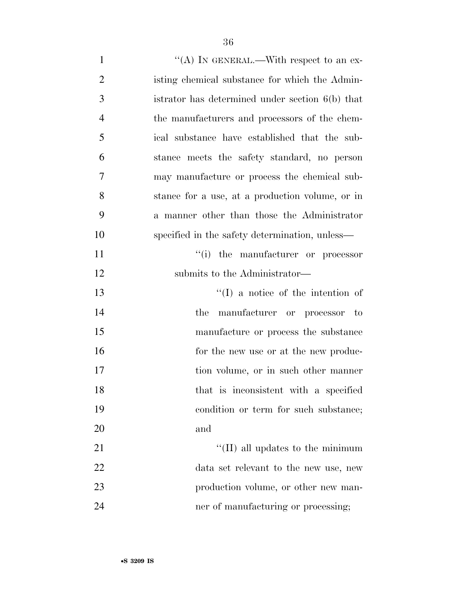- 1  $\langle A \rangle$  In GENERAL.—With respect to an ex- isting chemical substance for which the Admin- istrator has determined under section 6(b) that the manufacturers and processors of the chem- ical substance have established that the sub- stance meets the safety standard, no person may manufacture or process the chemical sub- stance for a use, at a production volume, or in a manner other than those the Administrator specified in the safety determination, unless— 11  $\frac{1}{i}$  the manufacturer or processor 12 submits to the Administrator— 13 ''(I) a notice of the intention of the manufacturer or processor to manufacture or process the substance 16 for the new use or at the new produc-17 tion volume, or in such other manner that is inconsistent with a specified condition or term for such substance; and 21  $\frac{1}{2}$  (II) all updates to the minimum data set relevant to the new use, new 23 production volume, or other new man-
- 24 her of manufacturing or processing;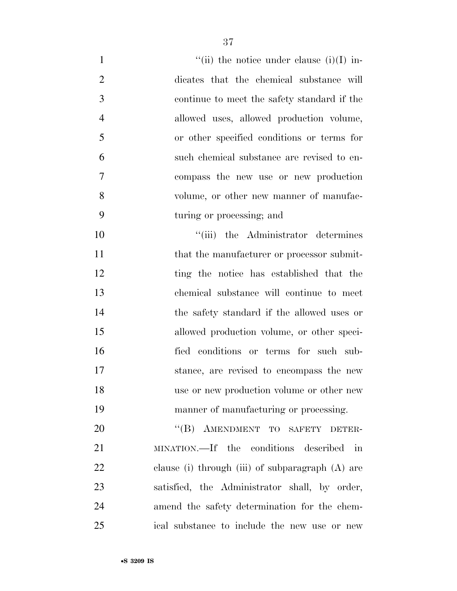| $\mathbf{1}$   | "(ii) the notice under clause (i)(I) in-           |
|----------------|----------------------------------------------------|
| $\overline{2}$ | dicates that the chemical substance will           |
| 3              | continue to meet the safety standard if the        |
| $\overline{4}$ | allowed uses, allowed production volume,           |
| 5              | or other specified conditions or terms for         |
| 6              | such chemical substance are revised to en-         |
| 7              | compass the new use or new production              |
| 8              | volume, or other new manner of manufac-            |
| 9              | turing or processing; and                          |
| 10             | "(iii) the Administrator determines                |
| 11             | that the manufacturer or processor submit-         |
| 12             | ting the notice has established that the           |
| 13             | chemical substance will continue to meet           |
| 14             | the safety standard if the allowed uses or         |
| 15             | allowed production volume, or other speci-         |
| 16             | fied conditions or terms for such sub-             |
| 17             | stance, are revised to encompass the new           |
| 18             | use or new production volume or other new          |
| 19             | manner of manufacturing or processing.             |
| 20             | "(B) AMENDMENT TO SAFETY DETER-                    |
| 21             | MINATION.—If the conditions described in           |
| 22             | clause (i) through (iii) of subparagraph $(A)$ are |
| 23             | satisfied, the Administrator shall, by order,      |
| 24             | amend the safety determination for the chem-       |
| 25             | ical substance to include the new use or new       |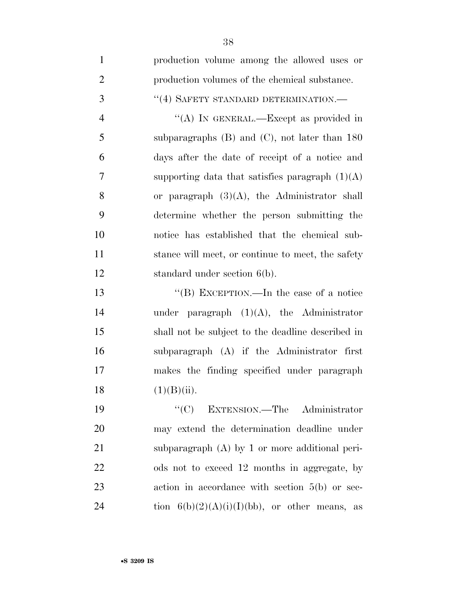| $\mathbf{1}$   | production volume among the allowed uses or        |
|----------------|----------------------------------------------------|
| $\overline{2}$ | production volumes of the chemical substance.      |
| 3              | "(4) SAFETY STANDARD DETERMINATION.-               |
| $\overline{4}$ | "(A) IN GENERAL.—Except as provided in             |
| 5              | subparagraphs $(B)$ and $(C)$ , not later than 180 |
| 6              | days after the date of receipt of a notice and     |
| 7              | supporting data that satisfies paragraph $(1)(A)$  |
| 8              | or paragraph $(3)(A)$ , the Administrator shall    |
| 9              | determine whether the person submitting the        |
| 10             | notice has established that the chemical sub-      |
| 11             | stance will meet, or continue to meet, the safety  |
| 12             | standard under section $6(b)$ .                    |
| 13             | "(B) EXCEPTION.—In the case of a notice            |
| 14             | under paragraph $(1)(A)$ , the Administrator       |
| 15             | shall not be subject to the deadline described in  |
| 16             | subparagraph (A) if the Administrator first        |
| 17             | makes the finding specified under paragraph        |
| 18             | (1)(B)(ii).                                        |
| 19             | ``(C)<br>EXTENSION.—The Administrator              |
| 20             | may extend the determination deadline under        |
| 21             | subparagraph $(A)$ by 1 or more additional peri-   |
| 22             | ods not to exceed 12 months in aggregate, by       |
| 23             | action in accordance with section $5(b)$ or sec-   |
| 24             | tion $6(b)(2)(A)(i)(I)(bb)$ , or other means, as   |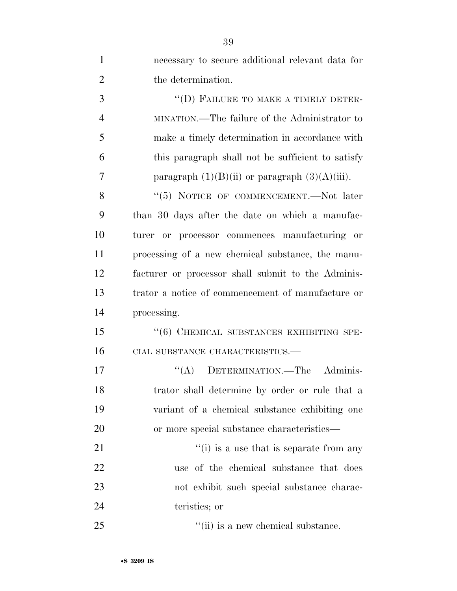| $\mathbf{1}$   | necessary to secure additional relevant data for    |
|----------------|-----------------------------------------------------|
| $\overline{2}$ | the determination.                                  |
| 3              | "(D) FAILURE TO MAKE A TIMELY DETER-                |
| $\overline{4}$ | MINATION.—The failure of the Administrator to       |
| 5              | make a timely determination in accordance with      |
| 6              | this paragraph shall not be sufficient to satisfy   |
| 7              | paragraph $(1)(B)(ii)$ or paragraph $(3)(A)(iii)$ . |
| 8              | "(5) NOTICE OF COMMENCEMENT.—Not later              |
| 9              | than 30 days after the date on which a manufac-     |
| 10             | turer or processor commences manufacturing or       |
| 11             | processing of a new chemical substance, the manu-   |
| 12             | facturer or processor shall submit to the Adminis-  |
| 13             | trator a notice of commencement of manufacture or   |
| 14             | processing.                                         |
| 15             | "(6) CHEMICAL SUBSTANCES EXHIBITING SPE-            |
| 16             | CIAL SUBSTANCE CHARACTERISTICS.-                    |
| 17             | "(A) DETERMINATION.—The Adminis-                    |
| 18             | trator shall determine by order or rule that a      |
| 19             | variant of a chemical substance exhibiting one      |
| 20             | or more special substance characteristics—          |
| 21             | $f'(i)$ is a use that is separate from any          |
| 22             | use of the chemical substance that does             |
| 23             | not exhibit such special substance charac-          |
| 24             | teristics; or                                       |
| 25             | "(ii) is a new chemical substance.                  |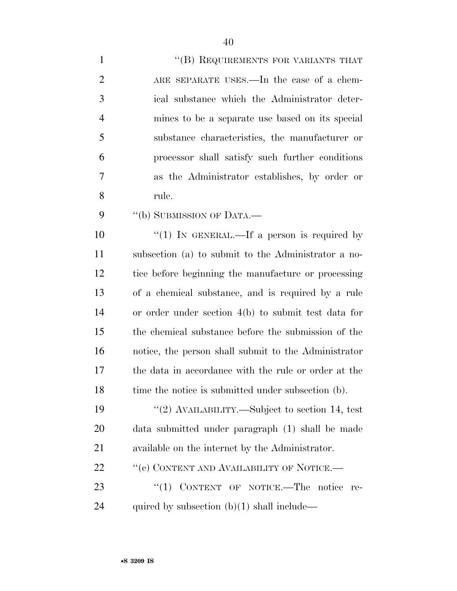- 1 ''(B) REQUIREMENTS FOR VARIANTS THAT ARE SEPARATE USES.—In the case of a chem- ical substance which the Administrator deter- mines to be a separate use based on its special substance characteristics, the manufacturer or processor shall satisfy such further conditions as the Administrator establishes, by order or rule.
- 9 "(b) SUBMISSION OF DATA.—

 $\frac{10}{10}$  IN GENERAL.—If a person is required by subsection (a) to submit to the Administrator a no- tice before beginning the manufacture or processing of a chemical substance, and is required by a rule or order under section 4(b) to submit test data for the chemical substance before the submission of the notice, the person shall submit to the Administrator the data in accordance with the rule or order at the 18 time the notice is submitted under subsection (b).

 ''(2) AVAILABILITY.—Subject to section 14, test data submitted under paragraph (1) shall be made available on the internet by the Administrator.

22 "(c) CONTENT AND AVAILABILITY OF NOTICE.—

23 "(1) CONTENT OF NOTICE.—The notice re-24 quired by subsection  $(b)(1)$  shall include—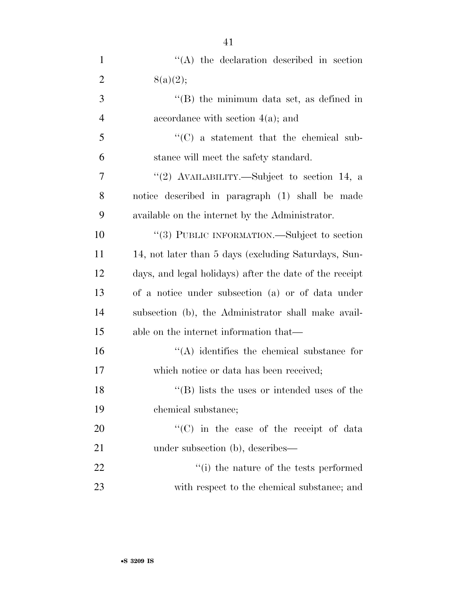| $\mathbf{1}$   | $\lq\lq$ the declaration described in section           |
|----------------|---------------------------------------------------------|
| $\overline{2}$ | 8(a)(2);                                                |
| 3              | "(B) the minimum data set, as defined in                |
| $\overline{4}$ | accordance with section $4(a)$ ; and                    |
| 5              | $\cdot\cdot$ (C) a statement that the chemical sub-     |
| 6              | stance will meet the safety standard.                   |
| 7              | "(2) AVAILABILITY.—Subject to section 14, a             |
| 8              | notice described in paragraph (1) shall be made         |
| 9              | available on the internet by the Administrator.         |
| 10             | "(3) PUBLIC INFORMATION.—Subject to section             |
| 11             | 14, not later than 5 days (excluding Saturdays, Sun-    |
| 12             | days, and legal holidays) after the date of the receipt |
| 13             | of a notice under subsection (a) or of data under       |
| 14             | subsection (b), the Administrator shall make avail-     |
| 15             | able on the internet information that—                  |
| 16             | $\lq\lq$ identifies the chemical substance for          |
| 17             | which notice or data has been received;                 |
| 18             | $\lq\lq$ (B) lists the uses or intended uses of the     |
| 19             | chemical substance;                                     |
| 20             | "(C) in the case of the receipt of data                 |
| 21             | under subsection (b), describes—                        |
| 22             | "(i) the nature of the tests performed                  |
| 23             | with respect to the chemical substance; and             |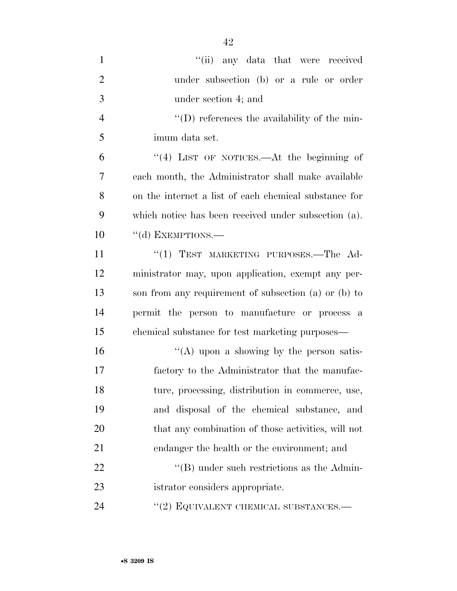| $\mathbf{1}$   | "(ii) any data that were received                     |
|----------------|-------------------------------------------------------|
| $\overline{2}$ | under subsection (b) or a rule or order               |
| 3              | under section 4; and                                  |
| $\overline{4}$ | $\lq\lq$ of the min-                                  |
| 5              | imum data set.                                        |
| 6              | "(4) LIST OF NOTICES.—At the beginning of             |
| 7              | each month, the Administrator shall make available    |
| 8              | on the internet a list of each chemical substance for |
| 9              | which notice has been received under subsection (a).  |
| 10             | $\lq\lq$ (d) EXEMPTIONS.—                             |
| 11             | "(1) TEST MARKETING PURPOSES.—The Ad-                 |
| 12             | ministrator may, upon application, exempt any per-    |
| 13             | son from any requirement of subsection (a) or (b) to  |
| 14             | permit the person to manufacture or process a         |
| 15             | chemical substance for test marketing purposes—       |
| 16             | "(A) upon a showing by the person satis-              |
| 17             | factory to the Administrator that the manufac-        |
| 18             | ture, processing, distribution in commerce, use,      |
| 19             | and disposal of the chemical substance, and           |
| 20             | that any combination of those activities, will not    |
| 21             | endanger the health or the environment; and           |
| 22             | $\lq\lq$ under such restrictions as the Admin-        |
| 23             | istrator considers appropriate.                       |
| 24             | $\cdot\cdot\cdot(2)$ EQUIVALENT CHEMICAL SUBSTANCES.— |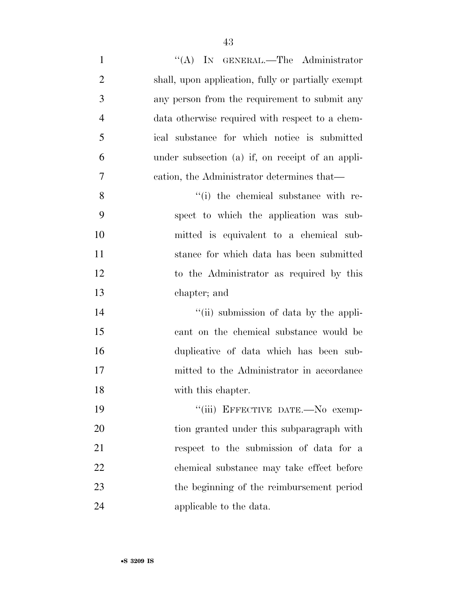| $\mathbf{1}$   | "(A) IN GENERAL.—The Administrator                 |
|----------------|----------------------------------------------------|
| $\overline{2}$ | shall, upon application, fully or partially exempt |
| 3              | any person from the requirement to submit any      |
| $\overline{4}$ | data otherwise required with respect to a chem-    |
| 5              | ical substance for which notice is submitted       |
| 6              | under subsection (a) if, on receipt of an appli-   |
| 7              | cation, the Administrator determines that—         |
| 8              | "(i) the chemical substance with re-               |
| 9              | spect to which the application was sub-            |
| 10             | mitted is equivalent to a chemical sub-            |
| 11             | stance for which data has been submitted           |
| 12             | to the Administrator as required by this           |
| 13             | chapter; and                                       |
| 14             | "(ii) submission of data by the appli-             |
| 15             | cant on the chemical substance would be            |
| 16             | duplicative of data which has been sub-            |
| 17             | mitted to the Administrator in accordance          |
| 18             | with this chapter.                                 |
| 19             | "(iii) EFFECTIVE DATE.-No exemp-                   |
| 20             | tion granted under this subparagraph with          |
| 21             | respect to the submission of data for a            |
| 22             | chemical substance may take effect before          |
| 23             | the beginning of the reimbursement period          |
| 24             | applicable to the data.                            |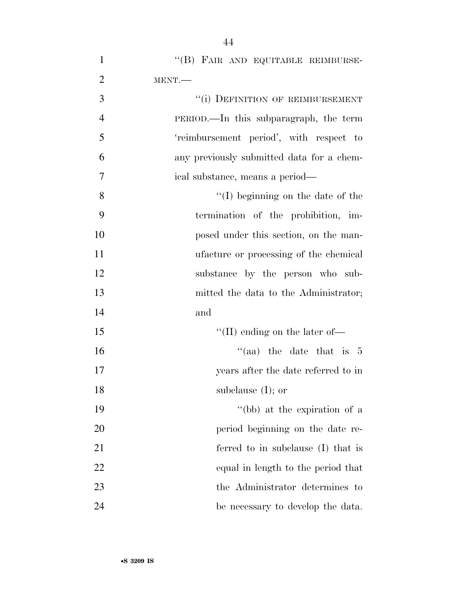| $\mathbf{1}$   | "(B) FAIR AND EQUITABLE REIMBURSE-        |
|----------------|-------------------------------------------|
| $\overline{2}$ | MENT.                                     |
| 3              | "(i) DEFINITION OF REIMBURSEMENT          |
| $\overline{4}$ | PERIOD.—In this subparagraph, the term    |
| 5              | 'reimbursement period', with respect to   |
| 6              | any previously submitted data for a chem- |
| $\tau$         | ical substance, means a period—           |
| 8              | $\lq\lq$ (I) beginning on the date of the |
| 9              | termination of the prohibition, im-       |
| 10             | posed under this section, on the man-     |
| 11             | ufacture or processing of the chemical    |
| 12             | substance by the person who sub-          |
| 13             | mitted the data to the Administrator;     |
| 14             | and                                       |
| 15             | "(II) ending on the later of-             |
| 16             | "(aa) the date that is $5$                |
| 17             | years after the date referred to in       |
| 18             | subclause $(I)$ ; or                      |
| 19             | "(bb) at the expiration of a              |
| 20             | period beginning on the date re-          |
| 21             | ferred to in subclause (I) that is        |
| 22             | equal in length to the period that        |
| 23             | the Administrator determines to           |
| 24             | be necessary to develop the data.         |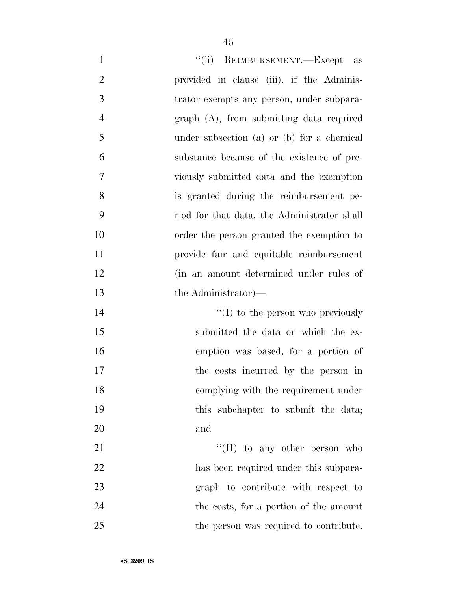| $\mathbf{1}$   | "(ii) REIMBURSEMENT.—Except as              |
|----------------|---------------------------------------------|
| $\overline{2}$ | provided in clause (iii), if the Adminis-   |
| 3              | trator exempts any person, under subpara-   |
| $\overline{4}$ | graph (A), from submitting data required    |
| 5              | under subsection (a) or (b) for a chemical  |
| 6              | substance because of the existence of pre-  |
| 7              | viously submitted data and the exemption    |
| 8              | is granted during the reimbursement pe-     |
| 9              | riod for that data, the Administrator shall |
| 10             | order the person granted the exemption to   |
| 11             | provide fair and equitable reimbursement    |
| 12             | (in an amount determined under rules of     |
| 13             | the Administrator)—                         |
| 14             | $\lq\lq$ to the person who previously       |
| 15             | submitted the data on which the ex-         |
| 16             | emption was based, for a portion of         |
| 17             | the costs incurred by the person in         |
| 18             | complying with the requirement under        |
| 19             | this subchapter to submit the data;         |
| 20             | and                                         |
| 21             | $\lq\lq$ (II) to any other person who       |
| 22             | has been required under this subpara-       |
| 23             | graph to contribute with respect to         |
| 24             | the costs, for a portion of the amount      |
| 25             | the person was required to contribute.      |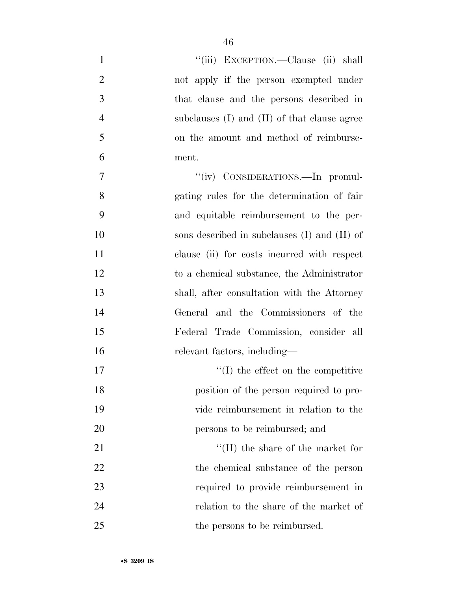| $\mathbf{1}$   | "(iii) EXCEPTION.—Clause (ii) shall              |
|----------------|--------------------------------------------------|
| $\overline{2}$ | not apply if the person exempted under           |
| 3              | that clause and the persons described in         |
| $\overline{4}$ | subclauses $(I)$ and $(II)$ of that clause agree |
| 5              | on the amount and method of reimburse-           |
| 6              | ment.                                            |
| 7              | "(iv) CONSIDERATIONS.—In promul-                 |
| 8              | gating rules for the determination of fair       |
| 9              | and equitable reimbursement to the per-          |
| 10             | sons described in subclauses $(I)$ and $(II)$ of |
| 11             | clause (ii) for costs incurred with respect      |
| 12             | to a chemical substance, the Administrator       |
| 13             | shall, after consultation with the Attorney      |
| 14             | General and the Commissioners of the             |
| 15             | Federal Trade Commission, consider all           |
| 16             | relevant factors, including—                     |
| 17             | $\lq\lq$ the effect on the competitive           |
| 18             | position of the person required to pro-          |
| 19             | vide reimbursement in relation to the            |
| 20             | persons to be reimbursed; and                    |
| 21             | $\lq\lq(\text{II})$ the share of the market for  |
| 22             | the chemical substance of the person             |
| 23             | required to provide reimbursement in             |
| 24             | relation to the share of the market of           |
| 25             | the persons to be reimbursed.                    |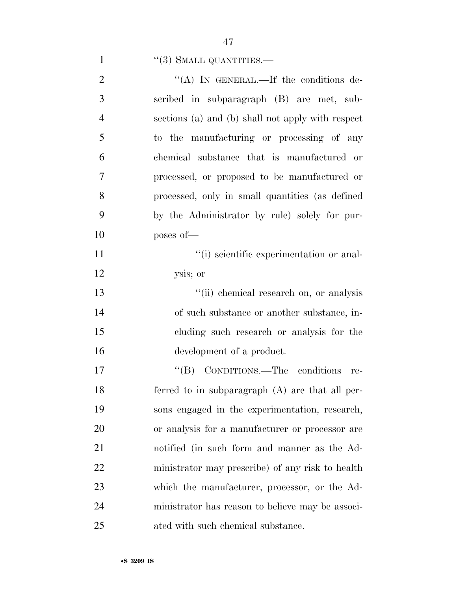## 1  $"$ (3) SMALL QUANTITIES.—

| $\overline{2}$ | "(A) IN GENERAL.—If the conditions de-            |
|----------------|---------------------------------------------------|
| 3              | scribed in subparagraph (B) are met, sub-         |
| $\overline{4}$ | sections (a) and (b) shall not apply with respect |
| 5              | to the manufacturing or processing of any         |
| 6              | chemical substance that is manufactured or        |
| 7              | processed, or proposed to be manufactured or      |
| 8              | processed, only in small quantities (as defined   |
| 9              | by the Administrator by rule) solely for pur-     |
| 10             | poses of-                                         |
| 11             | "(i) scientific experimentation or anal-          |
| 12             | ysis; or                                          |
| 13             | "(ii) chemical research on, or analysis           |
| 14             | of such substance or another substance, in-       |
| 15             | cluding such research or analysis for the         |
| 16             | development of a product.                         |
| 17             | "(B) CONDITIONS.—The conditions<br>re-            |
| 18             | ferred to in subparagraph $(A)$ are that all per- |
| 19             | sons engaged in the experimentation, research,    |
| 20             | or analysis for a manufacturer or processor are   |
| 21             | notified (in such form and manner as the Ad-      |
| 22             | ministrator may prescribe) of any risk to health  |
| 23             | which the manufacturer, processor, or the Ad-     |
| 24             | ministrator has reason to believe may be associ-  |
| 25             | ated with such chemical substance.                |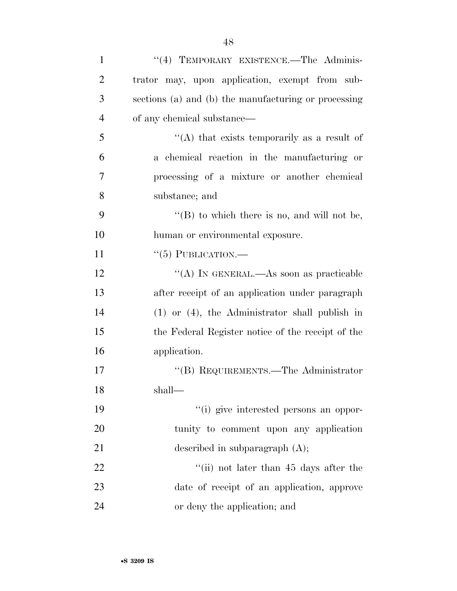| $\mathbf{1}$   | "(4) TEMPORARY EXISTENCE.—The Adminis-               |
|----------------|------------------------------------------------------|
| $\overline{2}$ | trator may, upon application, exempt from sub-       |
| 3              | sections (a) and (b) the manufacturing or processing |
| $\overline{4}$ | of any chemical substance—                           |
| 5              | "(A) that exists temporarily as a result of          |
| 6              | a chemical reaction in the manufacturing or          |
| 7              | processing of a mixture or another chemical          |
| 8              | substance; and                                       |
| 9              | "(B) to which there is no, and will not be,          |
| 10             | human or environmental exposure.                     |
| 11             | $``(5)$ PUBLICATION.—                                |
| 12             | "(A) IN GENERAL.—As soon as practicable              |
| 13             | after receipt of an application under paragraph      |
| 14             | $(1)$ or $(4)$ , the Administrator shall publish in  |
| 15             | the Federal Register notice of the receipt of the    |
| 16             | application.                                         |
| 17             | $\lq\lq$ (B) REQUIREMENTS.—The Administrator         |
| 18             | shall—                                               |
| 19             | "(i) give interested persons an oppor-               |
| 20             | tunity to comment upon any application               |
| 21             | described in subparagraph $(A)$ ;                    |
| 22             | "(ii) not later than $45$ days after the             |
| 23             | date of receipt of an application, approve           |
| 24             | or deny the application; and                         |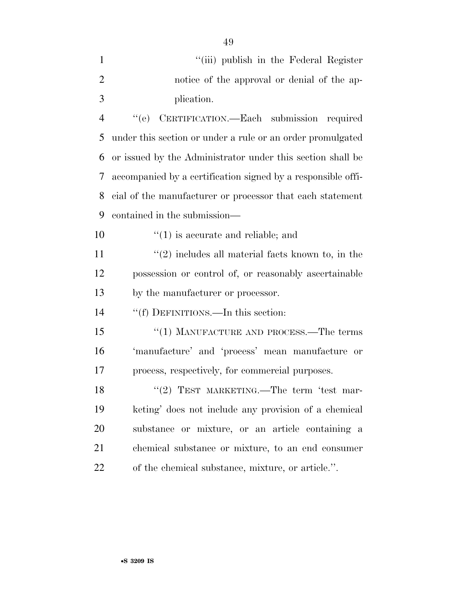| $\mathbf{1}$   | "(iii) publish in the Federal Register                       |
|----------------|--------------------------------------------------------------|
| $\overline{2}$ | notice of the approval or denial of the ap-                  |
| 3              | plication.                                                   |
| $\overline{4}$ | CERTIFICATION.-Each submission required<br>``(e)             |
| 5              | under this section or under a rule or an order promulgated   |
| 6              | or issued by the Administrator under this section shall be   |
| 7              | accompanied by a certification signed by a responsible offi- |
| 8              | cial of the manufacturer or processor that each statement    |
| 9              | contained in the submission—                                 |
| 10             | $f'(1)$ is accurate and reliable; and                        |
| 11             | $\lq(2)$ includes all material facts known to, in the        |
| 12             | possession or control of, or reasonably ascertainable        |
| 13             | by the manufacturer or processor.                            |
| 14             | "(f) DEFINITIONS.—In this section:                           |
| 15             | $``(1)$ MANUFACTURE AND PROCESS.—The terms                   |
| 16             | 'manufacture' and 'process' mean manufacture or              |
| 17             | process, respectively, for commercial purposes.              |
| 18             | "(2) TEST MARKETING.—The term 'test mar-                     |
| 19             | keting' does not include any provision of a chemical         |
| 20             | substance or mixture, or an article containing a             |
| 21             | chemical substance or mixture, to an end consumer            |
| 22             | of the chemical substance, mixture, or article.".            |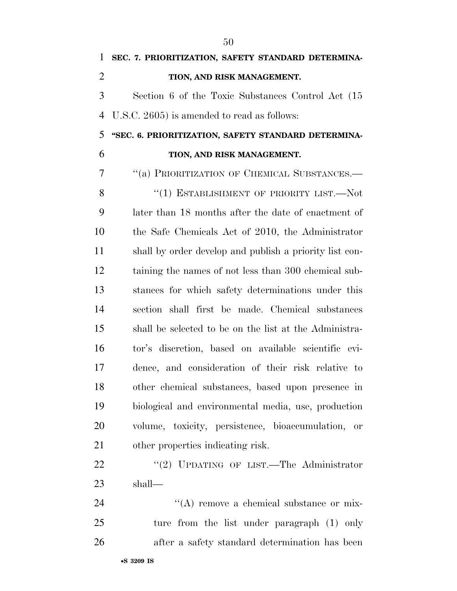**SEC. 7. PRIORITIZATION, SAFETY STANDARD DETERMINA- TION, AND RISK MANAGEMENT.**  Section 6 of the Toxic Substances Control Act (15 U.S.C. 2605) is amended to read as follows:

 **''SEC. 6. PRIORITIZATION, SAFETY STANDARD DETERMINA-TION, AND RISK MANAGEMENT.** 

''(a) PRIORITIZATION OF CHEMICAL SUBSTANCES.—

8 "(1) ESTABLISHMENT OF PRIORITY LIST.—Not later than 18 months after the date of enactment of the Safe Chemicals Act of 2010, the Administrator shall by order develop and publish a priority list con- taining the names of not less than 300 chemical sub- stances for which safety determinations under this section shall first be made. Chemical substances shall be selected to be on the list at the Administra- tor's discretion, based on available scientific evi- dence, and consideration of their risk relative to other chemical substances, based upon presence in biological and environmental media, use, production volume, toxicity, persistence, bioaccumulation, or other properties indicating risk.

22 "(2) UPDATING OF LIST.—The Administrator shall—

24  $\langle (A)$  remove a chemical substance or mix- ture from the list under paragraph (1) only after a safety standard determination has been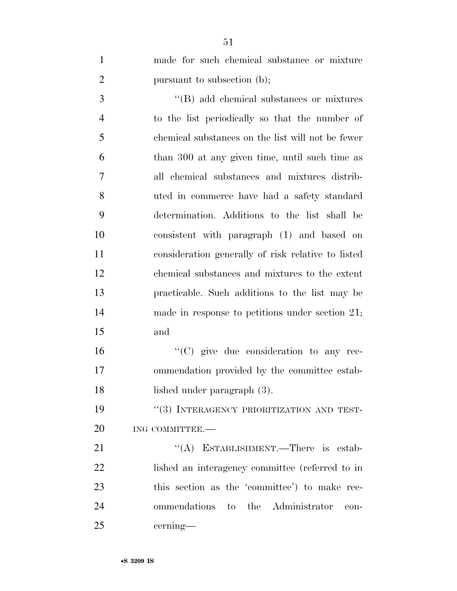| $\mathbf{1}$   | made for such chemical substance or mixture        |
|----------------|----------------------------------------------------|
| $\overline{2}$ | pursuant to subsection (b);                        |
| 3              | "(B) add chemical substances or mixtures           |
| $\overline{4}$ | to the list periodically so that the number of     |
| 5              | chemical substances on the list will not be fewer  |
| 6              | than 300 at any given time, until such time as     |
| 7              | all chemical substances and mixtures distrib-      |
| 8              | uted in commerce have had a safety standard        |
| 9              | determination. Additions to the list shall be      |
| 10             | consistent with paragraph (1) and based on         |
| 11             | consideration generally of risk relative to listed |
| 12             | chemical substances and mixtures to the extent     |
| 13             | practicable. Such additions to the list may be     |
| 14             | made in response to petitions under section 21;    |
| 15             | and                                                |
| 16             | $\lq\lq$ (C) give due consideration to any rec-    |
| 17             | ommendation provided by the committee estab-       |
| 18             | lished under paragraph (3).                        |
|                |                                                    |

19  $"$ (3) INTERAGENCY PRIORITIZATION AND TEST-20 ING COMMITTEE.

21 "(A) ESTABLISHMENT.—There is estab- lished an interagency committee (referred to in this section as the 'committee') to make rec- ommendations to the Administrator con-cerning—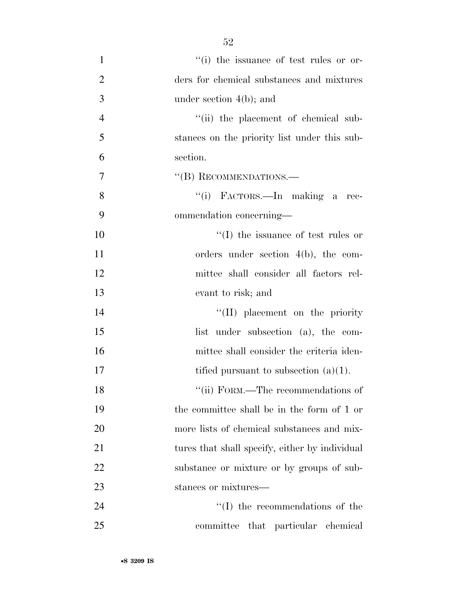1  $''(i)$  the issuance of test rules or or-2 ders for chemical substances and mixtures 3 under section 4(b); and 4 ''(ii) the placement of chemical sub-5 stances on the priority list under this sub-6 section. 7 "'(B) RECOMMENDATIONS. 8 "(i) FACTORS.—In making a rec-9 ommendation concerning— 10  $\frac{10}{10}$  the issuance of test rules or 11 orders under section 4(b), the com-12 mittee shall consider all factors rel-13 evant to risk; and 14 ''(II) placement on the priority 15 list under subsection (a), the com-16 mittee shall consider the criteria iden-17 tified pursuant to subsection  $(a)(1)$ . 18 ''(ii) FORM.—The recommendations of 19 the committee shall be in the form of 1 or 20 more lists of chemical substances and mix-21 tures that shall specify, either by individual 22 substance or mixture or by groups of sub-23 stances or mixtures— 24 ''(I) the recommendations of the

25 committee that particular chemical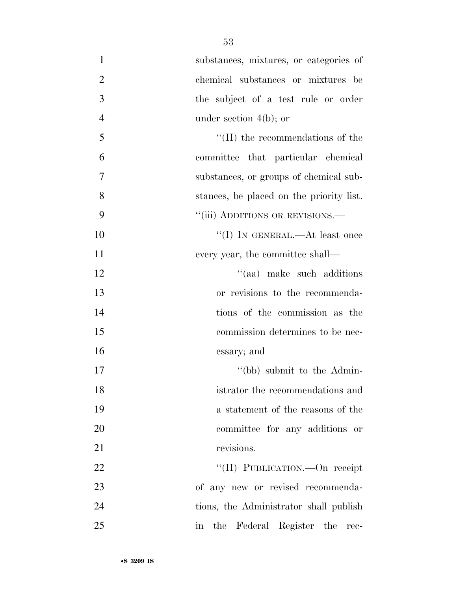| 1              | substances, mixtures, or categories of                  |
|----------------|---------------------------------------------------------|
| $\overline{2}$ | chemical substances or mixtures be                      |
| 3              | the subject of a test rule or order                     |
| $\overline{4}$ | under section $4(b)$ ; or                               |
| 5              | $\lq\lq$ (II) the recommendations of the                |
| 6              | committee that particular chemical                      |
| $\overline{7}$ | substances, or groups of chemical sub-                  |
| 8              | stances, be placed on the priority list.                |
| 9              | "(iii) ADDITIONS OR REVISIONS.—                         |
| 10             | "(I) IN GENERAL.—At least once                          |
| 11             | every year, the committee shall—                        |
| 12             | "(aa) make such additions                               |
| 13             | or revisions to the recommenda-                         |
| 14             | tions of the commission as the                          |
| 15             | commission determines to be nec-                        |
| 16             | essary; and                                             |
| 17             | "(bb) submit to the Admin-                              |
| 18             | istrator the recommendations and                        |
| 19             | a statement of the reasons of the                       |
| 20             | committee for any additions or                          |
| 21             | revisions.                                              |
| 22             | "(II) PUBLICATION.—On receipt                           |
| 23             | of any new or revised recommenda-                       |
| 24             | tions, the Administrator shall publish                  |
| 25             | the Federal Register the<br>$\operatorname{in}$<br>rec- |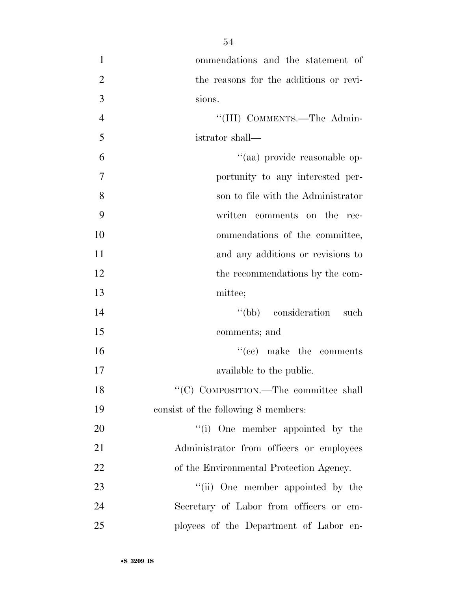| $\mathbf{1}$   | ommendations and the statement of        |
|----------------|------------------------------------------|
| $\overline{2}$ | the reasons for the additions or revi-   |
| 3              | sions.                                   |
| $\overline{4}$ | "(III) COMMENTS.—The Admin-              |
| 5              | istrator shall—                          |
| 6              | "(aa) provide reasonable op-             |
| $\overline{7}$ | portunity to any interested per-         |
| 8              | son to file with the Administrator       |
| 9              | written comments on the<br>rec-          |
| 10             | ommendations of the committee,           |
| 11             | and any additions or revisions to        |
| 12             | the recommendations by the com-          |
| 13             | mittee;                                  |
| 14             | "(bb) consideration such                 |
| 15             | comments; and                            |
| 16             | $f'(ce)$ make the comments               |
| 17             | available to the public.                 |
| 18             | "(C) COMPOSITION.—The committee shall    |
| 19             | consist of the following 8 members:      |
| 20             | "(i) One member appointed by the         |
| 21             | Administrator from officers or employees |
| 22             | of the Environmental Protection Agency.  |
| 23             | "(ii) One member appointed by the        |
| 24             | Secretary of Labor from officers or em-  |
| 25             | ployees of the Department of Labor en-   |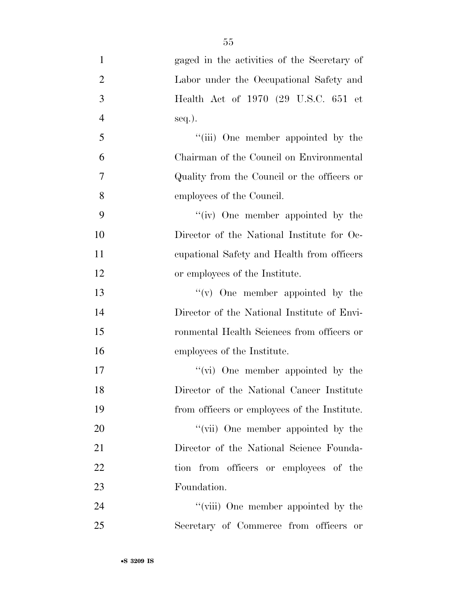| $\mathbf{1}$   | gaged in the activities of the Secretary of  |
|----------------|----------------------------------------------|
| $\overline{2}$ | Labor under the Occupational Safety and      |
| 3              | Health Act of 1970 (29 U.S.C. 651 et         |
| $\overline{4}$ | $seq.$ ).                                    |
| 5              | "(iii) One member appointed by the           |
| 6              | Chairman of the Council on Environmental     |
| $\tau$         | Quality from the Council or the officers or  |
| 8              | employees of the Council.                    |
| 9              | "(iv) One member appointed by the            |
| 10             | Director of the National Institute for Oc-   |
| 11             | equational Safety and Health from officers   |
| 12             | or employees of the Institute.               |
| 13             | $f'(v)$ One member appointed by the          |
| 14             | Director of the National Institute of Envi-  |
| 15             | ronmental Health Sciences from officers or   |
| 16             | employees of the Institute.                  |
| 17             | "(vi) One member appointed by the            |
| 18             | Director of the National Cancer Institute    |
| 19             | from officers or employees of the Institute. |
| 20             | "(vii) One member appointed by the           |
| 21             | Director of the National Science Founda-     |
| 22             | tion from officers or employees of the       |
| 23             | Foundation.                                  |
| 24             | "(viii) One member appointed by the          |
| 25             | Secretary of Commerce from officers or       |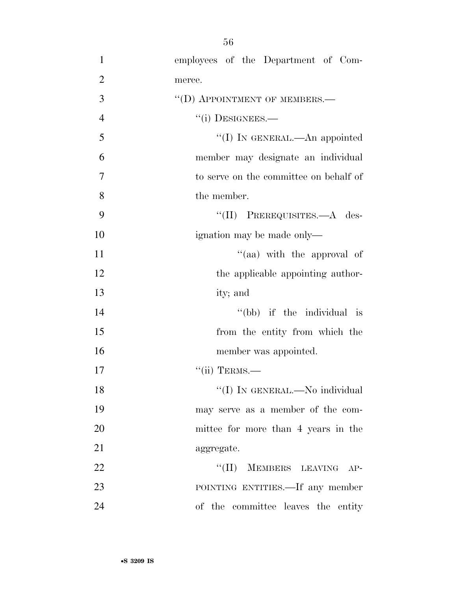| $\mathbf{1}$   | employees of the Department of Com-    |
|----------------|----------------------------------------|
| $\overline{2}$ | merce.                                 |
| 3              | "(D) APPOINTMENT OF MEMBERS.-          |
| $\overline{4}$ | $``(i)$ DESIGNEES.—                    |
| 5              | "(I) IN GENERAL.—An appointed          |
| 6              | member may designate an individual     |
| $\overline{7}$ | to serve on the committee on behalf of |
| 8              | the member.                            |
| 9              | "(II) PREREQUISITES.—A des-            |
| 10             | ignation may be made only—             |
| 11             | "(aa) with the approval of             |
| 12             | the applicable appointing author-      |
| 13             | ity; and                               |
| 14             | "(bb) if the individual is             |
| 15             | from the entity from which the         |
| 16             | member was appointed.                  |
| 17             | $``(ii)$ TERMS.—                       |
| 18             | "(I) IN GENERAL.—No individual         |
| 19             | may serve as a member of the com-      |
| 20             | mittee for more than 4 years in the    |
| 21             | aggregate.                             |
| 22             | "(II) MEMBERS LEAVING AP-              |
| 23             | POINTING ENTITIES.—If any member       |
| 24             | of the committee leaves the entity     |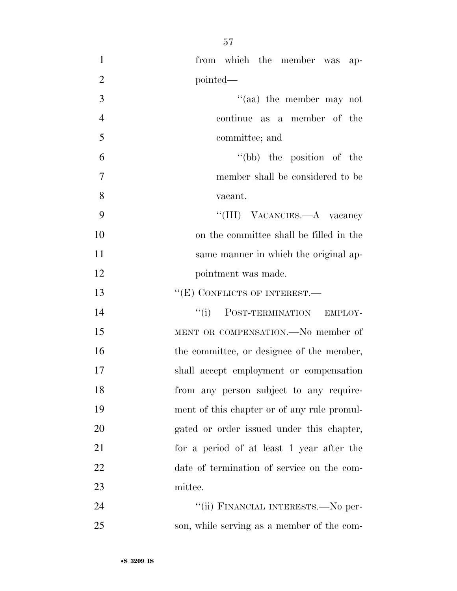| $\mathbf{1}$   | from which the member was ap-               |
|----------------|---------------------------------------------|
| $\mathfrak{2}$ | pointed—                                    |
| 3              | $\lq(aa)$ the member may not                |
| $\overline{4}$ | continue as a member of the                 |
| 5              | committee; and                              |
| 6              | "(bb) the position of the                   |
| $\overline{7}$ | member shall be considered to be            |
| 8              | vacant.                                     |
| 9              | "(III) VACANCIES.—A vacancy                 |
| 10             | on the committee shall be filled in the     |
| 11             | same manner in which the original ap-       |
| 12             | pointment was made.                         |
| 13             | "(E) CONFLICTS OF INTEREST.-                |
| 14             | "(i) POST-TERMINATION EMPLOY-               |
| 15             | MENT OR COMPENSATION.—No member of          |
| 16             | the committee, or designee of the member,   |
| 17             | shall accept employment or compensation     |
| 18             | from any person subject to any require-     |
| 19             | ment of this chapter or of any rule promul- |
| 20             | gated or order issued under this chapter,   |
| 21             | for a period of at least 1 year after the   |
| 22             | date of termination of service on the com-  |
| 23             | mittee.                                     |
| 24             | "(ii) FINANCIAL INTERESTS.—No per-          |
| 25             | son, while serving as a member of the com-  |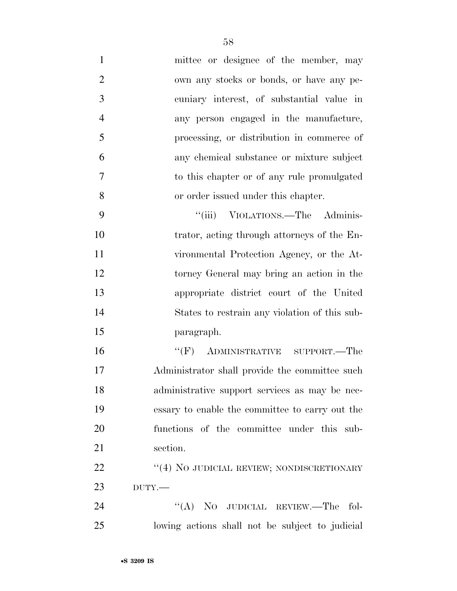| $\mathbf{1}$   | mittee or designee of the member, may           |
|----------------|-------------------------------------------------|
| $\overline{2}$ | own any stocks or bonds, or have any pe-        |
| 3              | cuniary interest, of substantial value in       |
| $\overline{4}$ | any person engaged in the manufacture,          |
| 5              | processing, or distribution in commerce of      |
| 6              | any chemical substance or mixture subject       |
| 7              | to this chapter or of any rule promulgated      |
| 8              | or order issued under this chapter.             |
| 9              | "(iii) VIOLATIONS.—The Adminis-                 |
| 10             | trator, acting through attorneys of the En-     |
| 11             | vironmental Protection Agency, or the At-       |
| 12             | torney General may bring an action in the       |
| 13             | appropriate district court of the United        |
| 14             | States to restrain any violation of this sub-   |
| 15             | paragraph.                                      |
| 16             | " $(F)$ ADMINISTRATIVE SUPPORT.—The             |
| 17             | Administrator shall provide the committee such  |
| 18             | administrative support services as may be nec-  |
| 19             | essary to enable the committee to carry out the |
| 20             | functions of the committee under this sub-      |
| 21             | section.                                        |
| 22             | "(4) NO JUDICIAL REVIEW; NONDISCRETIONARY       |
| 23             | $DUTY$ .                                        |
| 24             | "(A) NO JUDICIAL REVIEW.—The fol-               |
| 25             | lowing actions shall not be subject to judicial |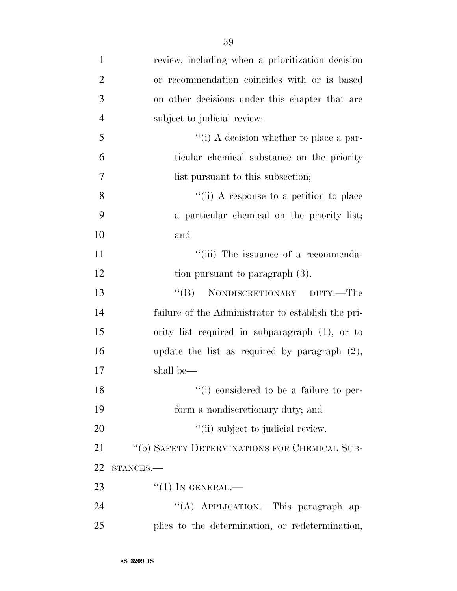| $\mathbf{1}$   | review, including when a prioritization decision   |
|----------------|----------------------------------------------------|
| $\overline{2}$ | or recommendation coincides with or is based       |
| 3              | on other decisions under this chapter that are     |
| $\overline{4}$ | subject to judicial review:                        |
| 5              | "(i) A decision whether to place a par-            |
| 6              | ticular chemical substance on the priority         |
| $\tau$         | list pursuant to this subsection;                  |
| 8              | "(ii) A response to a petition to place            |
| 9              | a particular chemical on the priority list;        |
| 10             | and                                                |
| 11             | "(iii) The issuance of a recommenda-               |
| 12             | tion pursuant to paragraph (3).                    |
| 13             | NONDISCRETIONARY DUTY.—The<br>$\lq\lq (B)$         |
| 14             | failure of the Administrator to establish the pri- |
| 15             | ority list required in subparagraph (1), or to     |
| 16             | update the list as required by paragraph $(2)$ ,   |
| 17             | shall be—                                          |
| 18             | "(i) considered to be a failure to per-            |
| 19             | form a nondiscretionary duty; and                  |
| 20             | "(ii) subject to judicial review.                  |
| 21             | "(b) SAFETY DETERMINATIONS FOR CHEMICAL SUB-       |
| 22             | STANCES.                                           |
| 23             | $``(1)$ IN GENERAL.—                               |
| 24             | "(A) APPLICATION.—This paragraph ap-               |
| 25             | plies to the determination, or redetermination,    |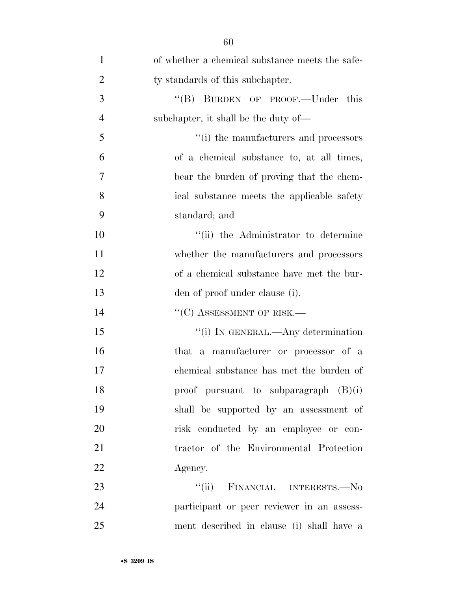| $\mathbf{1}$   | of whether a chemical substance meets the safe- |
|----------------|-------------------------------------------------|
| $\overline{2}$ | ty standards of this subchapter.                |
| 3              | "(B) BURDEN OF PROOF.—Under this                |
| $\overline{4}$ | subchapter, it shall be the duty of—            |
| 5              | "(i) the manufacturers and processors           |
| 6              | of a chemical substance to, at all times,       |
| 7              | bear the burden of proving that the chem-       |
| 8              | ical substance meets the applicable safety      |
| 9              | standard; and                                   |
| 10             | "(ii) the Administrator to determine            |
| 11             | whether the manufacturers and processors        |
| 12             | of a chemical substance have met the bur-       |
| 13             | den of proof under clause (i).                  |
| 14             | $``(C)$ ASSESSMENT OF RISK.—                    |
| 15             | "(i) IN GENERAL.—Any determination              |
| 16             | that a manufacturer or processor of a           |
| 17             | chemical substance has met the burden of        |
| 18             | proof pursuant to subparagraph $(B)(i)$         |
| 19             | shall be supported by an assessment of          |
| 20             | risk conducted by an employee or con-           |
| 21             | tractor of the Environmental Protection         |
| 22             | Agency.                                         |
| 23             | ``(ii)<br>FINANCIAL INTERESTS.—No               |
| 24             | participant or peer reviewer in an assess-      |
| 25             | ment described in clause (i) shall have a       |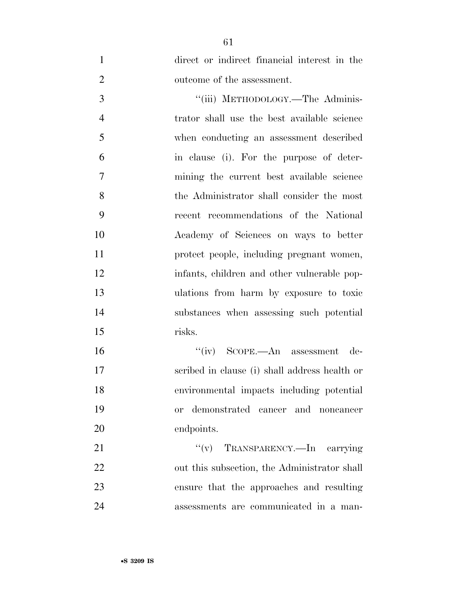direct or indirect financial interest in the outcome of the assessment.

3 "(iii) METHODOLOGY.—The Adminis- trator shall use the best available science when conducting an assessment described in clause (i). For the purpose of deter- mining the current best available science the Administrator shall consider the most recent recommendations of the National Academy of Sciences on ways to better protect people, including pregnant women, infants, children and other vulnerable pop- ulations from harm by exposure to toxic substances when assessing such potential risks.

 ''(iv) SCOPE.—An assessment de- scribed in clause (i) shall address health or environmental impacts including potential or demonstrated cancer and noncancer endpoints.

21 ''(v) TRANSPARENCY.—In carrying 22 out this subsection, the Administrator shall ensure that the approaches and resulting assessments are communicated in a man-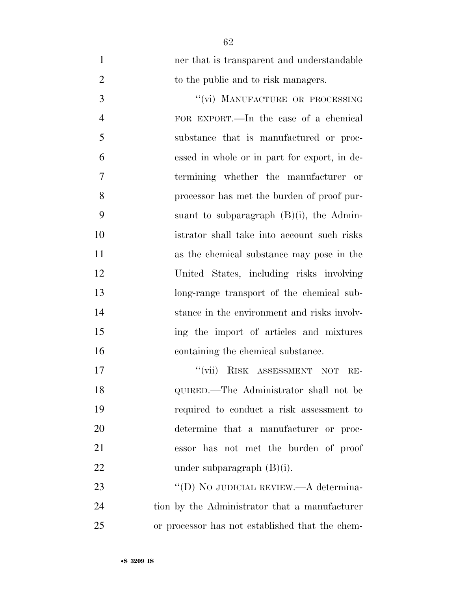ner that is transparent and understandable 2 to the public and to risk managers. 3 "(vi) MANUFACTURE OR PROCESSING FOR EXPORT.—In the case of a chemical substance that is manufactured or proc- essed in whole or in part for export, in de- termining whether the manufacturer or processor has met the burden of proof pur-9 suant to subparagraph  $(B)(i)$ , the Admin- istrator shall take into account such risks as the chemical substance may pose in the United States, including risks involving long-range transport of the chemical sub- stance in the environment and risks involv- ing the import of articles and mixtures containing the chemical substance. 17 ''(vii) RISK ASSESSMENT NOT RE- QUIRED.—The Administrator shall not be required to conduct a risk assessment to determine that a manufacturer or proc-essor has not met the burden of proof

23 "'(D) NO JUDICIAL REVIEW.—A determina- tion by the Administrator that a manufacturer or processor has not established that the chem-

22 under subparagraph (B)(i).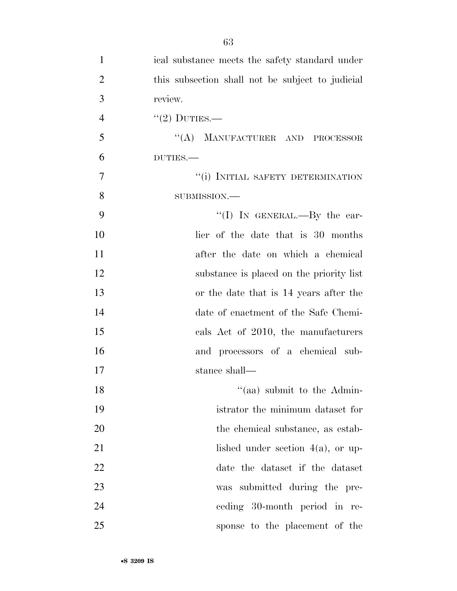| $\mathbf{1}$   | ical substance meets the safety standard under   |
|----------------|--------------------------------------------------|
| $\overline{2}$ | this subsection shall not be subject to judicial |
| 3              | review.                                          |
| $\overline{4}$ | $"(2)$ DUTIES.—                                  |
| 5              | "(A) MANUFACTURER AND PROCESSOR                  |
| 6              | DUTIES.                                          |
| 7              | "(i) INITIAL SAFETY DETERMINATION                |
| 8              | SUBMISSION.-                                     |
| 9              | "(I) IN GENERAL.—By the ear-                     |
| 10             | lier of the date that is 30 months               |
| 11             | after the date on which a chemical               |
| 12             | substance is placed on the priority list         |
| 13             | or the date that is 14 years after the           |
| 14             | date of enactment of the Safe Chemi-             |
| 15             | cals Act of 2010, the manufacturers              |
| 16             | and processors of a chemical sub-                |
| 17             | stance shall—                                    |
| 18             | $\cdot$ (aa) submit to the Admin-                |
| 19             | istrator the minimum dataset for                 |
| 20             | the chemical substance, as estab-                |
| 21             | lished under section $4(a)$ , or up-             |
| 22             | date the dataset if the dataset                  |
| 23             | was submitted during the pre-                    |
| 24             | ceding 30-month period in re-                    |
| 25             | sponse to the placement of the                   |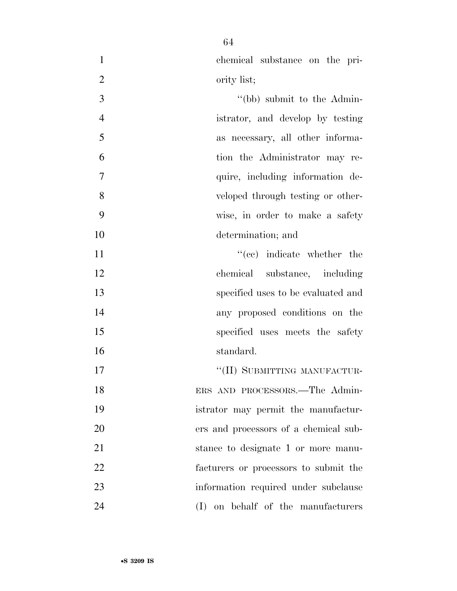|             | chemical substance on the pri- |  |  |
|-------------|--------------------------------|--|--|
| ority list; |                                |  |  |

3 ''(bb) submit to the Admin- istrator, and develop by testing as necessary, all other informa- tion the Administrator may re- quire, including information de- veloped through testing or other- wise, in order to make a safety determination; and

 $"(ec)$  indicate whether the chemical substance, including specified uses to be evaluated and any proposed conditions on the 15 specified uses meets the safety standard.

17 "(II) SUBMITTING MANUFACTUR- ERS AND PROCESSORS.—The Admin- istrator may permit the manufactur- ers and processors of a chemical sub-21 stance to designate 1 or more manu- facturers or processors to submit the information required under subclause (I) on behalf of the manufacturers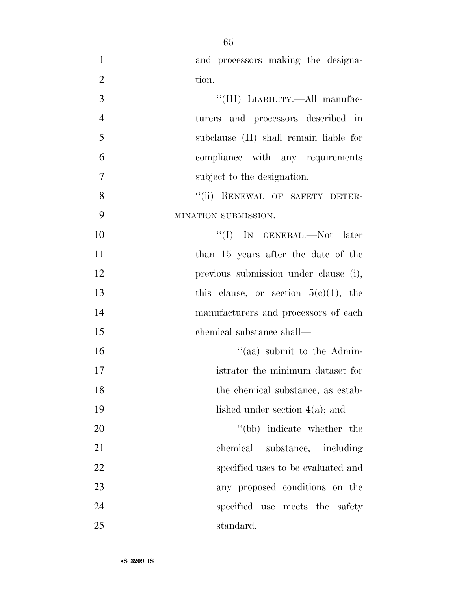| $\mathbf{1}$   | and processors making the designa-      |
|----------------|-----------------------------------------|
| $\overline{2}$ | tion.                                   |
| 3              | "(III) LIABILITY.—All manufac-          |
| $\overline{4}$ | turers and processors described in      |
| 5              | subclause (II) shall remain liable for  |
| 6              | compliance with any requirements        |
| 7              | subject to the designation.             |
| 8              | "(ii) RENEWAL OF SAFETY DETER-          |
| 9              | MINATION SUBMISSION.-                   |
| 10             | "(I) IN GENERAL.—Not later              |
| 11             | than 15 years after the date of the     |
| 12             | previous submission under clause (i),   |
| 13             | this clause, or section $5(e)(1)$ , the |
| 14             | manufacturers and processors of each    |
| 15             | chemical substance shall—               |
| 16             | $\cdot$ (aa) submit to the Admin-       |
| 17             | istrator the minimum dataset for        |
| 18             | the chemical substance, as estab-       |
| 19             | lished under section $4(a)$ ; and       |
| 20             | "(bb) indicate whether the              |
| 21             | chemical substance, including           |
| 22             | specified uses to be evaluated and      |
| 23             | any proposed conditions on the          |
| 24             | specified use meets the safety          |
| 25             | standard.                               |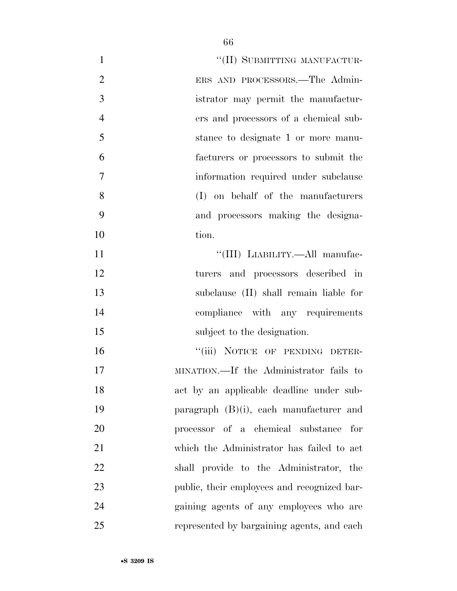| $\mathbf{1}$   | "(II) SUBMITTING MANUFACTUR-                |
|----------------|---------------------------------------------|
| $\overline{2}$ | ERS AND PROCESSORS.—The Admin-              |
| 3              | istrator may permit the manufactur-         |
| $\overline{4}$ | ers and processors of a chemical sub-       |
| 5              | stance to designate 1 or more manu-         |
| 6              | facturers or processors to submit the       |
| 7              | information required under subclause        |
| 8              | (I) on behalf of the manufacturers          |
| 9              | and processors making the designa-          |
| 10             | tion.                                       |
| 11             | "(III) LIABILITY.—All manufac-              |
| 12             | turers and processors described in          |
| 13             | subclause (II) shall remain liable for      |
| 14             | compliance with any requirements            |
| 15             | subject to the designation.                 |
| 16             | "(iii) NOTICE OF PENDING DETER-             |
| 17             | MINATION.—If the Administrator fails to     |
| 18             | act by an applicable deadline under sub-    |
| 19             | paragraph $(B)(i)$ , each manufacturer and  |
| 20             | processor of a chemical substance<br>for    |
| 21             | which the Administrator has failed to act   |
| 22             | shall provide to the Administrator, the     |
| 23             | public, their employees and recognized bar- |
| 24             | gaining agents of any employees who are     |
| 25             | represented by bargaining agents, and each  |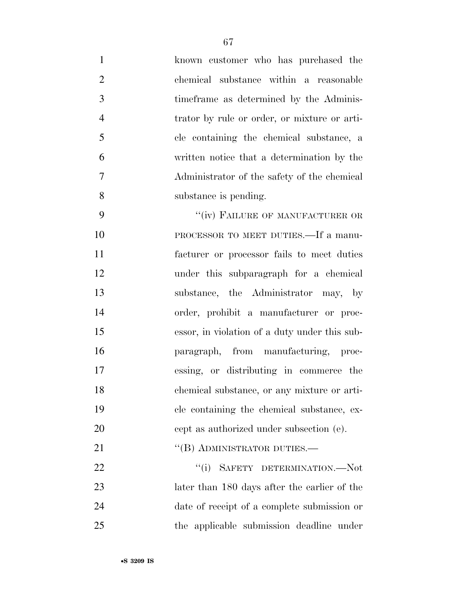| $\mathbf{1}$   | known customer who has purchased the          |
|----------------|-----------------------------------------------|
| $\overline{2}$ | chemical substance within a reasonable        |
| 3              | time frame as determined by the Adminis-      |
| $\overline{4}$ | trator by rule or order, or mixture or arti-  |
| 5              | cle containing the chemical substance, a      |
| 6              | written notice that a determination by the    |
| 7              | Administrator of the safety of the chemical   |
| 8              | substance is pending.                         |
| 9              | "(iv) FAILURE OF MANUFACTURER OR              |
| 10             | PROCESSOR TO MEET DUTIES.—If a manu-          |
| 11             | facturer or processor fails to meet duties    |
| 12             | under this subparagraph for a chemical        |
| 13             | substance, the Administrator may, by          |
| 14             | order, prohibit a manufacturer or proc-       |
| 15             | essor, in violation of a duty under this sub- |
| 16             | paragraph, from manufacturing, proc-          |
| 17             | essing, or distributing in commerce the       |
| 18             | chemical substance, or any mixture or arti-   |
| 19             | cle containing the chemical substance, ex-    |
| 20             | cept as authorized under subsection (e).      |
| 21             | "(B) ADMINISTRATOR DUTIES.-                   |
| <u>22</u>      | "(i) SAFETY DETERMINATION.—Not                |
| 23             | later than 180 days after the earlier of the  |
| 24             | date of receipt of a complete submission or   |
| 25             | the applicable submission deadline under      |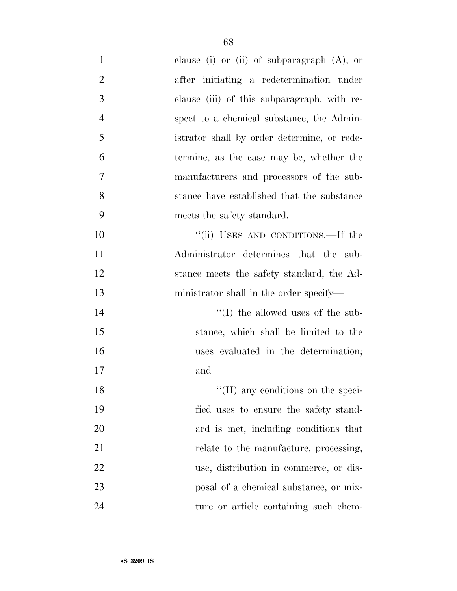| $\mathbf{1}$   | clause (i) or (ii) of subparagraph $(A)$ , or |
|----------------|-----------------------------------------------|
| $\overline{2}$ | after initiating a redetermination under      |
| 3              | clause (iii) of this subparagraph, with re-   |
| $\overline{4}$ | spect to a chemical substance, the Admin-     |
| 5              | istrator shall by order determine, or rede-   |
| 6              | termine, as the case may be, whether the      |
| 7              | manufacturers and processors of the sub-      |
| 8              | stance have established that the substance    |
| 9              | meets the safety standard.                    |
| 10             | "(ii) USES AND CONDITIONS.—If the             |
| 11             | Administrator determines that the sub-        |
| 12             | stance meets the safety standard, the Ad-     |
| 13             | ministrator shall in the order specify—       |
| 14             | $\lq\lq$ (I) the allowed uses of the sub-     |
| 15             | stance, which shall be limited to the         |
| 16             | uses evaluated in the determination;          |
| 17             | and                                           |
| 18             | $\lq\lq$ (II) any conditions on the speci-    |
| 19             | fied uses to ensure the safety stand-         |
| 20             | ard is met, including conditions that         |
| 21             | relate to the manufacture, processing,        |
| 22             | use, distribution in commerce, or dis-        |
| 23             | posal of a chemical substance, or mix-        |
| 24             | ture or article containing such chem-         |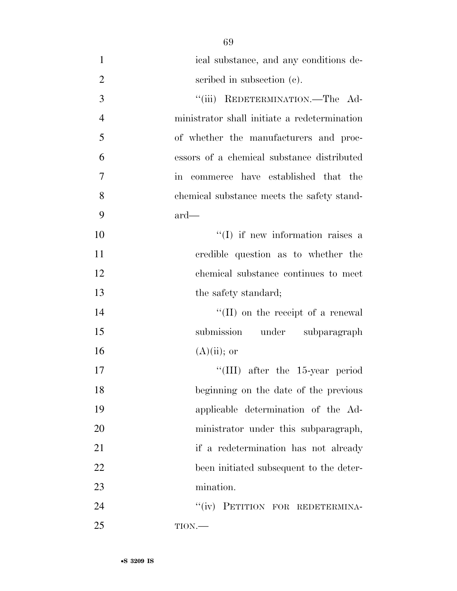ical substance, and any conditions de-2 seribed in subsection (c). 3 "(iii) REDETERMINATION.—The Ad- ministrator shall initiate a redetermination of whether the manufacturers and proc- essors of a chemical substance distributed in commerce have established that the chemical substance meets the safety stand- ard—  $\text{``(I)}$  if new information raises a credible question as to whether the chemical substance continues to meet 13 the safety standard; 14 ''(II) on the receipt of a renewal submission under subparagraph  $(A)(ii)$ ; or

17 ''(III) after the 15-year period beginning on the date of the previous applicable determination of the Ad- ministrator under this subparagraph, if a redetermination has not already been initiated subsequent to the deter-mination.

24 "(iv) PETITION FOR REDETERMINA-TION.—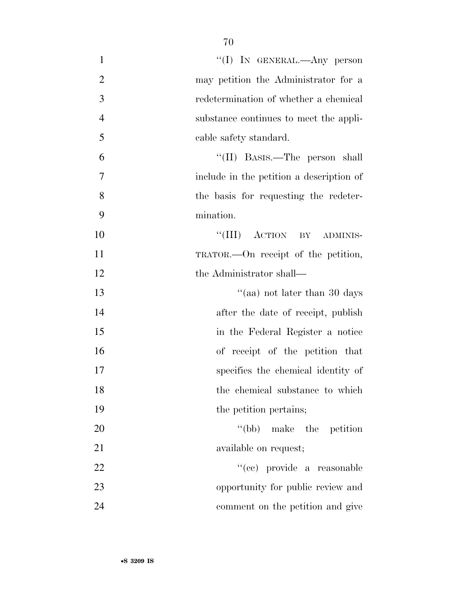| $\mathbf{1}$   | "(I) IN GENERAL.—Any person              |
|----------------|------------------------------------------|
| $\overline{2}$ | may petition the Administrator for a     |
| 3              | redetermination of whether a chemical    |
| $\overline{4}$ | substance continues to meet the appli-   |
| 5              | cable safety standard.                   |
| 6              | "(II) BASIS.—The person shall            |
| 7              | include in the petition a description of |
| 8              | the basis for requesting the redeter-    |
| 9              | mination.                                |
| 10             | "(III) ACTION BY ADMINIS-                |
| 11             | TRATOR.—On receipt of the petition,      |
| 12             | the Administrator shall—                 |
| 13             | "(aa) not later than 30 days             |
| 14             | after the date of receipt, publish       |
| 15             | in the Federal Register a notice         |
| 16             | of receipt of the petition that          |
| 17             | specifies the chemical identity of       |
| 18             | the chemical substance to which          |
| 19             | the petition pertains;                   |
| 20             | "(bb) make the petition                  |
| 21             | available on request;                    |
| 22             | "(cc) provide a reasonable               |
| 23             | opportunity for public review and        |
| 24             | comment on the petition and give         |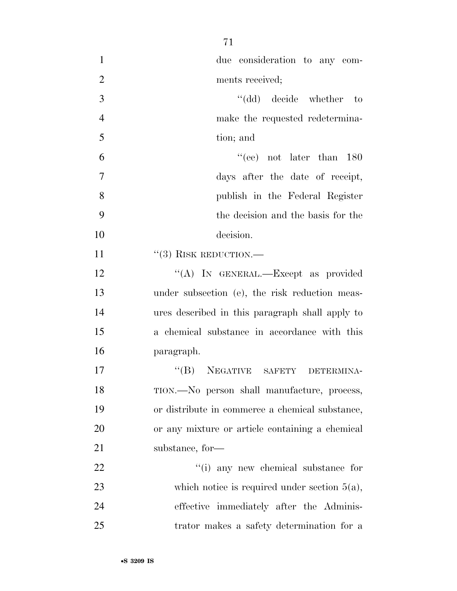| $\mathbf{1}$   | due consideration to any com-                   |
|----------------|-------------------------------------------------|
| $\overline{2}$ | ments received;                                 |
| 3              | "(dd) decide whether to                         |
| $\overline{4}$ | make the requested redetermina-                 |
| 5              | tion; and                                       |
| 6              | "(ee) not later than $180$                      |
| 7              | days after the date of receipt,                 |
| 8              | publish in the Federal Register                 |
| 9              | the decision and the basis for the              |
| 10             | decision.                                       |
| 11             | $``(3)$ RISK REDUCTION.—                        |
| 12             | "(A) IN GENERAL.—Except as provided             |
| 13             | under subsection (e), the risk reduction meas-  |
| 14             | ures described in this paragraph shall apply to |
| 15             | a chemical substance in accordance with this    |
| 16             | paragraph.                                      |
| 17             | "(B) NEGATIVE SAFETY DETERMINA-                 |
| 18             | TION.—No person shall manufacture, process,     |
| 19             | or distribute in commerce a chemical substance, |
| 20             | or any mixture or article containing a chemical |
| 21             | substance, for-                                 |
| 22             | "(i) any new chemical substance for             |
| 23             | which notice is required under section $5(a)$ , |
| 24             | effective immediately after the Adminis-        |
| 25             | trator makes a safety determination for a       |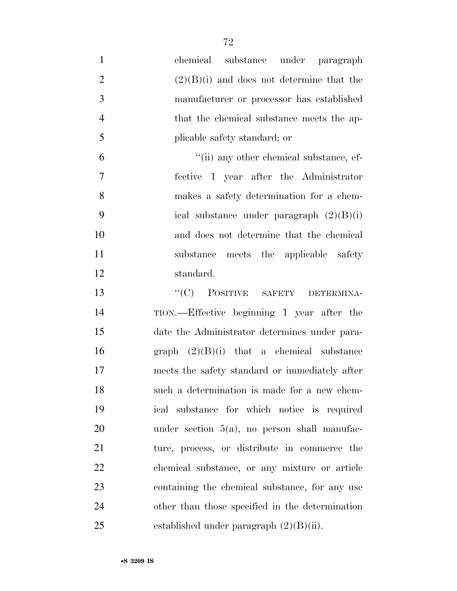- chemical substance under paragraph 2 (2)(B)(i) and does not determine that the manufacturer or processor has established 4 that the chemical substance meets the ap- plicable safety standard; or 6  $\frac{1}{\ln 2}$  any other chemical substance, ef- fective 1 year after the Administrator makes a safety determination for a chem- ical substance under paragraph (2)(B)(i) and does not determine that the chemical substance meets the applicable safety standard. 13 "(C) POSITIVE SAFETY DETERMINA-TION.—Effective beginning 1 year after the
- date the Administrator determines under para-16 graph  $(2)(B)(i)$  that a chemical substance meets the safety standard or immediately after such a determination is made for a new chem- ical substance for which notice is required under section 5(a), no person shall manufac- ture, process, or distribute in commerce the chemical substance, or any mixture or article containing the chemical substance, for any use other than those specified in the determination 25 established under paragraph  $(2)(B)(ii)$ .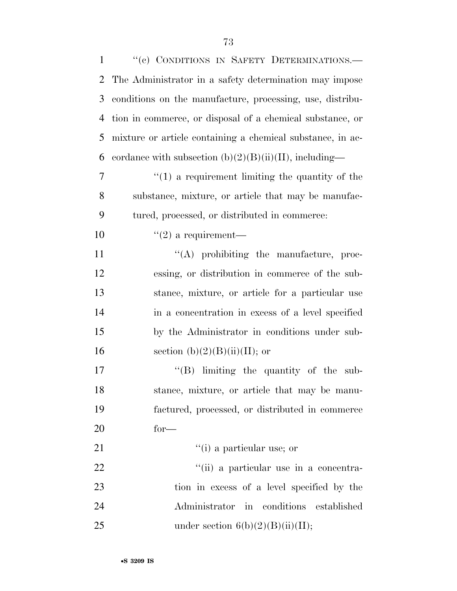| $\mathbf{1}$   | "(c) CONDITIONS IN SAFETY DETERMINATIONS.-                 |
|----------------|------------------------------------------------------------|
| $\overline{2}$ | The Administrator in a safety determination may impose     |
| 3              | conditions on the manufacture, processing, use, distribu-  |
| $\overline{4}$ | tion in commerce, or disposal of a chemical substance, or  |
| 5              | mixture or article containing a chemical substance, in ac- |
| 6              | cordance with subsection $(b)(2)(B)(ii)(II)$ , including—  |
| $\overline{7}$ | $f(1)$ a requirement limiting the quantity of the          |
| 8              | substance, mixture, or article that may be manufac-        |
| 9              | tured, processed, or distributed in commerce:              |
| 10             | $\lq(2)$ a requirement—                                    |
| 11             | $\lq\lq$ prohibiting the manufacture, proc-                |
| 12             | essing, or distribution in commerce of the sub-            |
| 13             | stance, mixture, or article for a particular use           |
| 14             | in a concentration in excess of a level specified          |
| 15             | by the Administrator in conditions under sub-              |
| 16             | section $(b)(2)(B)(ii)(II)$ ; or                           |
| 17             | "(B) limiting the quantity of the sub-                     |
| 18             | stance, mixture, or article that may be manu-              |
| 19             | factured, processed, or distributed in commerce            |
| 20             | $for-$                                                     |
| 21             | $f'(i)$ a particular use; or                               |
| 22             | "(ii) a particular use in a concentra-                     |
| 23             | tion in excess of a level specified by the                 |
| 24             | in conditions<br>Administrator<br>established              |
| 25             | under section $6(b)(2)(B)(ii)(II);$                        |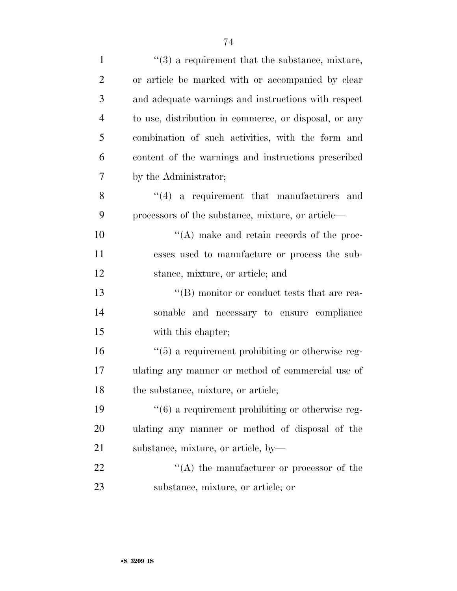| $\mathbf{1}$   | $\cdot\cdot$ (3) a requirement that the substance, mixture,      |
|----------------|------------------------------------------------------------------|
| $\overline{2}$ | or article be marked with or accompanied by clear                |
| 3              | and adequate warnings and instructions with respect              |
| $\overline{4}$ | to use, distribution in commerce, or disposal, or any            |
| 5              | combination of such activities, with the form and                |
| 6              | content of the warnings and instructions prescribed              |
| 7              | by the Administrator;                                            |
| 8              | $(4)$ a requirement that manufacturers and                       |
| 9              | processors of the substance, mixture, or article—                |
| 10             | $\lq\lq$ make and retain records of the proc-                    |
| 11             | esses used to manufacture or process the sub-                    |
| 12             | stance, mixture, or article; and                                 |
| 13             | $\lq\lq (B)$ monitor or conduct tests that are rea-              |
| 14             | sonable and necessary to ensure compliance                       |
| 15             | with this chapter;                                               |
| 16             | $\cdot\cdot\cdot(5)$ a requirement prohibiting or otherwise reg- |
| 17             | ulating any manner or method of commercial use of                |
| 18             | the substance, mixture, or article;                              |
| 19             | $\cdot\cdot\cdot(6)$ a requirement prohibiting or otherwise reg- |
| 20             | ulating any manner or method of disposal of the                  |
| 21             | substance, mixture, or article, by-                              |
| 22             | $\lq\lq$ the manufacturer or processor of the                    |
| 23             | substance, mixture, or article; or                               |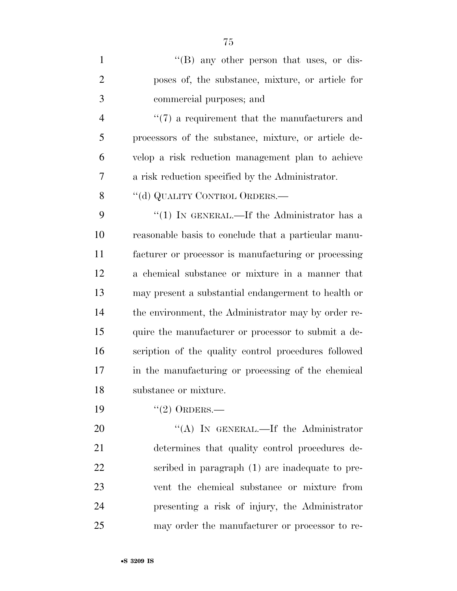| $\mathbf{1}$   | $\lq\lq (B)$ any other person that uses, or dis-     |
|----------------|------------------------------------------------------|
| $\overline{2}$ | poses of, the substance, mixture, or article for     |
| 3              | commercial purposes; and                             |
| $\overline{4}$ | $\lq(7)$ a requirement that the manufacturers and    |
| 5              | processors of the substance, mixture, or article de- |
| 6              | velop a risk reduction management plan to achieve    |
| 7              | a risk reduction specified by the Administrator.     |
| 8              | "(d) QUALITY CONTROL ORDERS.—                        |
| 9              | "(1) IN GENERAL.—If the Administrator has a          |
| 10             | reasonable basis to conclude that a particular manu- |
| 11             | facturer or processor is manufacturing or processing |
| 12             | a chemical substance or mixture in a manner that     |
| 13             | may present a substantial endangerment to health or  |
| 14             | the environment, the Administrator may by order re-  |
| 15             | quire the manufacturer or processor to submit a de-  |
| 16             | scription of the quality control procedures followed |
| 17             | in the manufacturing or processing of the chemical   |
| 18             | substance or mixture.                                |
| 19             | $(2)$ ORDERS.—                                       |
| 20             | "(A) IN GENERAL.—If the Administrator                |
| 21             | determines that quality control procedures de-       |
| 22             | scribed in paragraph (1) are inadequate to pre-      |
| 23             | vent the chemical substance or mixture from          |
| 24             | presenting a risk of injury, the Administrator       |
| 25             | may order the manufacturer or processor to re-       |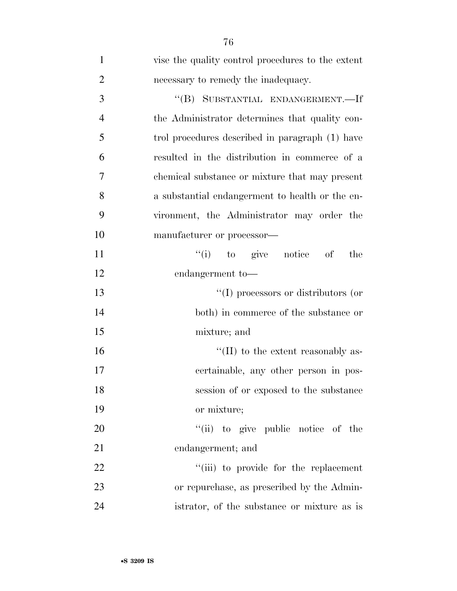| $\mathbf{1}$   | vise the quality control procedures to the extent |
|----------------|---------------------------------------------------|
| $\overline{2}$ | necessary to remedy the inadequacy.               |
| 3              | "(B) SUBSTANTIAL ENDANGERMENT.-If                 |
| $\overline{4}$ | the Administrator determines that quality con-    |
| 5              | trol procedures described in paragraph (1) have   |
| 6              | resulted in the distribution in commerce of a     |
| 7              | chemical substance or mixture that may present    |
| 8              | a substantial endangerment to health or the en-   |
| 9              | vironment, the Administrator may order the        |
| 10             | manufacturer or processor—                        |
| 11             | $f'(i)$ to give notice of<br>the                  |
| 12             | endangerment to-                                  |
| 13             | $\lq\lq$ (I) processors or distributors (or       |
| 14             | both) in commerce of the substance or             |
| 15             | mixture; and                                      |
| 16             | $\lq\lq$ (II) to the extent reasonably as-        |
| 17             | certainable, any other person in pos-             |
| 18             | session of or exposed to the substance            |
| 19             | or mixture;                                       |
| 20             | "(ii) to give public notice of the                |
| 21             | endangerment; and                                 |
| 22             | "(iii) to provide for the replacement             |
| 23             | or repurchase, as prescribed by the Admin-        |
| 24             | istrator, of the substance or mixture as is       |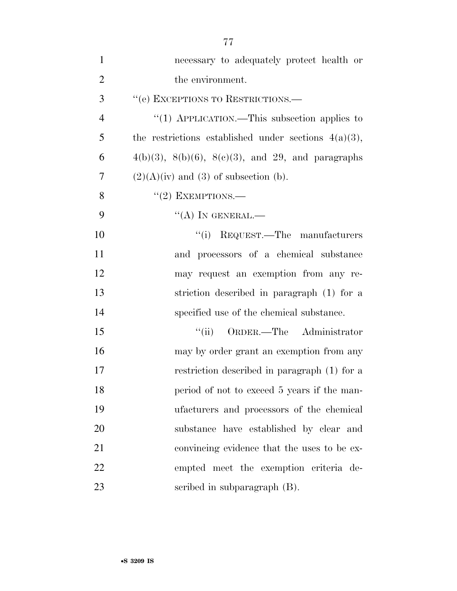| $\mathbf{1}$   | necessary to adequately protect health or                  |
|----------------|------------------------------------------------------------|
| $\overline{2}$ | the environment.                                           |
| 3              | "(e) EXCEPTIONS TO RESTRICTIONS.-                          |
| $\overline{4}$ | "(1) APPLICATION.—This subsection applies to               |
| 5              | the restrictions established under sections $4(a)(3)$ ,    |
| 6              | $4(b)(3)$ , $8(b)(6)$ , $8(c)(3)$ , and 29, and paragraphs |
| $\overline{7}$ | $(2)(A)(iv)$ and $(3)$ of subsection (b).                  |
| 8              | $"(2)$ EXEMPTIONS.—                                        |
| 9              | $\lq\lq (A)$ In GENERAL.—                                  |
| 10             | "(i) REQUEST.—The manufacturers                            |
| 11             | and processors of a chemical substance                     |
| 12             | may request an exemption from any re-                      |
| 13             | striction described in paragraph (1) for a                 |
| 14             | specified use of the chemical substance.                   |
| 15             | "(ii) ORDER.—The Administrator                             |
| 16             | may by order grant an exemption from any                   |
| 17             | restriction described in paragraph (1) for a               |
| 18             | period of not to exceed 5 years if the man-                |
| 19             | ufacturers and processors of the chemical                  |
| 20             | substance have established by clear and                    |
| 21             | convincing evidence that the uses to be ex-                |
| 22             | empted meet the exemption criteria de-                     |
| 23             | scribed in subparagraph (B).                               |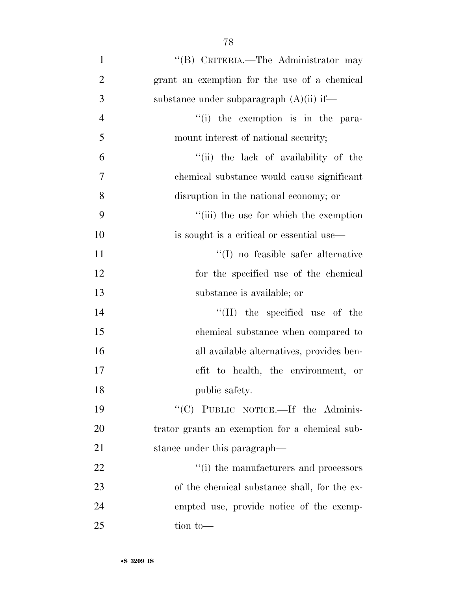| $\mathbf{1}$   | "(B) CRITERIA.—The Administrator may           |
|----------------|------------------------------------------------|
| $\overline{2}$ | grant an exemption for the use of a chemical   |
| 3              | substance under subparagraph $(A)(ii)$ if—     |
| $\overline{4}$ | "(i) the exemption is in the para-             |
| 5              | mount interest of national security;           |
| 6              | "(ii) the lack of availability of the          |
| $\overline{7}$ | chemical substance would cause significant     |
| 8              | disruption in the national economy; or         |
| 9              | "(iii) the use for which the exemption         |
| 10             | is sought is a critical or essential use—      |
| 11             | $\lq\lq$ no feasible safer alternative         |
| 12             | for the specified use of the chemical          |
| 13             | substance is available; or                     |
| 14             | $\lq\lq$ (II) the specified use of the         |
| 15             | chemical substance when compared to            |
| 16             | all available alternatives, provides ben-      |
| 17             | efit to health, the environment, or            |
| 18             | public safety.                                 |
| 19             | "(C) PUBLIC NOTICE.—If the Adminis-            |
| 20             | trator grants an exemption for a chemical sub- |
| 21             | stance under this paragraph—                   |
| 22             | "(i) the manufacturers and processors          |
| 23             | of the chemical substance shall, for the ex-   |
| 24             | empted use, provide notice of the exemp-       |
| 25             | tion to-                                       |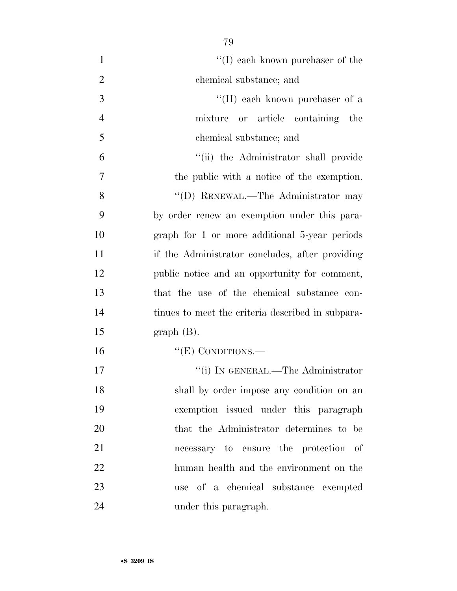| $\mathbf{1}$   | $\lq\lq (I)$ each known purchaser of the          |
|----------------|---------------------------------------------------|
| $\overline{2}$ | chemical substance; and                           |
| 3              | "(II) each known purchaser of a                   |
| $\overline{4}$ | mixture or article containing the                 |
| 5              | chemical substance; and                           |
| 6              | "(ii) the Administrator shall provide             |
| 7              | the public with a notice of the exemption.        |
| 8              | "(D) RENEWAL.—The Administrator may               |
| 9              | by order renew an exemption under this para-      |
| 10             | graph for 1 or more additional 5-year periods     |
| 11             | if the Administrator concludes, after providing   |
| 12             | public notice and an opportunity for comment,     |
| 13             | that the use of the chemical substance con-       |
| 14             | tinues to meet the criteria described in subpara- |
| 15             | $graph(B)$ .                                      |
| 16             | " $(E)$ CONDITIONS.—                              |
| 17             | "(i) IN GENERAL.—The Administrator                |
| 18             | shall by order impose any condition on an         |
| 19             | exemption issued under this paragraph             |
| 20             | that the Administrator determines to be           |
| 21             | necessary to ensure the protection of             |
| 22             | human health and the environment on the           |
| 23             | use of a chemical substance exempted              |
| 24             | under this paragraph.                             |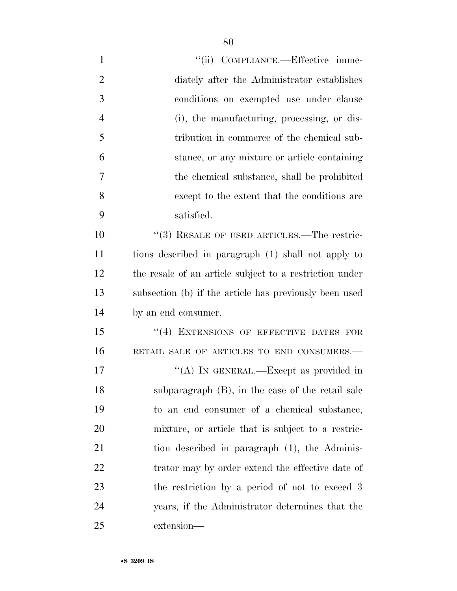| $\mathbf{1}$   | "(ii) COMPLIANCE.—Effective imme-                       |
|----------------|---------------------------------------------------------|
| $\overline{2}$ | diately after the Administrator establishes             |
| 3              | conditions on exempted use under clause                 |
| $\overline{4}$ | (i), the manufacturing, processing, or dis-             |
| 5              | tribution in commerce of the chemical sub-              |
| 6              | stance, or any mixture or article containing            |
| 7              | the chemical substance, shall be prohibited             |
| 8              | except to the extent that the conditions are            |
| 9              | satisfied.                                              |
| 10             | $\cdot$ (3) RESALE OF USED ARTICLES.—The restric-       |
| 11             | tions described in paragraph (1) shall not apply to     |
| 12             | the resale of an article subject to a restriction under |
| 13             | subsection (b) if the article has previously been used  |
| 14             | by an end consumer.                                     |
| 15             | "(4) EXTENSIONS OF EFFECTIVE DATES FOR                  |
| 16             | RETAIL SALE OF ARTICLES TO END CONSUMERS.-              |
| 17             | "(A) IN GENERAL.—Except as provided in                  |
| 18             | subparagraph $(B)$ , in the case of the retail sale     |
| 19             | to an end consumer of a chemical substance,             |
| 20             | mixture, or article that is subject to a restric-       |
| 21             | tion described in paragraph (1), the Adminis-           |
| 22             | trator may by order extend the effective date of        |
| 23             | the restriction by a period of not to exceed 3          |
| 24             | years, if the Administrator determines that the         |
| 25             | extension-                                              |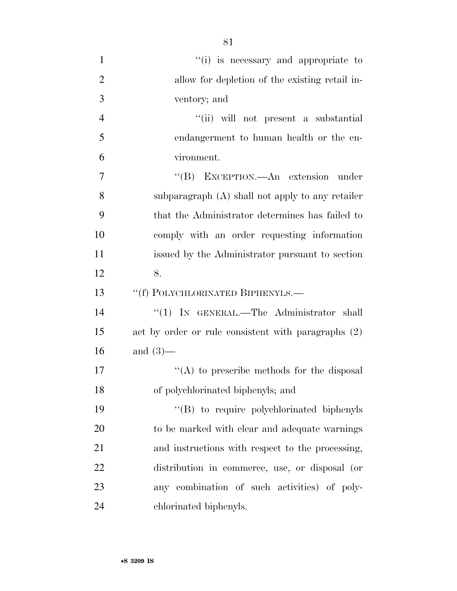| $\mathbf{1}$   | "(i) is necessary and appropriate to                |
|----------------|-----------------------------------------------------|
| $\overline{2}$ | allow for depletion of the existing retail in-      |
| 3              | ventory; and                                        |
| $\overline{4}$ | "(ii) will not present a substantial                |
| 5              | endangerment to human health or the en-             |
| 6              | vironment.                                          |
| $\overline{7}$ | "(B) EXCEPTION.—An extension under                  |
| 8              | subparagraph (A) shall not apply to any retailer    |
| 9              | that the Administrator determines has failed to     |
| 10             | comply with an order requesting information         |
| 11             | issued by the Administrator pursuant to section     |
| 12             | 8.                                                  |
| 13             | "(f) POLYCHLORINATED BIPHENYLS.-                    |
| 14             | "(1) IN GENERAL.—The Administrator shall            |
| 15             | act by order or rule consistent with paragraphs (2) |
| 16             | and $(3)$ —                                         |
| 17             | "(A) to prescribe methods for the disposal          |
| 18             | of polychlorinated biphenyls; and                   |
| 19             | "(B) to require polychlorinated biphenyls           |
| 20             | to be marked with clear and adequate warnings       |
| 21             | and instructions with respect to the processing,    |
| 22             | distribution in commerce, use, or disposal (or      |
| 23             | any combination of such activities) of poly-        |
| 24             | chlorinated biphenyls.                              |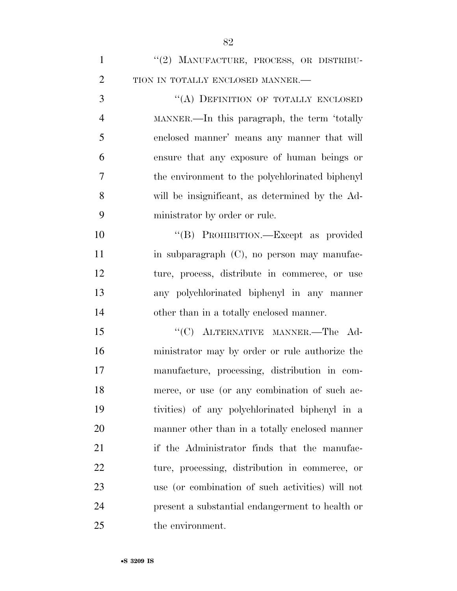| $\mathbf{1}$   | "(2) MANUFACTURE, PROCESS, OR DISTRIBU-          |
|----------------|--------------------------------------------------|
| $\overline{2}$ | TION IN TOTALLY ENCLOSED MANNER.-                |
| 3              | "(A) DEFINITION OF TOTALLY ENCLOSED              |
| $\overline{4}$ | MANNER.—In this paragraph, the term 'totally     |
| 5              | enclosed manner' means any manner that will      |
| 6              | ensure that any exposure of human beings or      |
| 7              | the environment to the polychlorinated biphenyl  |
| 8              | will be insignificant, as determined by the Ad-  |
| 9              | ministrator by order or rule.                    |
| 10             | "(B) PROHIBITION.—Except as provided             |
| 11             | in subparagraph (C), no person may manufac-      |
| 12             | ture, process, distribute in commerce, or use    |
| 13             | any polychlorinated biphenyl in any manner       |
| 14             | other than in a totally enclosed manner.         |
| 15             | "(C) ALTERNATIVE MANNER.-The Ad-                 |
| 16             | ministrator may by order or rule authorize the   |
| 17             | manufacture, processing, distribution in com-    |
| 18             | merce, or use (or any combination of such ac-    |
| 19             | tivities) of any polychlorinated biphenyl in a   |
| 20             | manner other than in a totally enclosed manner   |
| 21             | if the Administrator finds that the manufac-     |
| 22             | ture, processing, distribution in commerce, or   |
| 23             | use (or combination of such activities) will not |
| 24             | present a substantial endangerment to health or  |
| 25             | the environment.                                 |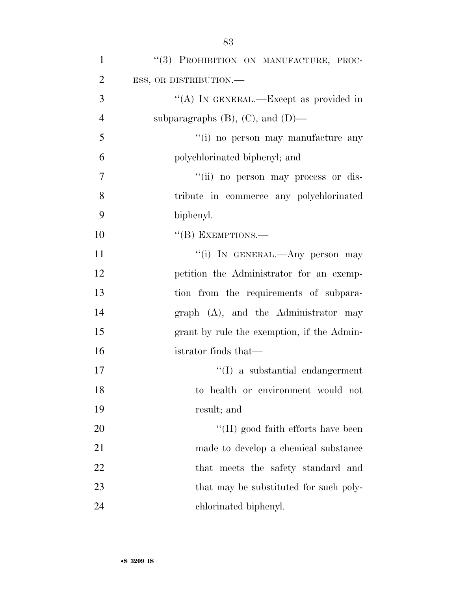| $\mathbf{1}$   | "(3) PROHIBITION ON MANUFACTURE, PROC-     |
|----------------|--------------------------------------------|
| $\overline{2}$ | ESS, OR DISTRIBUTION.-                     |
| 3              | "(A) IN GENERAL.—Except as provided in     |
| $\overline{4}$ | subparagraphs $(B)$ , $(C)$ , and $(D)$ —  |
| 5              | "(i) no person may manufacture any         |
| 6              | polychlorinated biphenyl; and              |
| $\overline{7}$ | "(ii) no person may process or dis-        |
| 8              | tribute in commerce any polychlorinated    |
| 9              | biphenyl.                                  |
| 10             | $``$ (B) EXEMPTIONS.—                      |
| 11             | "(i) IN GENERAL.—Any person may            |
| 12             | petition the Administrator for an exemp-   |
| 13             | tion from the requirements of subpara-     |
| 14             | graph (A), and the Administrator may       |
| 15             | grant by rule the exemption, if the Admin- |
| 16             | istrator finds that—                       |
| 17             | $\lq\lq$ a substantial endangerment        |
| 18             | to health or environment would not         |
| 19             | result; and                                |
| 20             | $\lq\lq$ (II) good faith efforts have been |
| 21             | made to develop a chemical substance       |
| 22             | that meets the safety standard and         |
| 23             | that may be substituted for such poly-     |
| 24             | chlorinated biphenyl.                      |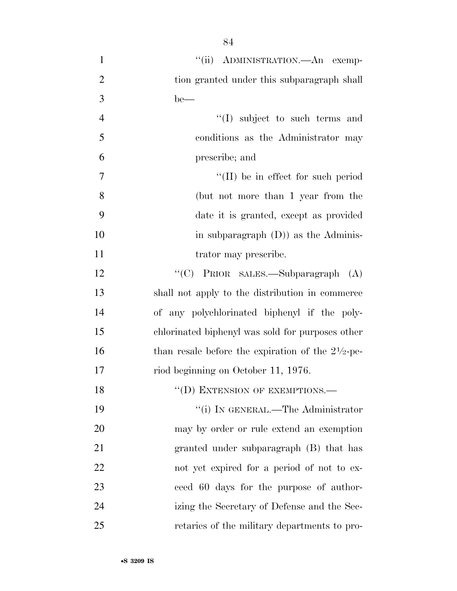| $\mathbf{1}$   | "(ii) ADMINISTRATION.—An exemp-                              |
|----------------|--------------------------------------------------------------|
| $\overline{2}$ | tion granted under this subparagraph shall                   |
| 3              | $be$ —                                                       |
| $\overline{4}$ | "(I) subject to such terms and                               |
| 5              | conditions as the Administrator may                          |
| 6              | prescribe; and                                               |
| $\overline{7}$ | $\lq$ (II) be in effect for such period                      |
| 8              | (but not more than 1 year from the                           |
| 9              | date it is granted, except as provided                       |
| 10             | in subparagraph $(D)$ as the Adminis-                        |
| 11             | trator may prescribe.                                        |
| 12             | "(C) PRIOR SALES.—Subparagraph (A)                           |
| 13             | shall not apply to the distribution in commerce              |
| 14             | of any polychlorinated biphenyl if the poly-                 |
| 15             | chlorinated biphenyl was sold for purposes other             |
| 16             | than resale before the expiration of the $2\frac{1}{2}$ -pe- |
| 17             | riod beginning on October 11, 1976.                          |
| 18             | "(D) EXTENSION OF EXEMPTIONS.-                               |
| 19             | "(i) IN GENERAL.—The Administrator                           |
| 20             | may by order or rule extend an exemption                     |
| 21             | granted under subparagraph (B) that has                      |
| 22             | not yet expired for a period of not to ex-                   |
| 23             | ceed 60 days for the purpose of author-                      |
| 24             | izing the Secretary of Defense and the Sec-                  |
| 25             | retaries of the military departments to pro-                 |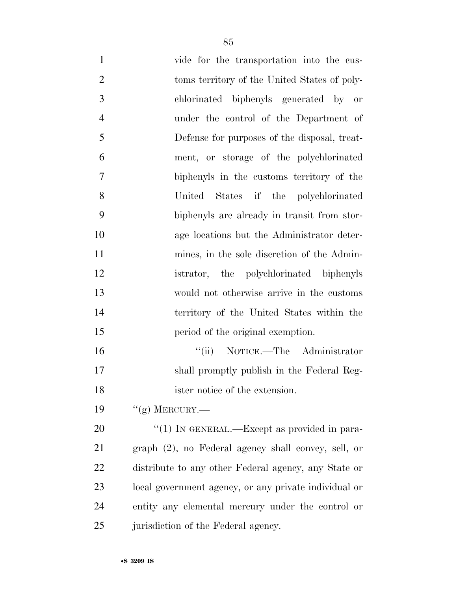| $\mathbf{1}$   | vide for the transportation into the cus-             |
|----------------|-------------------------------------------------------|
| $\overline{2}$ | toms territory of the United States of poly-          |
| 3              | chlorinated biphenyls generated by or                 |
| $\overline{4}$ | under the control of the Department of                |
| 5              | Defense for purposes of the disposal, treat-          |
| 6              | ment, or storage of the polychlorinated               |
| 7              | biphenyls in the customs territory of the             |
| 8              | United States if the polychlorinated                  |
| 9              | biphenyls are already in transit from stor-           |
| 10             | age locations but the Administrator deter-            |
| 11             | mines, in the sole discretion of the Admin-           |
| 12             | istrator, the polychlorinated biphenyls               |
| 13             | would not otherwise arrive in the customs             |
| 14             | territory of the United States within the             |
| 15             | period of the original exemption.                     |
| 16             | "(ii) NOTICE.—The Administrator                       |
| 17             | shall promptly publish in the Federal Reg-            |
| 18             | ister notice of the extension.                        |
| 19             | "(g) MERCURY.—                                        |
| 20             | " $(1)$ In GENERAL.—Except as provided in para-       |
| 21             | graph (2), no Federal agency shall convey, sell, or   |
| 22             | distribute to any other Federal agency, any State or  |
| 23             | local government agency, or any private individual or |
| 24             | entity any elemental mercury under the control or     |
| 25             | jurisdiction of the Federal agency.                   |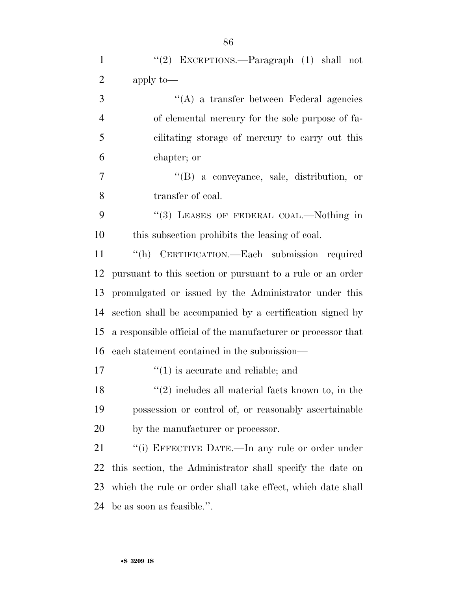| $\mathbf{1}$   | "(2) EXCEPTIONS.—Paragraph $(1)$ shall not                   |
|----------------|--------------------------------------------------------------|
| $\overline{2}$ | apply to-                                                    |
| 3              | $\lq\lq$ a transfer between Federal agencies                 |
| $\overline{4}$ | of elemental mercury for the sole purpose of fa-             |
| 5              | cilitating storage of mercury to carry out this              |
| 6              | chapter; or                                                  |
| $\tau$         | $\lq\lq (B)$ a conveyance, sale, distribution, or            |
| 8              | transfer of coal.                                            |
| 9              | "(3) LEASES OF FEDERAL COAL.—Nothing in                      |
| 10             | this subsection prohibits the leasing of coal.               |
| 11             | "(h) CERTIFICATION.—Each submission required                 |
| 12             | pursuant to this section or pursuant to a rule or an order   |
| 13             | promulgated or issued by the Administrator under this        |
| 14             | section shall be accompanied by a certification signed by    |
| 15             | a responsible official of the manufacturer or processor that |
| 16             | each statement contained in the submission—                  |
| 17             | $f'(1)$ is accurate and reliable; and                        |
| 18             | $"(2)$ includes all material facts known to, in the          |
| 19             | possession or control of, or reasonably ascertainable        |
| 20             | by the manufacturer or processor.                            |
| 21             | "(i) EFFECTIVE DATE.—In any rule or order under              |
| 22             | this section, the Administrator shall specify the date on    |
| 23             | which the rule or order shall take effect, which date shall  |
| 24             | be as soon as feasible.".                                    |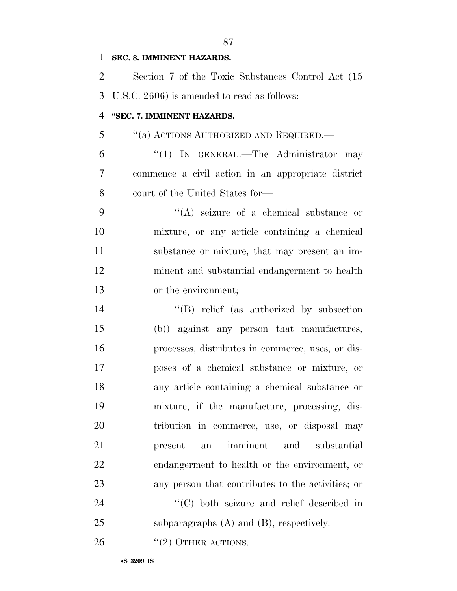## **SEC. 8. IMMINENT HAZARDS.**

 Section 7 of the Toxic Substances Control Act (15 U.S.C. 2606) is amended to read as follows: **''SEC. 7. IMMINENT HAZARDS.**  ''(a) ACTIONS AUTHORIZED AND REQUIRED.— ''(1) IN GENERAL.—The Administrator may commence a civil action in an appropriate district court of the United States for— ''(A) seizure of a chemical substance or mixture, or any article containing a chemical substance or mixture, that may present an im- minent and substantial endangerment to health or the environment; 14 "(B) relief (as authorized by subsection (b)) against any person that manufactures, processes, distributes in commerce, uses, or dis- poses of a chemical substance or mixture, or any article containing a chemical substance or mixture, if the manufacture, processing, dis- tribution in commerce, use, or disposal may present an imminent and substantial endangerment to health or the environment, or any person that contributes to the activities; or  $\cdot$  (C) both seizure and relief described in subparagraphs (A) and (B), respectively.

26  $((2)$  OTHER ACTIONS.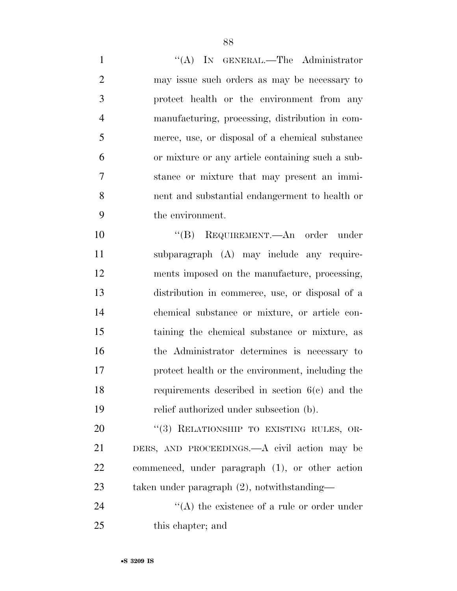1 "(A) IN GENERAL.—The Administrator may issue such orders as may be necessary to protect health or the environment from any manufacturing, processing, distribution in com- merce, use, or disposal of a chemical substance or mixture or any article containing such a sub- stance or mixture that may present an immi- nent and substantial endangerment to health or the environment.

 ''(B) REQUIREMENT.—An order under subparagraph (A) may include any require- ments imposed on the manufacture, processing, distribution in commerce, use, or disposal of a chemical substance or mixture, or article con- taining the chemical substance or mixture, as the Administrator determines is necessary to protect health or the environment, including the requirements described in section 6(c) and the relief authorized under subsection (b).

20 "(3) RELATIONSHIP TO EXISTING RULES, OR- DERS, AND PROCEEDINGS.—A civil action may be commenced, under paragraph (1), or other action taken under paragraph (2), notwithstanding—

24  $\langle (A)$  the existence of a rule or order under this chapter; and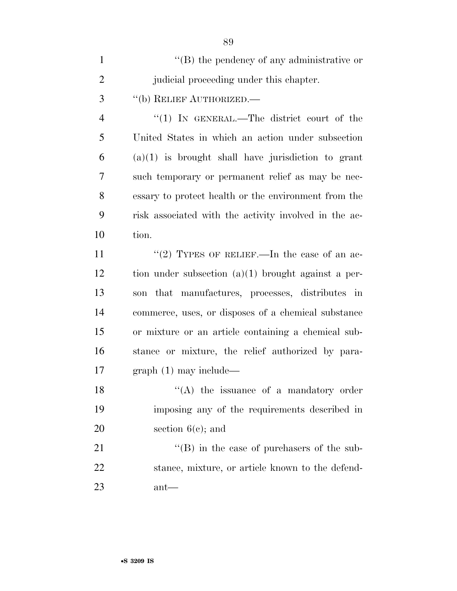| $\mathbf{1}$   | $\lq\lq (B)$ the pendency of any administrative or    |
|----------------|-------------------------------------------------------|
| $\overline{2}$ | judicial proceeding under this chapter.               |
| 3              | "(b) RELIEF AUTHORIZED.                               |
| $\overline{4}$ | "(1) IN GENERAL.—The district court of the            |
| 5              | United States in which an action under subsection     |
| 6              | $(a)(1)$ is brought shall have jurisdiction to grant  |
| 7              | such temporary or permanent relief as may be nec-     |
| 8              | essary to protect health or the environment from the  |
| 9              | risk associated with the activity involved in the ac- |
| 10             | tion.                                                 |
| 11             | "(2) TYPES OF RELIEF.—In the case of an ac-           |
| 12             | tion under subsection $(a)(1)$ brought against a per- |
| 13             | that manufactures, processes, distributes in<br>son   |
| 14             | commerce, uses, or disposes of a chemical substance   |
| 15             | or mixture or an article containing a chemical sub-   |
| 16             | stance or mixture, the relief authorized by para-     |
| 17             | $graph(1)$ may include—                               |
| 18             | $\lq\lq$ the issuance of a mandatory order            |
| 19             | imposing any of the requirements described in         |
| 20             | section $6(c)$ ; and                                  |
| 21             | $\lq\lq$ (B) in the case of purchasers of the sub-    |
| 22             | stance, mixture, or article known to the defend-      |
| 23             | $ant$ —                                               |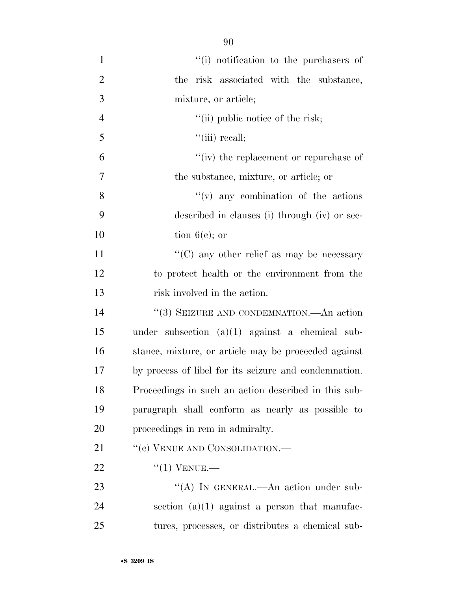''(i) notification to the purchasers of the risk associated with the substance, mixture, or article; 4 ''(ii) public notice of the risk; ''(iii) recall; ''(iv) the replacement or repurchase of the substance, mixture, or article; or 8 ''(v) any combination of the actions described in clauses (i) through (iv) or sec- tion  $6(e)$ ; or 11 ''(C) any other relief as may be necessary to protect health or the environment from the 13 risk involved in the action. 14 "(3) SEIZURE AND CONDEMNATION.—An action under subsection (a)(1) against a chemical sub- stance, mixture, or article may be proceeded against by process of libel for its seizure and condemnation. Proceedings in such an action described in this sub- paragraph shall conform as nearly as possible to proceedings in rem in admiralty. 21 "(c) VENUE AND CONSOLIDATION.— ''(1) VENUE.— 23 "(A) IN GENERAL.—An action under sub-

24 section  $(a)(1)$  against a person that manufac-tures, processes, or distributes a chemical sub-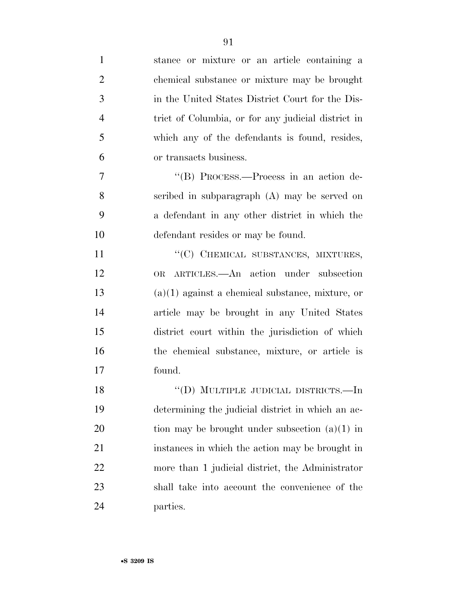| $\mathbf{1}$   | stance or mixture or an article containing a       |
|----------------|----------------------------------------------------|
| $\overline{2}$ | chemical substance or mixture may be brought       |
| 3              | in the United States District Court for the Dis-   |
| $\overline{4}$ | trict of Columbia, or for any judicial district in |
| 5              | which any of the defendants is found, resides,     |
| 6              | or transacts business.                             |
| 7              | "(B) PROCESS.—Process in an action de-             |
| 8              | scribed in subparagraph (A) may be served on       |
| 9              | a defendant in any other district in which the     |
| 10             | defendant resides or may be found.                 |
| 11             | "(C) CHEMICAL SUBSTANCES, MIXTURES,                |
| 12             | ARTICLES.—An action under subsection<br>OR         |
| 13             | $(a)(1)$ against a chemical substance, mixture, or |
| 14             | article may be brought in any United States        |
| 15             | district court within the jurisdiction of which    |
| 16             | the chemical substance, mixture, or article is     |
| 17             | found.                                             |
| 18             | "(D) MULTIPLE JUDICIAL DISTRICTS.—In               |
| 19             | determining the judicial district in which an ac-  |
| 20             | tion may be brought under subsection $(a)(1)$ in   |
| 21             | instances in which the action may be brought in    |
| 22             | more than 1 judicial district, the Administrator   |
| 23             | shall take into account the convenience of the     |
| 24             | parties.                                           |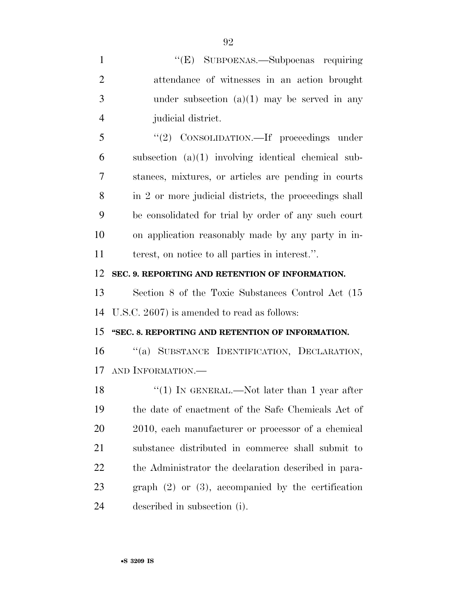| $\mathbf{1}$   | "(E) SUBPOENAS.—Subpoenas requiring                     |
|----------------|---------------------------------------------------------|
| $\overline{2}$ | attendance of witnesses in an action brought            |
| 3              | under subsection $(a)(1)$ may be served in any          |
| $\overline{4}$ | judicial district.                                      |
| 5              | "(2) CONSOLIDATION.—If proceedings under                |
| 6              | subsection $(a)(1)$ involving identical chemical sub-   |
| 7              | stances, mixtures, or articles are pending in courts    |
| 8              | in 2 or more judicial districts, the proceedings shall  |
| 9              | be consolidated for trial by order of any such court    |
| 10             | on application reasonably made by any party in in-      |
| 11             | terest, on notice to all parties in interest.".         |
| 12             | SEC. 9. REPORTING AND RETENTION OF INFORMATION.         |
| 13             | Section 8 of the Toxic Substances Control Act (15)      |
| 14             | U.S.C. 2607) is amended to read as follows:             |
| 15             | "SEC. 8. REPORTING AND RETENTION OF INFORMATION.        |
| 16             | "(a) SUBSTANCE IDENTIFICATION, DECLARATION,             |
| 17             | AND INFORMATION.                                        |
| 18             | "(1) IN GENERAL.—Not later than 1 year after            |
| 19             | the date of enactment of the Safe Chemicals Act of      |
| 20             | 2010, each manufacturer or processor of a chemical      |
| 21             | substance distributed in commerce shall submit to       |
| 22             | the Administrator the declaration described in para-    |
| 23             | graph $(2)$ or $(3)$ , accompanied by the certification |
| 24             | described in subsection (i).                            |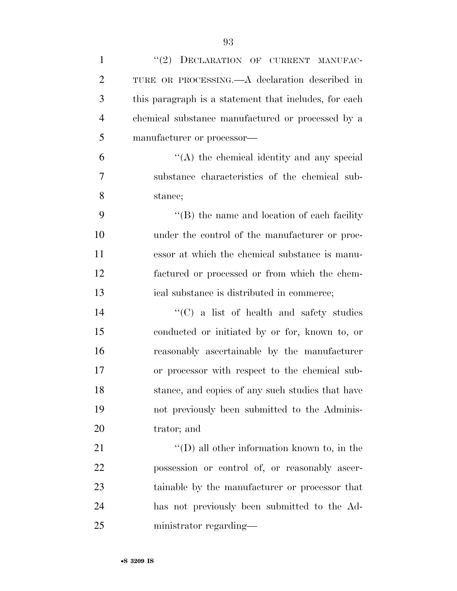| $\mathbf{1}$   | "(2) DECLARATION OF CURRENT MANUFAC-                  |
|----------------|-------------------------------------------------------|
| $\overline{2}$ | TURE OR PROCESSING.—A declaration described in        |
| 3              | this paragraph is a statement that includes, for each |
| $\overline{4}$ | chemical substance manufactured or processed by a     |
| 5              | manufacturer or processor—                            |
| 6              | $\lq\lq$ the chemical identity and any special        |
| 7              | substance characteristics of the chemical sub-        |
| 8              | stance;                                               |
| 9              | $\lq\lq$ (B) the name and location of each facility   |
| 10             | under the control of the manufacturer or proc-        |
| 11             | essor at which the chemical substance is manu-        |
| 12             | factured or processed or from which the chem-         |
| 13             | ical substance is distributed in commerce;            |
| 14             | $\lq\lq$ (C) a list of health and safety studies      |
| 15             | conducted or initiated by or for, known to, or        |
| 16             | reasonably ascertainable by the manufacturer          |
| 17             | or processor with respect to the chemical sub-        |
| 18             | stance, and copies of any such studies that have      |
| 19             | not previously been submitted to the Adminis-         |
| 20             | trator; and                                           |
| 21             | $\lq\lq$ (D) all other information known to, in the   |
| 22             | possession or control of, or reasonably ascer-        |
| 23             | tainable by the manufacturer or processor that        |
| 24             | has not previously been submitted to the Ad-          |
| 25             | ministrator regarding—                                |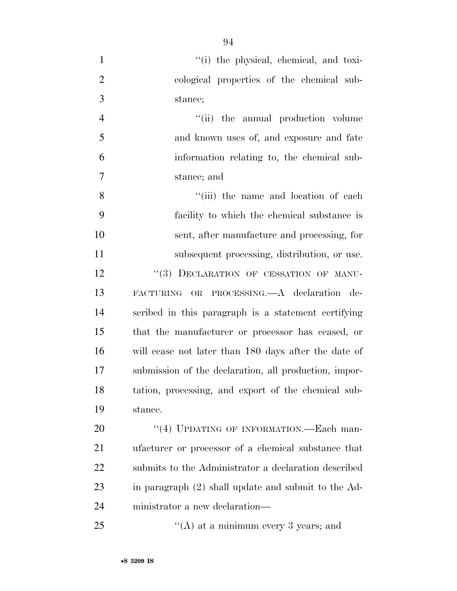- 1  $''(i)$  the physical, chemical, and toxi-
- cological properties of the chemical sub-stance;

4 ''(ii) the annual production volume and known uses of, and exposure and fate information relating to, the chemical sub-stance; and

8 ''(iii) the name and location of each facility to which the chemical substance is sent, after manufacture and processing, for subsequent processing, distribution, or use. 12 "(3) DECLARATION OF CESSATION OF MANU- FACTURING OR PROCESSING.—A declaration de- scribed in this paragraph is a statement certifying that the manufacturer or processor has ceased, or will cease not later than 180 days after the date of submission of the declaration, all production, impor- tation, processing, and export of the chemical sub-stance.

20 "(4) UPDATING OF INFORMATION.—Each man- ufacturer or processor of a chemical substance that submits to the Administrator a declaration described in paragraph (2) shall update and submit to the Ad-ministrator a new declaration—

25  $\frac{1}{2}$   $\frac{1}{2}$   $\frac{1}{2}$   $\frac{1}{2}$  at a minimum every 3 years; and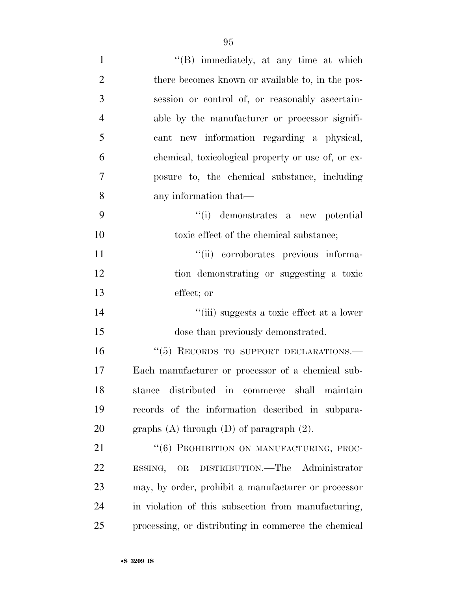| $\mathbf{1}$   | $\lq\lq$ immediately, at any time at which           |
|----------------|------------------------------------------------------|
| $\overline{2}$ | there becomes known or available to, in the pos-     |
| 3              | session or control of, or reasonably ascertain-      |
| $\overline{4}$ | able by the manufacturer or processor signifi-       |
| 5              | cant new information regarding a physical,           |
| 6              | chemical, toxicological property or use of, or ex-   |
| 7              | posure to, the chemical substance, including         |
| 8              | any information that—                                |
| 9              | "(i) demonstrates a new potential                    |
| 10             | toxic effect of the chemical substance;              |
| 11             | "(ii) corroborates previous informa-                 |
| 12             | tion demonstrating or suggesting a toxic             |
| 13             | effect; or                                           |
| 14             | "(iii) suggests a toxic effect at a lower            |
| 15             | dose than previously demonstrated.                   |
| 16             | "(5) RECORDS TO SUPPORT DECLARATIONS.-               |
| 17             | Each manufacturer or processor of a chemical sub-    |
| 18             | stance distributed in commerce shall maintain        |
| 19             | records of the information described in subpara-     |
| 20             | graphs $(A)$ through $(D)$ of paragraph $(2)$ .      |
| 21             | "(6) PROHIBITION ON MANUFACTURING, PROC-             |
| 22             | DISTRIBUTION.—The Administrator<br>ESSING, OR        |
| 23             | may, by order, prohibit a manufacturer or processor  |
| 24             | in violation of this subsection from manufacturing,  |
| 25             | processing, or distributing in commerce the chemical |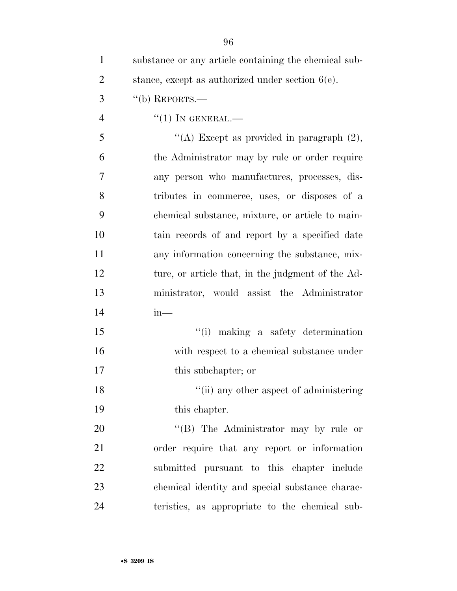| $\mathbf{1}$   | substance or any article containing the chemical sub- |
|----------------|-------------------------------------------------------|
| $\overline{2}$ | stance, except as authorized under section $6(e)$ .   |
| 3              | $``$ (b) REPORTS.—                                    |
| $\overline{4}$ | $``(1)$ IN GENERAL.—                                  |
| 5              | "(A) Except as provided in paragraph $(2)$ ,          |
| 6              | the Administrator may by rule or order require        |
| 7              | any person who manufactures, processes, dis-          |
| 8              | tributes in commerce, uses, or disposes of a          |
| 9              | chemical substance, mixture, or article to main-      |
| 10             | tain records of and report by a specified date        |
| 11             | any information concerning the substance, mix-        |
| 12             | ture, or article that, in the judgment of the Ad-     |
| 13             | ministrator, would assist the Administrator           |
| 14             | $in-$                                                 |
| 15             | "(i) making a safety determination                    |
| 16             | with respect to a chemical substance under            |
| 17             | this subchapter; or                                   |
| 18             | "(ii) any other aspect of administering               |
| 19             | this chapter.                                         |
| 20             | "(B) The Administrator may by rule or                 |
| 21             | order require that any report or information          |
| 22             | submitted pursuant to this chapter include            |
| 23             | chemical identity and special substance charac-       |
| 24             | teristics, as appropriate to the chemical sub-        |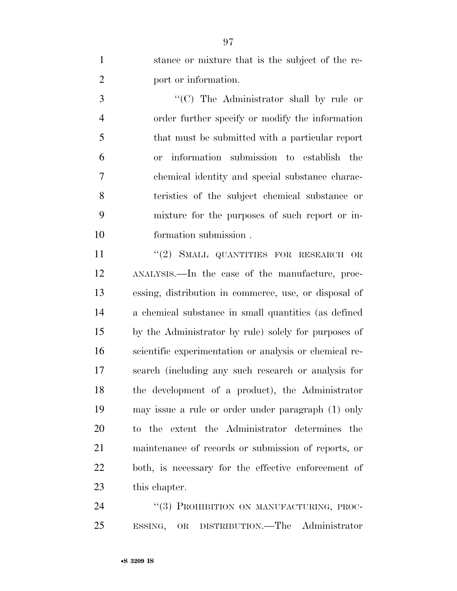stance or mixture that is the subject of the re-port or information.

 ''(C) The Administrator shall by rule or order further specify or modify the information that must be submitted with a particular report or information submission to establish the chemical identity and special substance charac- teristics of the subject chemical substance or mixture for the purposes of such report or in-formation submission .

11 ''(2) SMALL QUANTITIES FOR RESEARCH OR ANALYSIS.—In the case of the manufacture, proc- essing, distribution in commerce, use, or disposal of a chemical substance in small quantities (as defined by the Administrator by rule) solely for purposes of scientific experimentation or analysis or chemical re- search (including any such research or analysis for the development of a product), the Administrator may issue a rule or order under paragraph (1) only to the extent the Administrator determines the maintenance of records or submission of reports, or both, is necessary for the effective enforcement of this chapter.

24 "(3) PROHIBITION ON MANUFACTURING, PROC-ESSING, OR DISTRIBUTION.—The Administrator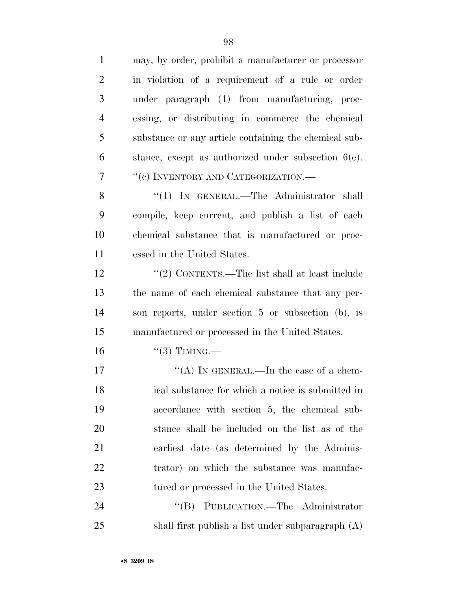| $\mathbf{1}$   | may, by order, prohibit a manufacturer or processor    |
|----------------|--------------------------------------------------------|
| $\overline{2}$ | in violation of a requirement of a rule or order       |
| 3              | under paragraph (1) from manufacturing, proc-          |
| $\overline{4}$ | essing, or distributing in commerce the chemical       |
| 5              | substance or any article containing the chemical sub-  |
| 6              | stance, except as authorized under subsection $6(e)$ . |
| 7              | "(c) INVENTORY AND CATEGORIZATION.—                    |
| 8              | "(1) IN GENERAL.—The Administrator shall               |
| 9              | compile, keep current, and publish a list of each      |
| 10             | chemical substance that is manufactured or proc-       |
| 11             | essed in the United States.                            |
| 12             | "(2) CONTENTS.—The list shall at least include         |
| 13             | the name of each chemical substance that any per-      |
| 14             | son reports, under section 5 or subsection (b), is     |
| 15             | manufactured or processed in the United States.        |
| 16             | $``(3)$ TIMING.—                                       |
| 17             | "(A) IN GENERAL.—In the case of a chem-                |
| 18             | ical substance for which a notice is submitted in      |
| 19             | accordance with section 5, the chemical sub-           |
| 20             | stance shall be included on the list as of the         |
| 21             | earliest date (as determined by the Adminis-           |
| 22             | trator) on which the substance was manufac-            |
| 23             | tured or processed in the United States.               |
| 24             | "(B) PUBLICATION.—The Administrator                    |
| 25             | shall first publish a list under subparagraph (A)      |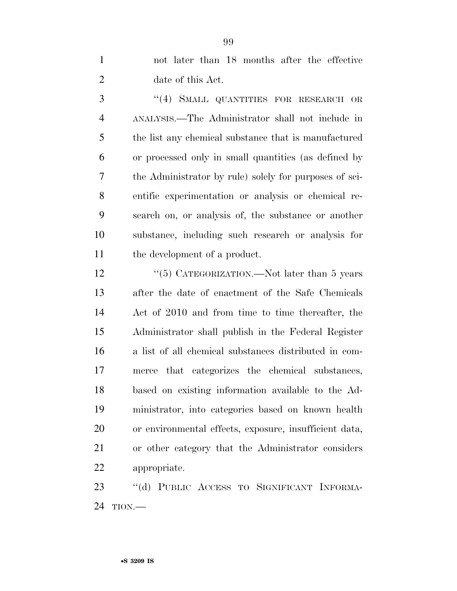not later than 18 months after the effective date of this Act.

 ''(4) SMALL QUANTITIES FOR RESEARCH OR ANALYSIS.—The Administrator shall not include in the list any chemical substance that is manufactured or processed only in small quantities (as defined by the Administrator by rule) solely for purposes of sci- entific experimentation or analysis or chemical re- search on, or analysis of, the substance or another substance, including such research or analysis for the development of a product.

12 "(5) CATEGORIZATION.—Not later than 5 years after the date of enactment of the Safe Chemicals Act of 2010 and from time to time thereafter, the Administrator shall publish in the Federal Register a list of all chemical substances distributed in com- merce that categorizes the chemical substances, based on existing information available to the Ad- ministrator, into categories based on known health or environmental effects, exposure, insufficient data, or other category that the Administrator considers appropriate.

 ''(d) PUBLIC ACCESS TO SIGNIFICANT INFORMA-TION.—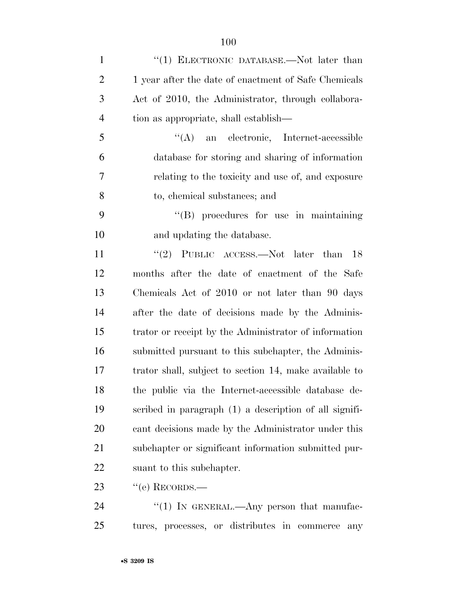| $\mathbf{1}$   | "(1) ELECTRONIC DATABASE.—Not later than               |
|----------------|--------------------------------------------------------|
| $\mathbf{2}$   | 1 year after the date of enactment of Safe Chemicals   |
| 3              | Act of 2010, the Administrator, through collabora-     |
| $\overline{4}$ | tion as appropriate, shall establish—                  |
| 5              | "(A) an electronic, Internet-accessible                |
| 6              | database for storing and sharing of information        |
| 7              | relating to the toxicity and use of, and exposure      |
| 8              | to, chemical substances; and                           |
| 9              | $\lq\lq (B)$ procedures for use in maintaining         |
| 10             | and updating the database.                             |
| 11             | "(2) PUBLIC ACCESS.—Not later than $18$                |
| 12             | months after the date of enactment of the Safe         |
| 13             | Chemicals Act of 2010 or not later than 90 days        |
| 14             | after the date of decisions made by the Adminis-       |
| 15             | trator or receipt by the Administrator of information  |
| 16             | submitted pursuant to this subchapter, the Adminis-    |
| 17             | trator shall, subject to section 14, make available to |
| 18             | the public via the Internet-accessible database de-    |
| 19             | scribed in paragraph (1) a description of all signifi- |
| 20             | cant decisions made by the Administrator under this    |
| 21             | subchapter or significant information submitted pur-   |
| 22             | suant to this subchapter.                              |
| 23             | $``$ (e) RECORDS.—                                     |
| 24             | "(1) IN GENERAL.—Any person that manufac-              |

tures, processes, or distributes in commerce any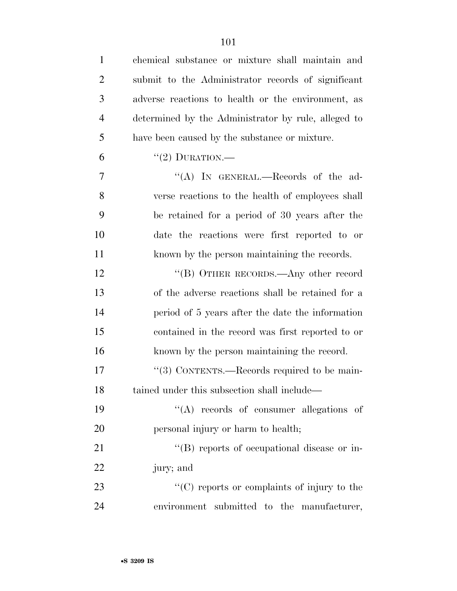| $\mathbf{1}$   | chemical substance or mixture shall maintain and    |
|----------------|-----------------------------------------------------|
| $\overline{2}$ | submit to the Administrator records of significant  |
| 3              | adverse reactions to health or the environment, as  |
| $\overline{4}$ | determined by the Administrator by rule, alleged to |
| 5              | have been caused by the substance or mixture.       |
| 6              | "(2) DURATION.—                                     |
| $\overline{7}$ | "(A) IN GENERAL.—Records of the ad-                 |
| 8              | verse reactions to the health of employees shall    |
| 9              | be retained for a period of 30 years after the      |
| 10             | date the reactions were first reported to or        |
| 11             | known by the person maintaining the records.        |
| 12             | "(B) OTHER RECORDS.—Any other record                |
| 13             | of the adverse reactions shall be retained for a    |
| 14             | period of 5 years after the date the information    |
| 15             | contained in the record was first reported to or    |
| 16             | known by the person maintaining the record.         |
| 17             | "(3) CONTENTS.—Records required to be main-         |
| 18             | tained under this subsection shall include—         |
| 19             | $\lq\lq$ records of consumer allegations of         |
| 20             | personal injury or harm to health;                  |
| 21             | "(B) reports of occupational disease or in-         |
| 22             | jury; and                                           |
| 23             | $\lq\lq$ reports or complaints of injury to the     |
| 24             | environment submitted to the manufacturer,          |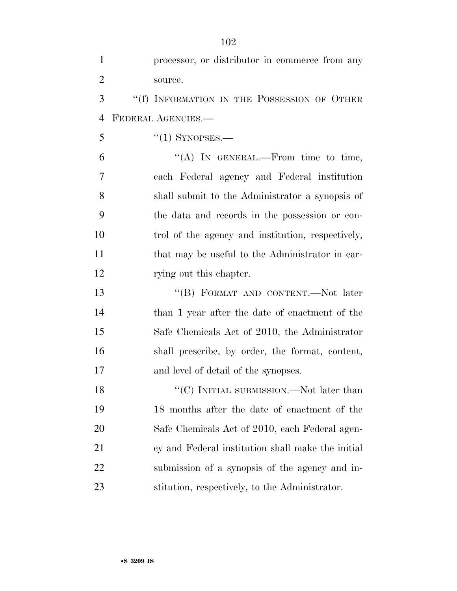| $\mathbf{1}$   | processor, or distributor in commerce from any    |
|----------------|---------------------------------------------------|
| $\overline{2}$ | source.                                           |
| 3              | "(f) INFORMATION IN THE POSSESSION OF OTHER       |
| $\overline{4}$ | FEDERAL AGENCIES.                                 |
| 5              | $\cdot$ (1) SYNOPSES.—                            |
| 6              | "(A) IN GENERAL.—From time to time,               |
| $\overline{7}$ | each Federal agency and Federal institution       |
| 8              | shall submit to the Administrator a synopsis of   |
| 9              | the data and records in the possession or con-    |
| 10             | trol of the agency and institution, respectively, |
| 11             | that may be useful to the Administrator in car-   |
| 12             | rying out this chapter.                           |
| 13             | "(B) FORMAT AND CONTENT.—Not later                |
| 14             | than 1 year after the date of enactment of the    |
| 15             | Safe Chemicals Act of 2010, the Administrator     |
| 16             | shall prescribe, by order, the format, content,   |
| 17             | and level of detail of the synopses.              |
| 18             | $\lq\lq (C)$ INITIAL SUBMISSION.—Not later than   |
| 19             | 18 months after the date of enactment of the      |
| 20             | Safe Chemicals Act of 2010, each Federal agen-    |
| 21             | cy and Federal institution shall make the initial |
| 22             | submission of a synopsis of the agency and in-    |
| 23             | stitution, respectively, to the Administrator.    |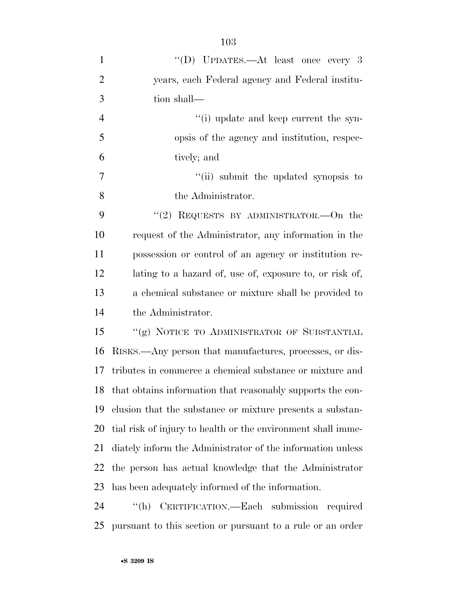| "(D) UPDATES.—At least once every 3                          |
|--------------------------------------------------------------|
| years, each Federal agency and Federal institu-              |
|                                                              |
| tion shall—                                                  |
| "(i) update and keep current the syn-                        |
| opsis of the agency and institution, respec-                 |
| tively; and                                                  |
| "(ii) submit the updated synopsis to                         |
| the Administrator.                                           |
| "(2) REQUESTS BY ADMINISTRATOR.—On the                       |
| request of the Administrator, any information in the         |
| possession or control of an agency or institution re-        |
| lating to a hazard of, use of, exposure to, or risk of,      |
| a chemical substance or mixture shall be provided to         |
| the Administrator.                                           |
| "(g) NOTICE TO ADMINISTRATOR OF SUBSTANTIAL                  |
| RISKS.—Any person that manufactures, processes, or dis-      |
| tributes in commerce a chemical substance or mixture and     |
| that obtains information that reasonably supports the con-   |
| clusion that the substance or mixture presents a substan-    |
| tial risk of injury to health or the environment shall imme- |
| diately inform the Administrator of the information unless   |
| the person has actual knowledge that the Administrator       |
| has been adequately informed of the information.             |
|                                                              |
|                                                              |

pursuant to this section or pursuant to a rule or an order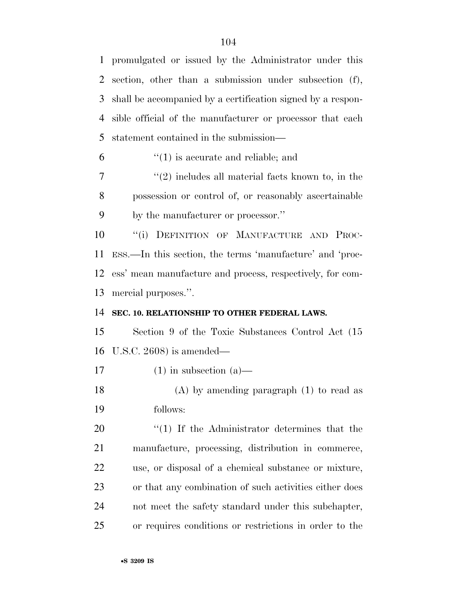promulgated or issued by the Administrator under this section, other than a submission under subsection (f), shall be accompanied by a certification signed by a respon- sible official of the manufacturer or processor that each statement contained in the submission—

''(1) is accurate and reliable; and

 $7 \t$  ''(2) includes all material facts known to, in the possession or control of, or reasonably ascertainable by the manufacturer or processor.''

 ''(i) DEFINITION OF MANUFACTURE AND PROC- ESS.—In this section, the terms 'manufacture' and 'proc- ess' mean manufacture and process, respectively, for com-mercial purposes.''.

## **SEC. 10. RELATIONSHIP TO OTHER FEDERAL LAWS.**

 Section 9 of the Toxic Substances Control Act (15 U.S.C. 2608) is amended—

17 (1) in subsection  $(a)$ —

 (A) by amending paragraph (1) to read as follows:

 $\frac{u(1)}{1}$  If the Administrator determines that the manufacture, processing, distribution in commerce, use, or disposal of a chemical substance or mixture, or that any combination of such activities either does not meet the safety standard under this subchapter, or requires conditions or restrictions in order to the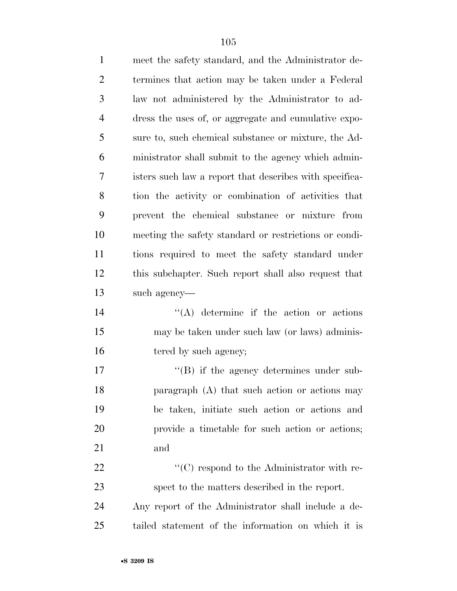| $\mathbf{1}$   | meet the safety standard, and the Administrator de-     |
|----------------|---------------------------------------------------------|
| $\overline{2}$ | termines that action may be taken under a Federal       |
| 3              | law not administered by the Administrator to ad-        |
| $\overline{4}$ | dress the uses of, or aggregate and cumulative expo-    |
| 5              | sure to, such chemical substance or mixture, the Ad-    |
| 6              | ministrator shall submit to the agency which admin-     |
| 7              | isters such law a report that describes with specifica- |
| 8              | tion the activity or combination of activities that     |
| 9              | prevent the chemical substance or mixture from          |
| 10             | meeting the safety standard or restrictions or condi-   |
| 11             | tions required to meet the safety standard under        |
| 12             | this subchapter. Such report shall also request that    |
| 13             | such agency—                                            |
| 14             | $\lq\lq$ determine if the action or actions             |
| 15             | may be taken under such law (or laws) adminis-          |
| 16             | tered by such agency;                                   |
| 17             | $\lq\lq (B)$ if the agency determines under sub-        |
| 18             | paragraph (A) that such action or actions may           |
| 19             | be taken, initiate such action or actions and           |
| 20             | provide a timetable for such action or actions;         |
| 21             | and                                                     |
| 22             | $\lq\lq$ respond to the Administrator with re-          |
| 23             | spect to the matters described in the report.           |
| 24             | Any report of the Administrator shall include a de-     |
| 25             | tailed statement of the information on which it is      |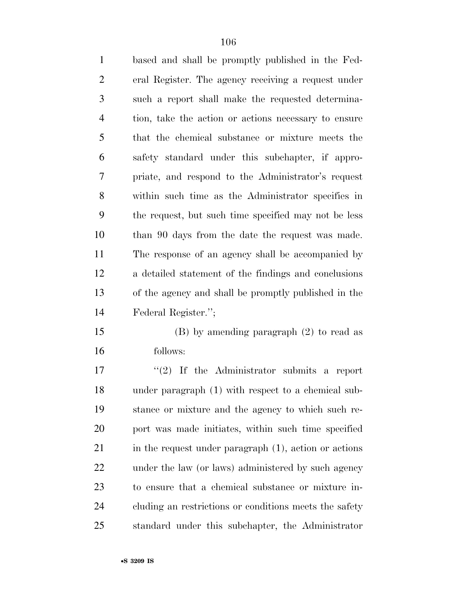| $\mathbf{1}$   | based and shall be promptly published in the Fed-    |
|----------------|------------------------------------------------------|
| $\overline{2}$ | eral Register. The agency receiving a request under  |
| 3              | such a report shall make the requested determina-    |
| $\overline{4}$ | tion, take the action or actions necessary to ensure |
| 5              | that the chemical substance or mixture meets the     |
| 6              | safety standard under this subchapter, if appro-     |
| $\overline{7}$ | priate, and respond to the Administrator's request   |
| 8              | within such time as the Administrator specifies in   |
| 9              | the request, but such time specified may not be less |
| 10             | than 90 days from the date the request was made.     |
| 11             | The response of an agency shall be accompanied by    |
| 12             | a detailed statement of the findings and conclusions |
| 13             | of the agency and shall be promptly published in the |
| 14             | Federal Register.";                                  |
| 15             | $(B)$ by amending paragraph $(2)$ to read as         |
| 16             | follows:                                             |
| 17             | $"(2)$ If the Administrator submits a report         |
| 18             | under paragraph (1) with respect to a chemical sub-  |

 under paragraph (1) with respect to a chemical sub- stance or mixture and the agency to which such re- port was made initiates, within such time specified 21 in the request under paragraph (1), action or actions under the law (or laws) administered by such agency to ensure that a chemical substance or mixture in- cluding an restrictions or conditions meets the safety standard under this subchapter, the Administrator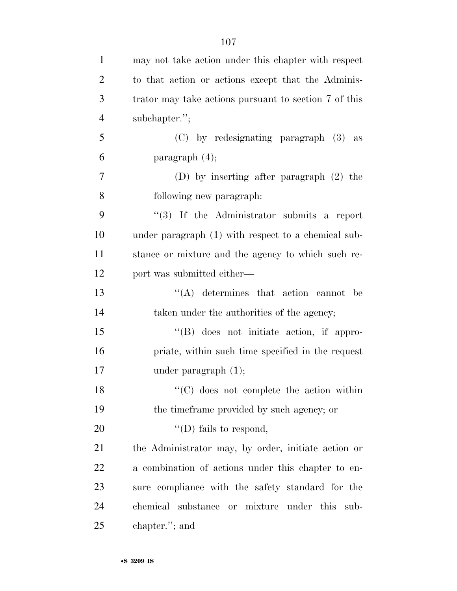| $\mathbf{1}$   | may not take action under this chapter with respect   |
|----------------|-------------------------------------------------------|
| $\overline{2}$ | to that action or actions except that the Adminis-    |
| 3              | trator may take actions pursuant to section 7 of this |
| $\overline{4}$ | subchapter.";                                         |
| 5              | (C) by redesignating paragraph (3) as                 |
| 6              | paragraph $(4)$ ;                                     |
| $\overline{7}$ | (D) by inserting after paragraph $(2)$ the            |
| 8              | following new paragraph:                              |
| 9              | $(3)$ If the Administrator submits a report           |
| 10             | under paragraph (1) with respect to a chemical sub-   |
| 11             | stance or mixture and the agency to which such re-    |
| 12             | port was submitted either—                            |
| 13             | $(4)$ determines that action cannot be                |
| 14             | taken under the authorities of the agency;            |
| 15             | $\lq\lq(B)$ does not initiate action, if appro-       |
| 16             | priate, within such time specified in the request     |
| 17             | under paragraph $(1)$ ;                               |
| 18             | $\lq\lq$ (C) does not complete the action within      |
| 19             | the time frame provided by such agency; or            |
| 20             | "(D) fails to respond,                                |
| 21             | the Administrator may, by order, initiate action or   |
| 22             | a combination of actions under this chapter to en-    |
| 23             | sure compliance with the safety standard for the      |
| 24             | chemical<br>substance or mixture under this sub-      |
| 25             | chapter."; and                                        |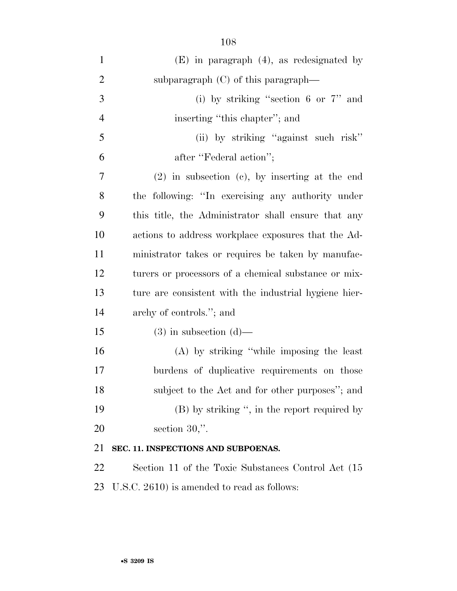| $\mathbf{1}$   | $(E)$ in paragraph $(4)$ , as redesignated by         |
|----------------|-------------------------------------------------------|
| $\overline{2}$ | subparagraph $(C)$ of this paragraph—                 |
| 3              | (i) by striking "section 6 or $7"$ and                |
| $\overline{4}$ | inserting "this chapter"; and                         |
| 5              | (ii) by striking "against such risk"                  |
| 6              | after "Federal action";                               |
| 7              | $(2)$ in subsection $(e)$ , by inserting at the end   |
| 8              | the following: "In exercising any authority under     |
| 9              | this title, the Administrator shall ensure that any   |
| 10             | actions to address workplace exposures that the Ad-   |
| 11             | ministrator takes or requires be taken by manufac-    |
| 12             | turers or processors of a chemical substance or mix-  |
| 13             | ture are consistent with the industrial hygiene hier- |
| 14             | archy of controls."; and                              |
| 15             | $(3)$ in subsection $(d)$ —                           |
| 16             | $(A)$ by striking "while imposing the least           |
| 17             | burdens of duplicative requirements on those          |
| 18             | subject to the Act and for other purposes"; and       |
| 19             | $(B)$ by striking ", in the report required by        |
| 20             | section $30$ .".                                      |
| 21             | SEC. 11. INSPECTIONS AND SUBPOENAS.                   |
| 22             | Section 11 of the Toxic Substances Control Act (15    |
| 23             | U.S.C. 2610) is amended to read as follows:           |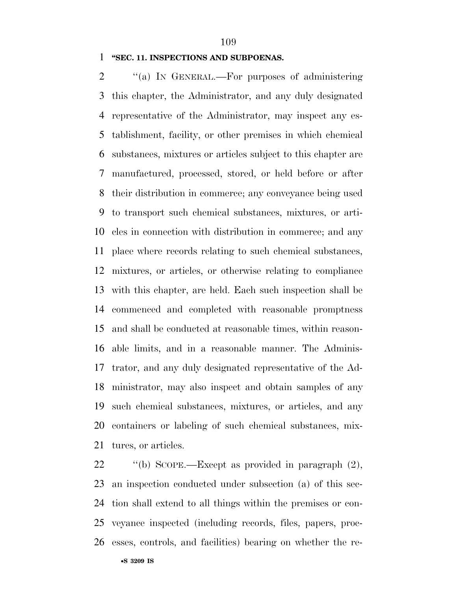### **''SEC. 11. INSPECTIONS AND SUBPOENAS.**

2 "(a) In GENERAL.—For purposes of administering this chapter, the Administrator, and any duly designated representative of the Administrator, may inspect any es- tablishment, facility, or other premises in which chemical substances, mixtures or articles subject to this chapter are manufactured, processed, stored, or held before or after their distribution in commerce; any conveyance being used to transport such chemical substances, mixtures, or arti- cles in connection with distribution in commerce; and any place where records relating to such chemical substances, mixtures, or articles, or otherwise relating to compliance with this chapter, are held. Each such inspection shall be commenced and completed with reasonable promptness and shall be conducted at reasonable times, within reason- able limits, and in a reasonable manner. The Adminis- trator, and any duly designated representative of the Ad- ministrator, may also inspect and obtain samples of any such chemical substances, mixtures, or articles, and any containers or labeling of such chemical substances, mix-tures, or articles.

 ''(b) SCOPE.—Except as provided in paragraph (2), an inspection conducted under subsection (a) of this sec- tion shall extend to all things within the premises or con- veyance inspected (including records, files, papers, proc-esses, controls, and facilities) bearing on whether the re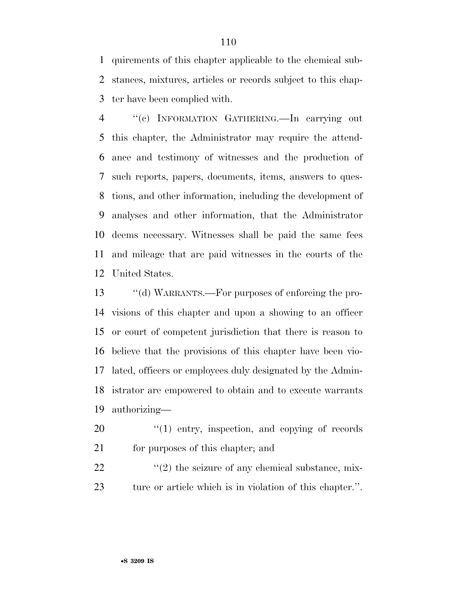quirements of this chapter applicable to the chemical sub- stances, mixtures, articles or records subject to this chap-ter have been complied with.

 ''(c) INFORMATION GATHERING.—In carrying out this chapter, the Administrator may require the attend- ance and testimony of witnesses and the production of such reports, papers, documents, items, answers to ques- tions, and other information, including the development of analyses and other information, that the Administrator deems necessary. Witnesses shall be paid the same fees and mileage that are paid witnesses in the courts of the United States.

 ''(d) WARRANTS.—For purposes of enforcing the pro- visions of this chapter and upon a showing to an officer or court of competent jurisdiction that there is reason to believe that the provisions of this chapter have been vio- lated, officers or employees duly designated by the Admin- istrator are empowered to obtain and to execute warrants authorizing—

 ''(1) entry, inspection, and copying of records for purposes of this chapter; and

  $\qquad$   $\qquad$   $\qquad$   $\qquad$   $\qquad$   $\qquad$   $\qquad$   $\qquad$   $\qquad$   $\qquad$   $\qquad$   $\qquad$   $\qquad$   $\qquad$   $\qquad$   $\qquad$   $\qquad$   $\qquad$   $\qquad$   $\qquad$   $\qquad$   $\qquad$   $\qquad$   $\qquad$   $\qquad$   $\qquad$   $\qquad$   $\qquad$   $\qquad$   $\qquad$   $\qquad$   $\qquad$   $\qquad$   $\qquad$   $\qquad$   $\qquad$  ture or article which is in violation of this chapter.''.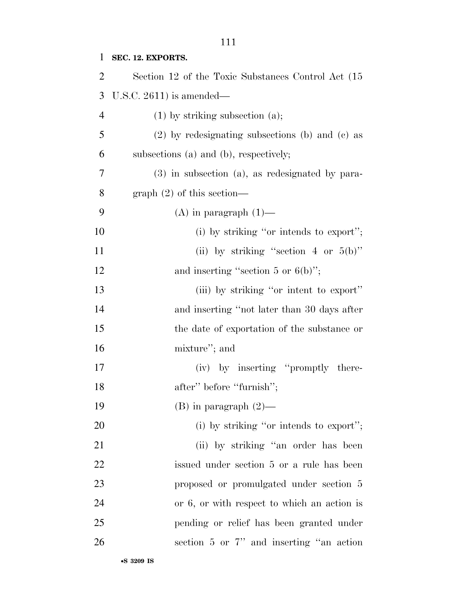## **SEC. 12. EXPORTS.**

| $\overline{2}$ | Section 12 of the Toxic Substances Control Act (15) |
|----------------|-----------------------------------------------------|
| 3              | U.S.C. $2611$ ) is amended—                         |
| $\overline{4}$ | $(1)$ by striking subsection $(a)$ ;                |
| 5              | $(2)$ by redesignating subsections (b) and (c) as   |
| 6              | subsections (a) and (b), respectively;              |
| 7              | $(3)$ in subsection (a), as redesignated by para-   |
| 8              | $graph (2)$ of this section—                        |
| 9              | $(A)$ in paragraph $(1)$ —                          |
| 10             | (i) by striking "or intends to export";             |
| 11             | (ii) by striking "section 4 or $5(b)$ "             |
| 12             | and inserting "section 5 or $6(b)$ ";               |
| 13             | (iii) by striking "or intent to export"             |
| 14             | and inserting "not later than 30 days after         |
| 15             | the date of exportation of the substance or         |
| 16             | mixture"; and                                       |
| 17             | (iv) by inserting "promptly there-                  |
| 18             | after" before "furnish";                            |
| 19             | $(B)$ in paragraph $(2)$ —                          |
| 20             | (i) by striking "or intends to export";             |
| 21             | (ii) by striking "an order has been                 |
| 22             | issued under section 5 or a rule has been           |
| 23             | proposed or promulgated under section 5             |
| 24             | or 6, or with respect to which an action is         |
| 25             | pending or relief has been granted under            |
| 26             | section 5 or 7" and inserting "an action            |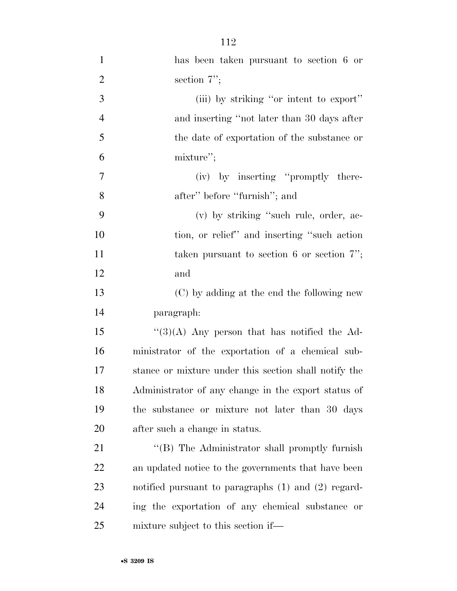| $\mathbf{1}$     | has been taken pursuant to section 6 or                 |
|------------------|---------------------------------------------------------|
| $\overline{2}$   | section $7$ ";                                          |
| 3                | (iii) by striking "or intent to export"                 |
| $\overline{4}$   | and inserting "not later than 30 days after             |
| 5                | the date of exportation of the substance or             |
| 6                | mixture";                                               |
| $\boldsymbol{7}$ | (iv) by inserting "promptly there-                      |
| 8                | after" before "furnish"; and                            |
| 9                | (v) by striking "such rule, order, ac-                  |
| 10               | tion, or relief" and inserting "such action             |
| 11               | taken pursuant to section 6 or section $7$ ";           |
| 12               | and                                                     |
| 13               | (C) by adding at the end the following new              |
| 14               | paragraph:                                              |
| 15               | $\lq(3)(A)$ Any person that has notified the Ad-        |
| 16               | ministrator of the exportation of a chemical sub-       |
| 17               | stance or mixture under this section shall notify the   |
| 18               | Administrator of any change in the export status of     |
| 19               | the substance or mixture not later than 30 days         |
| 20               | after such a change in status.                          |
| 21               | "(B) The Administrator shall promptly furnish           |
| 22               | an updated notice to the governments that have been     |
| 23               | notified pursuant to paragraphs $(1)$ and $(2)$ regard- |
| 24               | ing the exportation of any chemical substance or        |
| 25               | mixture subject to this section if—                     |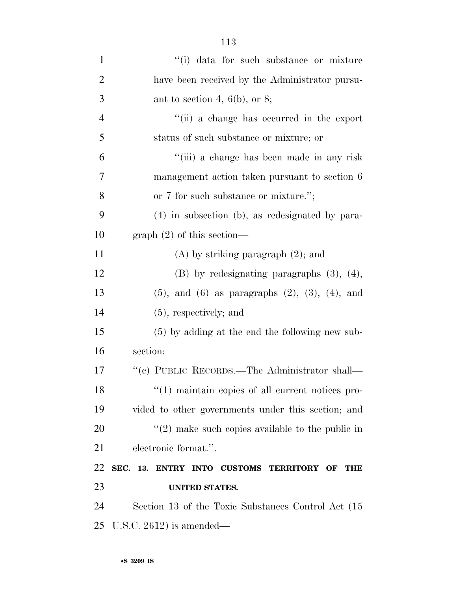| $\mathbf{1}$   | "(i) data for such substance or mixture                     |
|----------------|-------------------------------------------------------------|
| $\overline{2}$ | have been received by the Administrator pursu-              |
| 3              | ant to section 4, $6(b)$ , or 8;                            |
| $\overline{4}$ | "(ii) a change has occurred in the export                   |
| 5              | status of such substance or mixture; or                     |
| 6              | "(iii) a change has been made in any risk                   |
| 7              | management action taken pursuant to section 6               |
| 8              | or 7 for such substance or mixture.";                       |
| 9              | $(4)$ in subsection (b), as redesignated by para-           |
| 10             | graph $(2)$ of this section—                                |
| 11             | $(A)$ by striking paragraph $(2)$ ; and                     |
| 12             | $(B)$ by redesignating paragraphs $(3)$ , $(4)$ ,           |
| 13             | $(5)$ , and $(6)$ as paragraphs $(2)$ , $(3)$ , $(4)$ , and |
| 14             | $(5)$ , respectively; and                                   |
| 15             | $(5)$ by adding at the end the following new sub-           |
| 16             | section:                                                    |
| 17             | "(c) PUBLIC RECORDS.—The Administrator shall—               |
| 18             | $\cdot$ (1) maintain copies of all current notices pro-     |
| 19             | vided to other governments under this section; and          |
| 20             | $\lq(2)$ make such copies available to the public in        |
| 21             | electronic format.".                                        |
| 22             | SEC. 13. ENTRY INTO CUSTOMS TERRITORY OF<br><b>THE</b>      |
| 23             | <b>UNITED STATES.</b>                                       |
| 24             | Section 13 of the Toxic Substances Control Act (15)         |
| 25             | U.S.C. $2612$ ) is amended—                                 |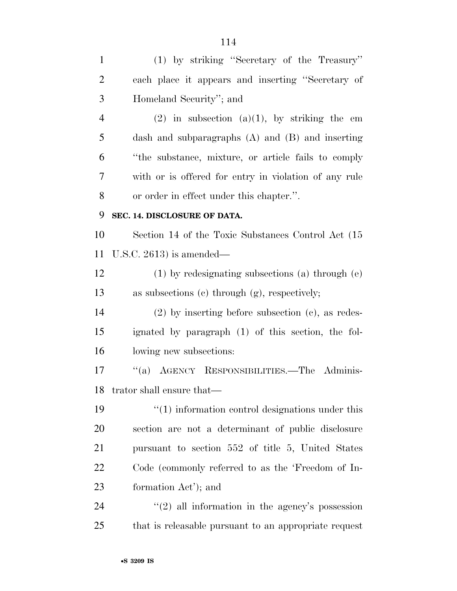(1) by striking ''Secretary of the Treasury'' each place it appears and inserting ''Secretary of Homeland Security''; and 4 (2) in subsection (a)(1), by striking the em dash and subparagraphs (A) and (B) and inserting ''the substance, mixture, or article fails to comply with or is offered for entry in violation of any rule or order in effect under this chapter.''. **SEC. 14. DISCLOSURE OF DATA.**  Section 14 of the Toxic Substances Control Act (15 U.S.C. 2613) is amended— (1) by redesignating subsections (a) through (e) as subsections (c) through (g), respectively; (2) by inserting before subsection (c), as redes- ignated by paragraph (1) of this section, the fol- lowing new subsections: ''(a) AGENCY RESPONSIBILITIES.—The Adminis- trator shall ensure that— 19 ''(1) information control designations under this section are not a determinant of public disclosure pursuant to section 552 of title 5, United States Code (commonly referred to as the 'Freedom of In- formation Act'); and 24 ''(2) all information in the agency's possession that is releasable pursuant to an appropriate request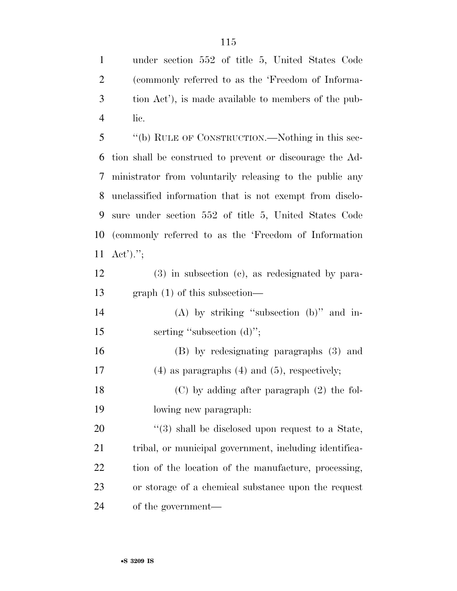under section 552 of title 5, United States Code (commonly referred to as the 'Freedom of Informa- tion Act'), is made available to members of the pub-lic.

 ''(b) RULE OF CONSTRUCTION.—Nothing in this sec- tion shall be construed to prevent or discourage the Ad- ministrator from voluntarily releasing to the public any unclassified information that is not exempt from disclo- sure under section 552 of title 5, United States Code (commonly referred to as the 'Freedom of Information Act').'';

 (3) in subsection (c), as redesignated by para-graph (1) of this subsection—

 (A) by striking ''subsection (b)'' and in-15 serting "subsection (d)";

 (B) by redesignating paragraphs (3) and (4) as paragraphs (4) and (5), respectively; (C) by adding after paragraph (2) the fol-

lowing new paragraph:

 $(3)$  shall be disclosed upon request to a State, tribal, or municipal government, including identifica- tion of the location of the manufacture, processing, or storage of a chemical substance upon the request of the government—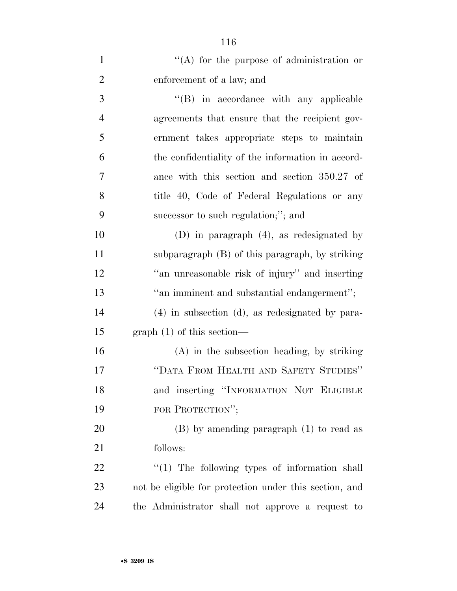| $\mathbf{1}$   | $\lq\lq$ for the purpose of administration or          |
|----------------|--------------------------------------------------------|
| $\overline{2}$ | enforcement of a law; and                              |
| 3              | $\lq\lq$ (B) in accordance with any applicable         |
| $\overline{4}$ | agreements that ensure that the recipient gov-         |
| 5              | ernment takes appropriate steps to maintain            |
| 6              | the confidentiality of the information in accord-      |
| 7              | ance with this section and section 350.27 of           |
| 8              | title 40, Code of Federal Regulations or any           |
| 9              | successor to such regulation;"; and                    |
| 10             | (D) in paragraph $(4)$ , as redesignated by            |
| 11             | subparagraph (B) of this paragraph, by striking        |
| 12             | "an unreasonable risk of injury" and inserting         |
| 13             | "an imminent and substantial endangerment";            |
| 14             | $(4)$ in subsection $(d)$ , as redesignated by para-   |
| 15             | $graph(1)$ of this section—                            |
| 16             | $(A)$ in the subsection heading, by striking           |
| 17             | "DATA FROM HEALTH AND SAFETY STUDIES"                  |
| 18             | and inserting "INFORMATION NOT ELIGIBLE                |
| 19             | FOR PROTECTION";                                       |
| 20             | $(B)$ by amending paragraph $(1)$ to read as           |
| 21             | follows:                                               |
| 22             | $\lq(1)$ The following types of information shall      |
| 23             | not be eligible for protection under this section, and |
| 24             | the Administrator shall not approve a request to       |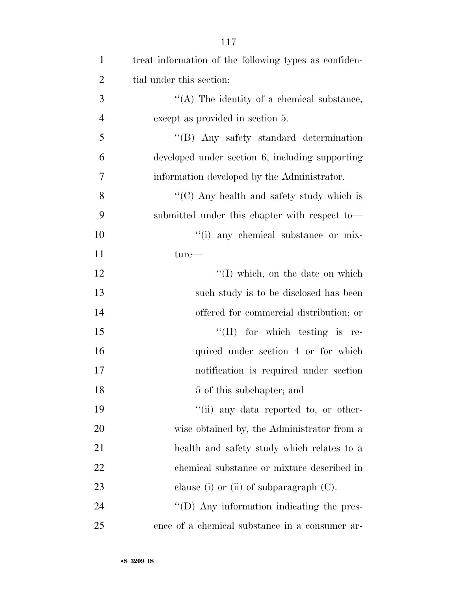| $\mathbf{1}$   | treat information of the following types as confiden- |
|----------------|-------------------------------------------------------|
| $\overline{2}$ | tial under this section:                              |
| 3              | "(A) The identity of a chemical substance,            |
| $\overline{4}$ | except as provided in section 5.                      |
| 5              | "(B) Any safety standard determination                |
| 6              | developed under section 6, including supporting       |
| 7              | information developed by the Administrator.           |
| 8              | " $(C)$ Any health and safety study which is          |
| 9              | submitted under this chapter with respect to-         |
| 10             | "(i) any chemical substance or mix-                   |
| 11             | $ture-$                                               |
| 12             | "(I) which, on the date on which                      |
| 13             | such study is to be disclosed has been                |
| 14             | offered for commercial distribution; or               |
| 15             | $\lq\lq$ (II) for which testing is re-                |
| 16             | quired under section 4 or for which                   |
| 17             | notification is required under section                |
| 18             | 5 of this subchapter; and                             |
| 19             | "(ii) any data reported to, or other-                 |
| 20             | wise obtained by, the Administrator from a            |
| 21             | health and safety study which relates to a            |
| 22             | chemical substance or mixture described in            |
| 23             | clause (i) or (ii) of subparagraph $(C)$ .            |
| 24             | $\lq\lq$ (D) Any information indicating the pres-     |
| 25             | ence of a chemical substance in a consumer ar-        |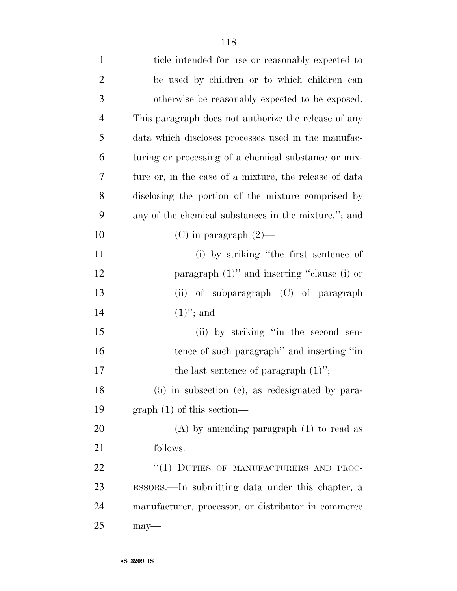| $\mathbf{1}$   | ticle intended for use or reasonably expected to       |
|----------------|--------------------------------------------------------|
| $\overline{2}$ | be used by children or to which children can           |
| 3              | otherwise be reasonably expected to be exposed.        |
| $\overline{4}$ | This paragraph does not authorize the release of any   |
| 5              | data which discloses processes used in the manufac-    |
| 6              | turing or processing of a chemical substance or mix-   |
| 7              | ture or, in the case of a mixture, the release of data |
| 8              | disclosing the portion of the mixture comprised by     |
| 9              | any of the chemical substances in the mixture."; and   |
| 10             | (C) in paragraph $(2)$ —                               |
| 11             | (i) by striking "the first sentence of                 |
| 12             | paragraph $(1)$ " and inserting "clause $(i)$ or       |
| 13             | (ii) of subparagraph (C) of paragraph                  |
| 14             | $(1)$ "; and                                           |
| 15             | (ii) by striking "in the second sen-                   |
| 16             | tence of such paragraph" and inserting "in             |
| 17             | the last sentence of paragraph $(1)$ ";                |
| 18             | (5) in subsection (e), as redesignated by para-        |
| 19             | $graph(1)$ of this section—                            |
| 20             | $(A)$ by amending paragraph $(1)$ to read as           |
| 21             | follows:                                               |
| 22             | "(1) DUTIES OF MANUFACTURERS AND PROC-                 |
| 23             | ESSORS.—In submitting data under this chapter, a       |
| 24             | manufacturer, processor, or distributor in commerce    |
| 25             | $may$ —                                                |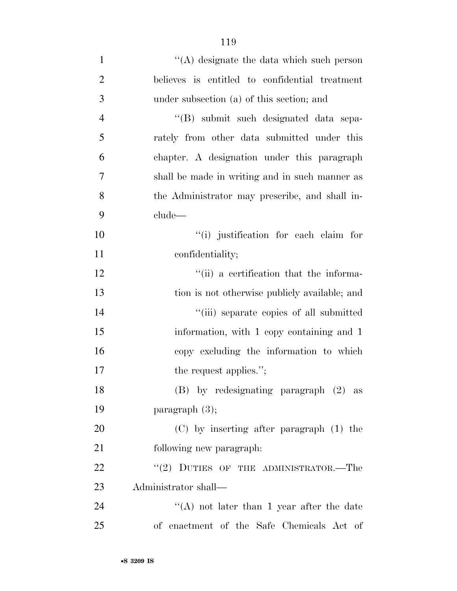| $\mathbf{1}$   | $\lq\lq$ designate the data which such person  |
|----------------|------------------------------------------------|
| $\overline{2}$ | believes is entitled to confidential treatment |
| 3              | under subsection (a) of this section; and      |
| $\overline{4}$ | "(B) submit such designated data sepa-         |
| 5              | rately from other data submitted under this    |
| 6              | chapter. A designation under this paragraph    |
| 7              | shall be made in writing and in such manner as |
| 8              | the Administrator may prescribe, and shall in- |
| 9              | clude-                                         |
| 10             | "(i) justification for each claim for          |
| 11             | confidentiality;                               |
| 12             | "(ii) a certification that the informa-        |
| 13             | tion is not otherwise publicly available; and  |
| 14             | "(iii) separate copies of all submitted        |
| 15             | information, with 1 copy containing and 1      |
| 16             | copy excluding the information to which        |
| 17             | the request applies.";                         |
| 18             | (B) by redesignating paragraph (2) as          |
| 19             | paragraph $(3)$ ;                              |
| 20             | $(C)$ by inserting after paragraph $(1)$ the   |
| 21             | following new paragraph.                       |
| 22             | $``(2)$ DUTIES OF THE ADMINISTRATOR.—The       |
| 23             | Administrator shall—                           |
| 24             | "(A) not later than 1 year after the date      |
| 25             | of enactment of the Safe Chemicals Act of      |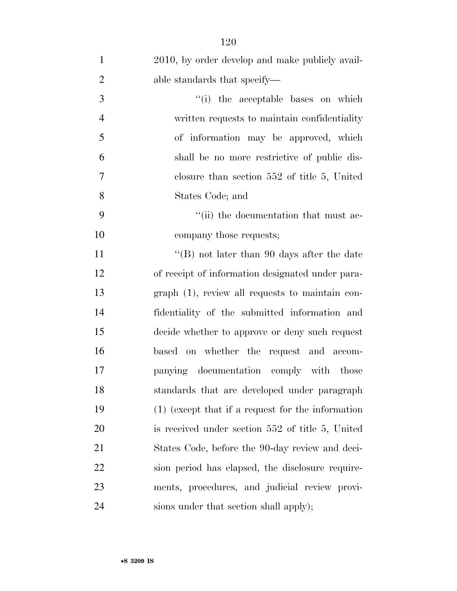| $\mathbf{1}$   | 2010, by order develop and make publicly avail-     |
|----------------|-----------------------------------------------------|
| $\overline{2}$ | able standards that specify—                        |
| 3              | "(i) the acceptable bases on which                  |
| $\overline{4}$ | written requests to maintain confidentiality        |
| 5              | of information may be approved, which               |
| 6              | shall be no more restrictive of public dis-         |
| $\overline{7}$ | closure than section $552$ of title 5, United       |
| 8              | States Code; and                                    |
| 9              | "(ii) the documentation that must ac-               |
| 10             | company those requests;                             |
| 11             | "(B) not later than 90 days after the date          |
| 12             | of receipt of information designated under para-    |
| 13             | $graph(1)$ , review all requests to maintain con-   |
| 14             | fidentiality of the submitted information and       |
| 15             | decide whether to approve or deny such request      |
| 16             | based on whether the request and accom-             |
| 17             | panying documentation comply with those             |
| 18             | standards that are developed under paragraph        |
| 19             | $(1)$ (except that if a request for the information |
| 20             | is received under section $552$ of title 5, United  |
| 21             | States Code, before the 90-day review and deci-     |
| 22             | sion period has elapsed, the disclosure require-    |
| 23             | ments, procedures, and judicial review provi-       |
| 24             | sions under that section shall apply);              |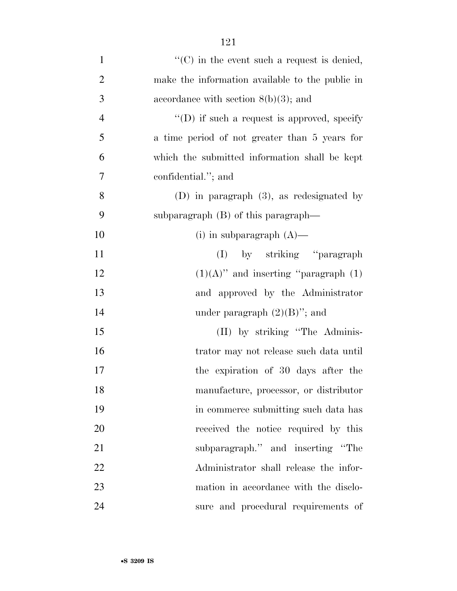| $\mathbf{1}$   | $\lq\lq$ (C) in the event such a request is denied, |
|----------------|-----------------------------------------------------|
| $\overline{2}$ | make the information available to the public in     |
| 3              | accordance with section $8(b)(3)$ ; and             |
| $\overline{4}$ | $\lq\lq$ ) if such a request is approved, specify   |
| 5              | a time period of not greater than 5 years for       |
| 6              | which the submitted information shall be kept       |
| 7              | confidential."; and                                 |
| 8              | (D) in paragraph $(3)$ , as redesignated by         |
| 9              | subparagraph $(B)$ of this paragraph—               |
| 10             | (i) in subparagraph $(A)$ —                         |
| 11             | (I) by striking "paragraph                          |
| 12             | $(1)(A)$ " and inserting "paragraph $(1)$           |
| 13             | and approved by the Administrator                   |
| 14             | under paragraph $(2)(B)$ "; and                     |
| 15             | (II) by striking "The Adminis-                      |
| 16             | trator may not release such data until              |
| 17             | the expiration of 30 days after the                 |
| 18             | manufacture, processor, or distributor              |
| 19             | in commerce submitting such data has                |
| 20             | received the notice required by this                |
| 21             | subparagraph." and inserting "The                   |
| 22             | Administrator shall release the infor-              |
| 23             | mation in accordance with the disclo-               |
| 24             | sure and procedural requirements of                 |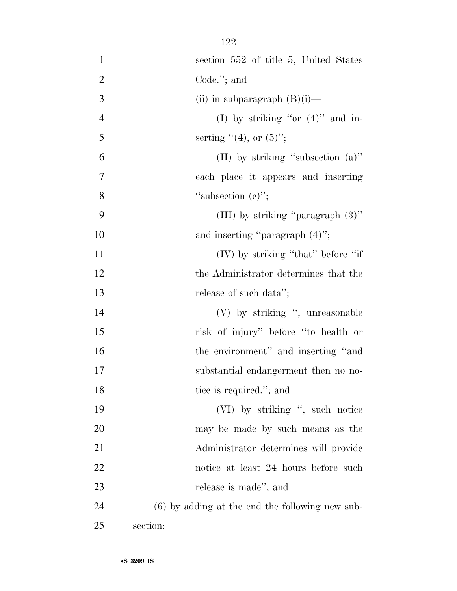| $\mathbf{1}$   | section 552 of title 5, United States             |
|----------------|---------------------------------------------------|
| $\overline{2}$ | Code. $";$ and                                    |
| 3              | (ii) in subparagraph $(B)(i)$ —                   |
| $\overline{4}$ | (I) by striking "or $(4)$ " and in-               |
| 5              | serting $"(4)$ , or $(5)"$ ;                      |
| 6              | (II) by striking "subsection $(a)$ "              |
| 7              | each place it appears and inserting               |
| 8              | "subsection $(e)$ ";                              |
| 9              | (III) by striking "paragraph $(3)$ "              |
| 10             | and inserting "paragraph $(4)$ ";                 |
| 11             | (IV) by striking "that" before "if                |
| 12             | the Administrator determines that the             |
| 13             | release of such data";                            |
| 14             | (V) by striking ", unreasonable                   |
| 15             | risk of injury" before "to health or              |
| 16             | the environment" and inserting "and               |
| 17             | substantial endangerment then no no-              |
| 18             | tice is required."; and                           |
| 19             | (VI) by striking ", such notice                   |
| 20             | may be made by such means as the                  |
| 21             | Administrator determines will provide             |
| 22             | notice at least 24 hours before such              |
| 23             | release is made"; and                             |
| 24             | $(6)$ by adding at the end the following new sub- |
| 25             | section:                                          |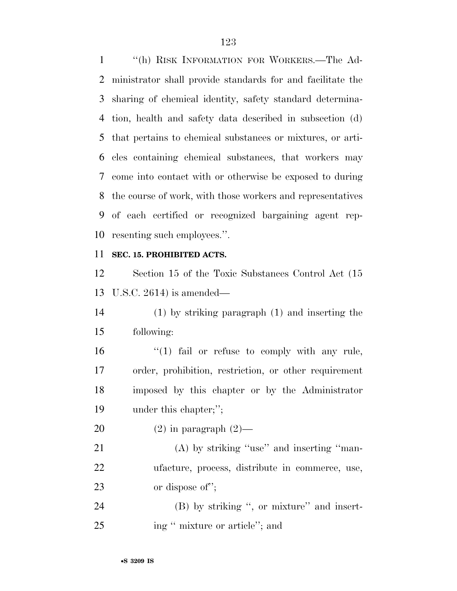''(h) RISK INFORMATION FOR WORKERS.—The Ad- ministrator shall provide standards for and facilitate the sharing of chemical identity, safety standard determina- tion, health and safety data described in subsection (d) that pertains to chemical substances or mixtures, or arti- cles containing chemical substances, that workers may come into contact with or otherwise be exposed to during the course of work, with those workers and representatives of each certified or recognized bargaining agent rep-resenting such employees.''.

## **SEC. 15. PROHIBITED ACTS.**

 Section 15 of the Toxic Substances Control Act (15 U.S.C. 2614) is amended—

 (1) by striking paragraph (1) and inserting the following:

16 "(1) fail or refuse to comply with any rule, order, prohibition, restriction, or other requirement imposed by this chapter or by the Administrator under this chapter;'';

20  $(2)$  in paragraph  $(2)$ —

21 (A) by striking "use" and inserting "man- ufacture, process, distribute in commerce, use, or dispose of'';

24 (B) by striking ", or mixture" and insert-25 ing " mixture or article"; and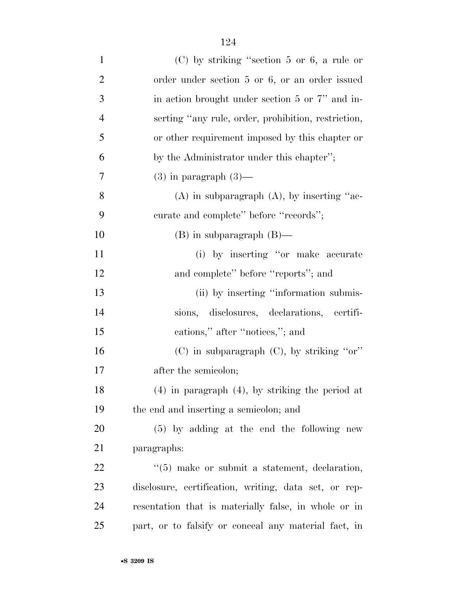| $\mathbf{1}$   | $(C)$ by striking "section 5 or 6, a rule or              |
|----------------|-----------------------------------------------------------|
| $\overline{2}$ | order under section 5 or 6, or an order issued            |
| 3              | in action brought under section 5 or 7" and in-           |
| $\overline{4}$ | serting "any rule, order, prohibition, restriction,       |
| 5              | or other requirement imposed by this chapter or           |
| 6              | by the Administrator under this chapter";                 |
| 7              | $(3)$ in paragraph $(3)$ —                                |
| 8              | $(A)$ in subparagraph $(A)$ , by inserting "ac-           |
| 9              | curate and complete" before "records";                    |
| 10             | $(B)$ in subparagraph $(B)$ —                             |
| 11             | (i) by inserting "or make accurate                        |
| 12             | and complete" before "reports"; and                       |
| 13             | (ii) by inserting "information submis-                    |
| 14             | sions, disclosures, declarations, certifi-                |
| 15             | cations," after "notices,"; and                           |
| 16             | $(C)$ in subparagraph $(C)$ , by striking "or"            |
| 17             | after the semicolon;                                      |
| 18             | $(4)$ in paragraph $(4)$ , by striking the period at      |
| 19             | the end and inserting a semicolon; and                    |
| 20             | $(5)$ by adding at the end the following new              |
| 21             | paragraphs:                                               |
| 22             | $\cdot\cdot$ (5) make or submit a statement, declaration, |
| 23             | disclosure, certification, writing, data set, or rep-     |
| 24             | resentation that is materially false, in whole or in      |
| 25             | part, or to falsify or conceal any material fact, in      |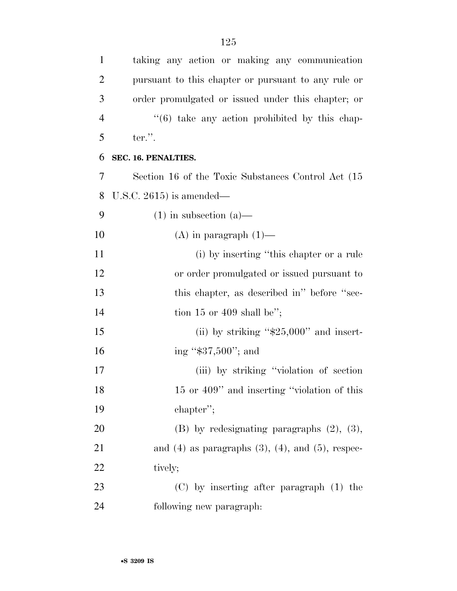taking any action or making any communication

pursuant to this chapter or pursuant to any rule or

| 3              | order promulgated or issued under this chapter; or          |
|----------------|-------------------------------------------------------------|
| $\overline{4}$ | $((6)$ take any action prohibited by this chap-             |
| 5              | $ter.$ ".                                                   |
| 6              | SEC. 16. PENALTIES.                                         |
| 7              | Section 16 of the Toxic Substances Control Act (15)         |
| 8              | U.S.C. $2615$ ) is amended—                                 |
| 9              | $(1)$ in subsection $(a)$ —                                 |
| 10             | $(A)$ in paragraph $(1)$ —                                  |
| <sup>11</sup>  | (i) by inserting "this chapter or a rule                    |
| 12             | or order promulgated or issued pursuant to                  |
| 13             | this chapter, as described in" before "sec-                 |
| 14             | tion 15 or 409 shall be";                                   |
| 15             | (ii) by striking " $$25,000"$ and insert-                   |
| 16             | ing "\$37,500"; and                                         |
| 17             | (iii) by striking "violation of section"                    |
| 18             | 15 or 409" and inserting "violation of this                 |
| 19             | chapter";                                                   |
| 20             | $(B)$ by redesignating paragraphs $(2)$ , $(3)$ ,           |
| 21             | and $(4)$ as paragraphs $(3)$ , $(4)$ , and $(5)$ , respec- |
| 22             | tively;                                                     |
| 23             | $(C)$ by inserting after paragraph $(1)$ the                |
| 24             | following new paragraph:                                    |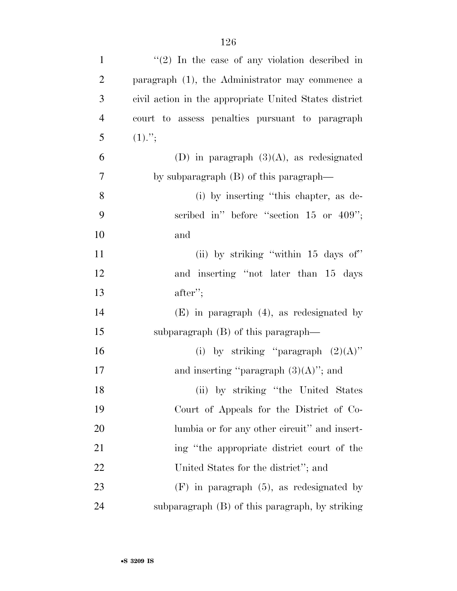| $\mathbf{1}$   | $\lq(2)$ In the case of any violation described in     |
|----------------|--------------------------------------------------------|
| $\overline{2}$ | paragraph (1), the Administrator may commence a        |
| 3              | civil action in the appropriate United States district |
| $\overline{4}$ | court to assess penalties pursuant to paragraph        |
| 5              | $(1)$ .";                                              |
| 6              | (D) in paragraph $(3)(A)$ , as redesignated            |
| 7              | by subparagraph $(B)$ of this paragraph—               |
| 8              | (i) by inserting "this chapter, as de-                 |
| 9              | scribed in" before "section $15$ or $409$ ";           |
| 10             | and                                                    |
| 11             | (ii) by striking "within 15 days of"                   |
| 12             | and inserting "not later than 15 days                  |
| 13             | $after$ ";                                             |
| 14             | $(E)$ in paragraph $(4)$ , as redesignated by          |
| 15             | subparagraph $(B)$ of this paragraph—                  |
| 16             | (i) by striking "paragraph $(2)(A)$ "                  |
| 17             | and inserting "paragraph $(3)(A)$ "; and               |
| 18             | (ii) by striking "the United States                    |
| 19             | Court of Appeals for the District of Co-               |
| 20             | lumbia or for any other circuit" and insert-           |
| 21             | ing "the appropriate district court of the             |
| 22             | United States for the district"; and                   |
| 23             | $(F)$ in paragraph $(5)$ , as redesignated by          |
| 24             | subparagraph (B) of this paragraph, by striking        |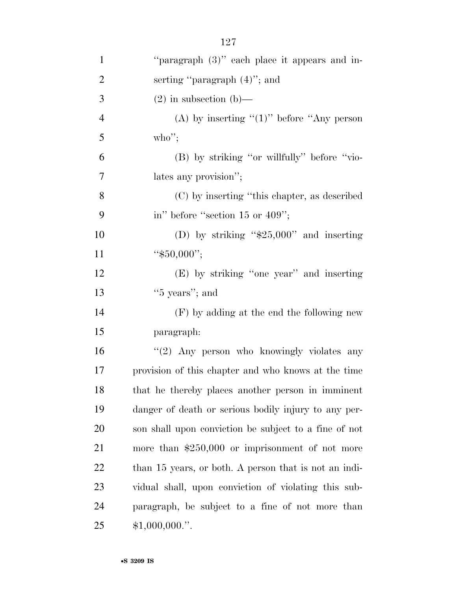| $\mathbf{1}$   | "paragraph (3)" each place it appears and in-         |
|----------------|-------------------------------------------------------|
| $\overline{2}$ | serting "paragraph $(4)$ "; and                       |
| 3              | $(2)$ in subsection $(b)$ —                           |
| $\overline{4}$ | (A) by inserting " $(1)$ " before "Any person         |
| 5              | who";                                                 |
| 6              | (B) by striking "or willfully" before "vio-           |
| 7              | lates any provision";                                 |
| 8              | (C) by inserting "this chapter, as described          |
| 9              | in" before "section 15 or $409"$ ;                    |
| 10             | (D) by striking " $$25,000"$ and inserting            |
| 11             | " $$50,000$ ";                                        |
| 12             | (E) by striking "one year" and inserting              |
| 13             | " $5$ years"; and                                     |
| 14             | $(F)$ by adding at the end the following new          |
| 15             | paragraph:                                            |
| 16             | "(2) Any person who knowingly violates any            |
| 17             | provision of this chapter and who knows at the time   |
| 18             | that he thereby places another person in imminent     |
| 19             | danger of death or serious bodily injury to any per-  |
| 20             | son shall upon conviction be subject to a fine of not |
| 21             | more than $$250,000$ or imprisonment of not more      |
| 22             | than 15 years, or both. A person that is not an indi- |
| 23             | vidual shall, upon conviction of violating this sub-  |
| 24             | paragraph, be subject to a fine of not more than      |
| 25             | $$1,000,000."$ .                                      |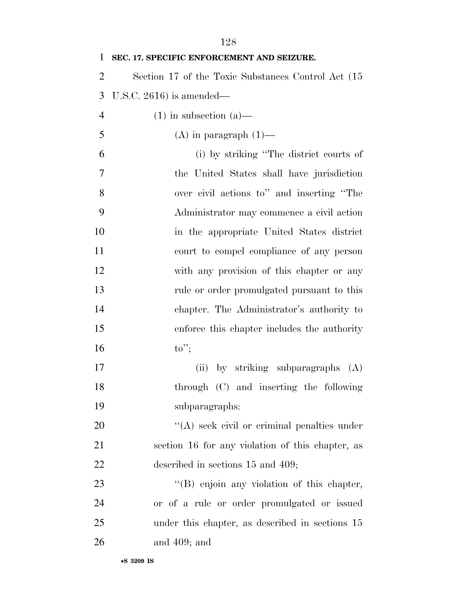| 1              | SEC. 17. SPECIFIC ENFORCEMENT AND SEIZURE.          |
|----------------|-----------------------------------------------------|
| $\overline{2}$ | Section 17 of the Toxic Substances Control Act (15) |
| 3              | U.S.C. $2616$ ) is amended—                         |
| $\overline{4}$ | $(1)$ in subsection $(a)$ —                         |
| 5              | $(A)$ in paragraph $(1)$ —                          |
| 6              | (i) by striking "The district courts of             |
| 7              | the United States shall have jurisdiction           |
| 8              | over civil actions to" and inserting "The           |
| 9              | Administrator may commence a civil action           |
| 10             | in the appropriate United States district           |
| 11             | court to compel compliance of any person            |
| 12             | with any provision of this chapter or any           |
| 13             | rule or order promulgated pursuant to this          |
| 14             | chapter. The Administrator's authority to           |
| 15             | enforce this chapter includes the authority         |
| 16             | $\mathrm{to}$ ";                                    |
| 17             | (ii) by striking subparagraphs<br>(A)               |
| 18             | through (C) and inserting the following             |
| 19             | subparagraphs:                                      |
| 20             | $\lq\lq$ seek civil or criminal penalties under     |
| 21             | section 16 for any violation of this chapter, as    |
| 22             | described in sections 15 and 409;                   |
| 23             | $\lq\lq$ enjoin any violation of this chapter,      |
| 24             | or of a rule or order promulgated or issued         |
| 25             | under this chapter, as described in sections 15     |
| 26             | and $409$ ; and                                     |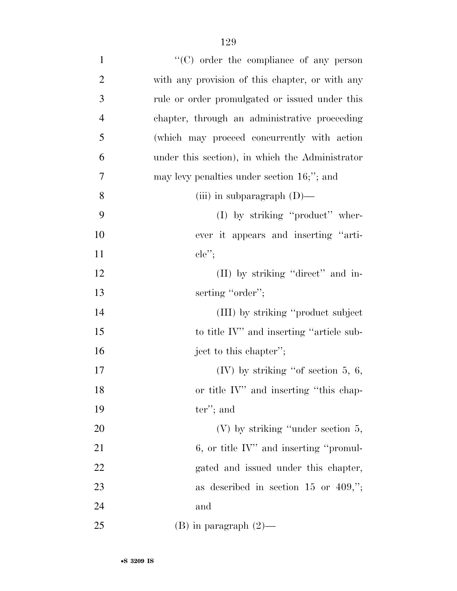| $\mathbf{1}$   | $\lq\lq$ order the compliance of any person     |
|----------------|-------------------------------------------------|
| $\overline{2}$ | with any provision of this chapter, or with any |
| 3              | rule or order promulgated or issued under this  |
| $\overline{4}$ | chapter, through an administrative proceeding   |
| 5              | (which may proceed concurrently with action     |
| 6              | under this section), in which the Administrator |
| 7              | may levy penalties under section $16$ ;"; and   |
| 8              | (iii) in subparagraph $(D)$ —                   |
| 9              | (I) by striking "product" wher-                 |
| 10             | ever it appears and inserting "arti-            |
| 11             | $ele''$ ;                                       |
| 12             | (II) by striking "direct" and in-               |
| 13             | serting "order";                                |
| 14             | (III) by striking "product subject              |
| 15             | to title IV" and inserting "article sub-        |
| 16             | ject to this chapter";                          |
| 17             | (IV) by striking "of section $5, 6$ ,           |
| 18             | or title IV" and inserting "this chap-          |
| 19             | $ter$ "; and                                    |
| 20             | $(V)$ by striking "under section 5,             |
| 21             | $6,$ or title IV" and inserting "promul-        |
| 22             | gated and issued under this chapter,            |
| 23             | as described in section 15 or 409,";            |
| 24             | and                                             |
| 25             | $(B)$ in paragraph $(2)$ —                      |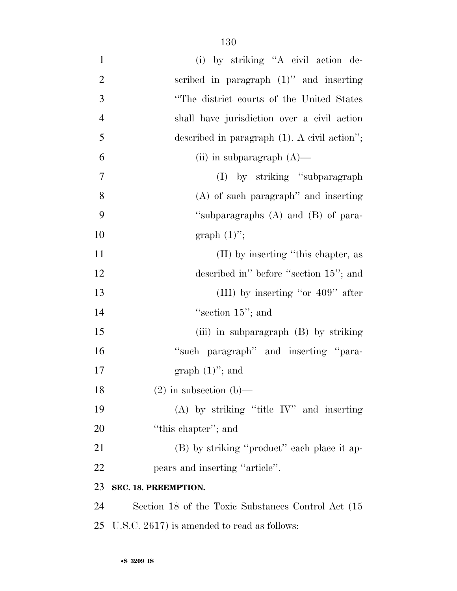| $\mathbf{1}$   | (i) by striking "A civil action de-                 |
|----------------|-----------------------------------------------------|
| $\overline{2}$ | scribed in paragraph $(1)$ " and inserting          |
| 3              | "The district courts of the United States           |
| $\overline{4}$ | shall have jurisdiction over a civil action         |
| 5              | described in paragraph $(1)$ . A civil action";     |
| 6              | (ii) in subparagraph $(A)$ —                        |
| 7              | (I) by striking "subparagraph"                      |
| 8              | $(A)$ of such paragraph" and inserting              |
| 9              | "subparagraphs (A) and (B) of para-                 |
| 10             | graph $(1)$ ";                                      |
| 11             | (II) by inserting "this chapter, as                 |
| 12             | described in" before "section 15"; and              |
| 13             | (III) by inserting "or $409$ " after                |
| 14             | "section $15$ "; and                                |
| 15             | (iii) in subparagraph (B) by striking               |
| 16             | "such paragraph" and inserting "para-               |
| 17             | graph $(1)$ "; and                                  |
| 18             | $(2)$ in subsection $(b)$ —                         |
| 19             | $(A)$ by striking "title IV" and inserting          |
| 20             | "this chapter"; and                                 |
| 21             | (B) by striking "product" each place it ap-         |
| 22             | pears and inserting "article".                      |
| 23             | SEC. 18. PREEMPTION.                                |
| 24             | Section 18 of the Toxic Substances Control Act (15) |
| 25             | U.S.C. 2617) is amended to read as follows:         |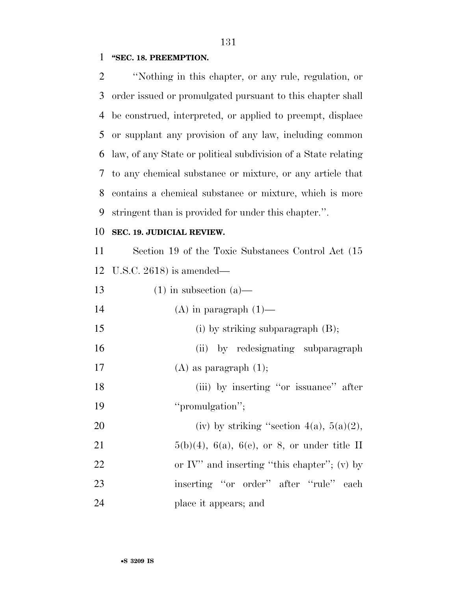### **''SEC. 18. PREEMPTION.**

 ''Nothing in this chapter, or any rule, regulation, or order issued or promulgated pursuant to this chapter shall be construed, interpreted, or applied to preempt, displace or supplant any provision of any law, including common law, of any State or political subdivision of a State relating to any chemical substance or mixture, or any article that contains a chemical substance or mixture, which is more stringent than is provided for under this chapter.''.

## **SEC. 19. JUDICIAL REVIEW.**

 Section 19 of the Toxic Substances Control Act (15 U.S.C. 2618) is amended—

| 13 | $(1)$ in subsection $(a)$ —                           |
|----|-------------------------------------------------------|
| 14 | $(A)$ in paragraph $(1)$ —                            |
| 15 | (i) by striking subparagraph $(B)$ ;                  |
| 16 | (ii) by redesignating subparagraph                    |
| 17 | $(A)$ as paragraph $(1)$ ;                            |
| 18 | (iii) by inserting "or issuance" after                |
| 19 | "promulgation";                                       |
| 20 | (iv) by striking "section $4(a)$ , $5(a)(2)$ ,        |
| 21 | $5(b)(4)$ , $6(a)$ , $6(e)$ , or 8, or under title II |
| 22 | or IV" and inserting "this chapter"; (v) by           |
| 23 | inserting "or order" after "rule" each                |
| 24 | place it appears; and                                 |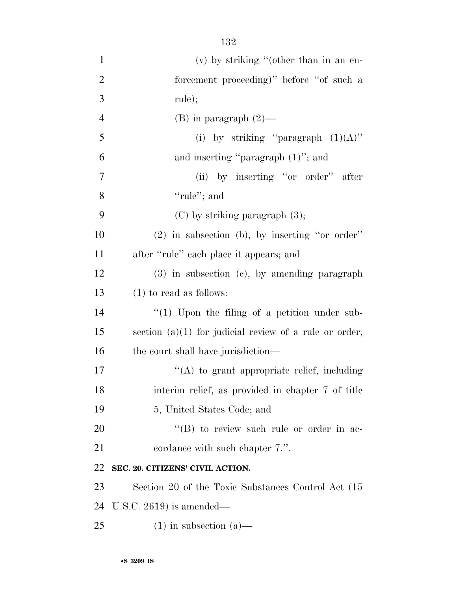| $\mathbf{1}$   | $(v)$ by striking "(other than in an en-                 |
|----------------|----------------------------------------------------------|
| $\overline{2}$ | forcement proceeding)" before "of such a                 |
| 3              | rule);                                                   |
| $\overline{4}$ | $(B)$ in paragraph $(2)$ —                               |
| 5              | (i) by striking "paragraph $(1)(A)$ "                    |
| 6              | and inserting "paragraph $(1)$ "; and                    |
| $\tau$         | (ii) by inserting "or order" after                       |
| 8              | "rule"; and                                              |
| 9              | $(C)$ by striking paragraph $(3)$ ;                      |
| 10             | $(2)$ in subsection (b), by inserting "or order"         |
| 11             | after "rule" each place it appears; and                  |
| 12             | $(3)$ in subsection $(e)$ , by amending paragraph        |
| 13             | $(1)$ to read as follows:                                |
| 14             | $\lq(1)$ Upon the filing of a petition under sub-        |
| 15             | section $(a)(1)$ for judicial review of a rule or order, |
| 16             | the court shall have jurisdiction—                       |
| 17             | "(A) to grant appropriate relief, including              |
| 18             | interim relief, as provided in chapter 7 of title        |
| 19             | 5, United States Code; and                               |
| 20             | "(B) to review such rule or order in ac-                 |
| 21             | cordance with such chapter 7.".                          |
| 22             | SEC. 20. CITIZENS' CIVIL ACTION.                         |
| 23             | Section 20 of the Toxic Substances Control Act (15       |
| 24             | U.S.C. $2619$ ) is amended—                              |
| 25             | $(1)$ in subsection $(a)$ —                              |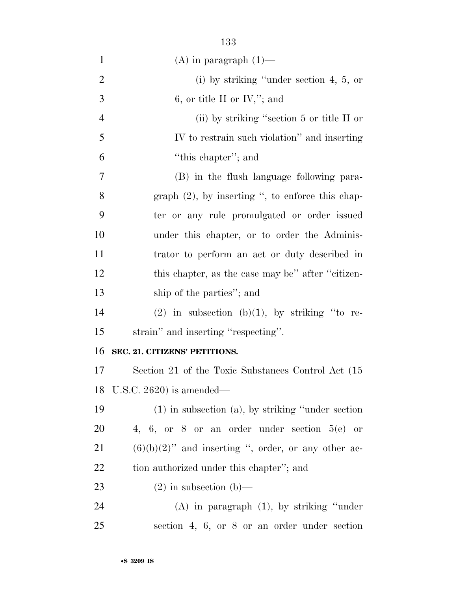| $\mathbf{1}$   | $(A)$ in paragraph $(1)$ —                              |
|----------------|---------------------------------------------------------|
| $\overline{2}$ | (i) by striking "under section $4, 5, or$               |
| 3              | 6, or title II or IV,"; and                             |
| 4              | (ii) by striking "section $5$ or title II or            |
| 5              | IV to restrain such violation" and inserting            |
| 6              | "this chapter"; and                                     |
| 7              | (B) in the flush language following para-               |
| 8              | graph $(2)$ , by inserting ", to enforce this chap-     |
| 9              | ter or any rule promulgated or order issued             |
| 10             | under this chapter, or to order the Adminis-            |
| 11             | trator to perform an act or duty described in           |
| 12             | this chapter, as the case may be" after "citizen-       |
| 13             | ship of the parties"; and                               |
| 14             | (2) in subsection (b)(1), by striking "to re-           |
| 15             | strain" and inserting "respecting".                     |
| 16             | SEC. 21. CITIZENS' PETITIONS.                           |
| 17             | Section 21 of the Toxic Substances Control Act (15)     |
| 18             | U.S.C. 2620) is amended—                                |
| 19             | $(1)$ in subsection $(a)$ , by striking "under section" |
| 20             | 4, 6, or 8 or an order under section $5(e)$ or          |
| 21             | $(6)(b)(2)$ " and inserting ", order, or any other ac-  |
| 22             | tion authorized under this chapter"; and                |
| 23             | $(2)$ in subsection (b)—                                |
| 24             | $(A)$ in paragraph $(1)$ , by striking "under"          |
| $25\,$         | section 4, 6, or 8 or an order under section            |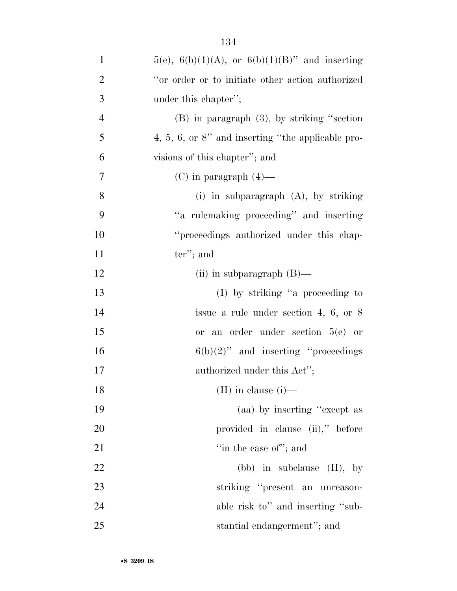| $\mathbf{1}$   | $5(e)$ , $6(b)(1)(A)$ , or $6(b)(1)(B)$ " and inserting |
|----------------|---------------------------------------------------------|
| $\overline{2}$ | "or order or to initiate other action authorized        |
| 3              | under this chapter";                                    |
| $\overline{4}$ | $(B)$ in paragraph $(3)$ , by striking "section"        |
| 5              | $4, 5, 6,$ or $8$ " and inserting "the applicable pro-  |
| 6              | visions of this chapter"; and                           |
| 7              | $(C)$ in paragraph $(4)$ —                              |
| 8              | (i) in subparagraph $(A)$ , by striking                 |
| 9              | "a rulemaking proceeding" and inserting                 |
| 10             | "proceedings authorized under this chap-                |
| 11             | $ter$ "; and                                            |
| 12             | (ii) in subparagraph $(B)$ —                            |
| 13             | $(I)$ by striking "a proceeding to                      |
| 14             | issue a rule under section 4, 6, or $8$                 |
| 15             | or an order under section $5(e)$ or                     |
| 16             | $6(b)(2)$ " and inserting "proceedings"                 |
| 17             | authorized under this Act";                             |
| 18             | $(II)$ in clause $(i)$ —                                |
| 19             | (aa) by inserting "except as                            |
| 20             | provided in clause (ii)," before                        |
| 21             | "in the case of"; and                                   |
| 22             | (bb) in subclause $(II)$ , by                           |
| 23             | striking "present an unreason-                          |
| 24             | able risk to" and inserting "sub-                       |
| 25             | stantial endangerment"; and                             |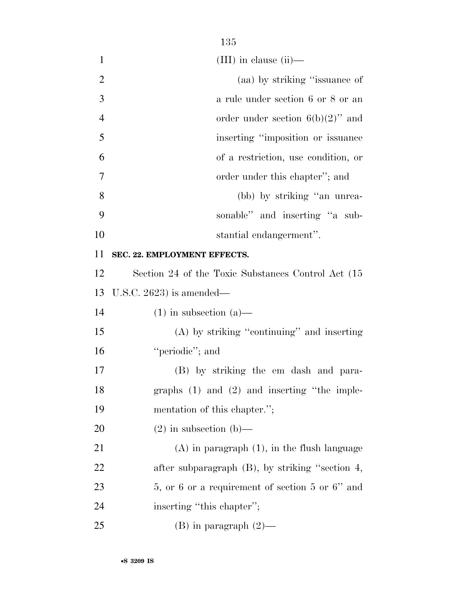- (III) in clause (ii)— 2 (aa) by striking "issuance of a rule under section 6 or 8 or an 4 order under section  $6(b)(2)$ " and inserting ''imposition or issuance of a restriction, use condition, or order under this chapter''; and (bb) by striking ''an unrea- sonable'' and inserting ''a sub- stantial endangerment''. **SEC. 22. EMPLOYMENT EFFECTS.**  Section 24 of the Toxic Substances Control Act (15 U.S.C. 2623) is amended— 14 (1) in subsection  $(a)$ —
- (A) by striking ''continuing'' and inserting 16 "periodic"; and

 (B) by striking the em dash and para- graphs (1) and (2) and inserting ''the imple-mentation of this chapter.'';

20  $(2)$  in subsection (b)—

 (A) in paragraph (1), in the flush language after subparagraph (B), by striking ''section 4, 23 5, or 6 or a requirement of section 5 or 6<sup>"</sup> and 24 inserting "this chapter";

25 (B) in paragraph  $(2)$ —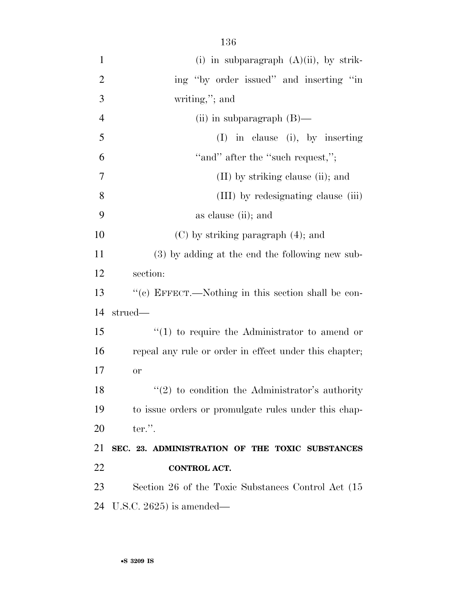| $\mathbf{1}$   | (i) in subparagraph $(A)(ii)$ , by strik-              |
|----------------|--------------------------------------------------------|
| $\overline{2}$ | ing "by order issued" and inserting "in                |
| 3              | writing,"; and                                         |
| $\overline{4}$ | (ii) in subparagraph $(B)$ —                           |
| 5              | $(I)$ in clause (i), by inserting                      |
| 6              | "and" after the "such request,";                       |
| 7              | (II) by striking clause (ii); and                      |
| 8              | (III) by redesignating clause (iii)                    |
| 9              | as clause (ii); and                                    |
| 10             | $(C)$ by striking paragraph $(4)$ ; and                |
| 11             | (3) by adding at the end the following new sub-        |
| 12             | section:                                               |
| 13             | "(c) EFFECT.—Nothing in this section shall be con-     |
| 14             | strued—                                                |
| 15             | $\lq(1)$ to require the Administrator to amend or      |
| 16             | repeal any rule or order in effect under this chapter; |
| 17             | <b>or</b>                                              |
| 18             | $\lq(2)$ to condition the Administrator's authority    |
| 19             | to issue orders or promulgate rules under this chap-   |
| 20             | ter.".                                                 |
| 21             | SEC. 23. ADMINISTRATION OF THE TOXIC SUBSTANCES        |
| <u>22</u>      |                                                        |
|                | <b>CONTROL ACT.</b>                                    |
| 23             | Section 26 of the Toxic Substances Control Act (15)    |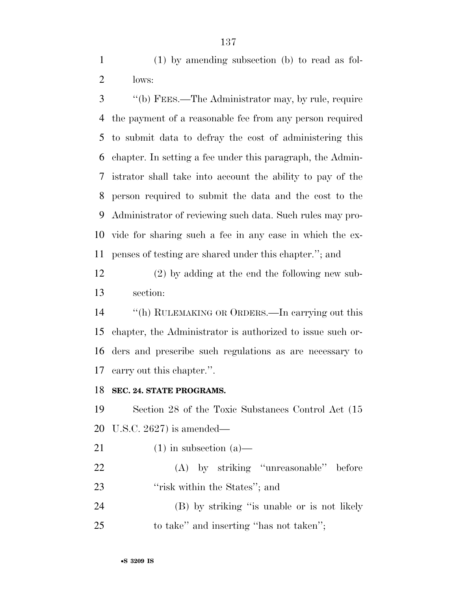(1) by amending subsection (b) to read as fol-lows:

 ''(b) FEES.—The Administrator may, by rule, require the payment of a reasonable fee from any person required to submit data to defray the cost of administering this chapter. In setting a fee under this paragraph, the Admin- istrator shall take into account the ability to pay of the person required to submit the data and the cost to the Administrator of reviewing such data. Such rules may pro- vide for sharing such a fee in any case in which the ex-penses of testing are shared under this chapter.''; and

 (2) by adding at the end the following new sub-section:

 ''(h) RULEMAKING OR ORDERS.—In carrying out this chapter, the Administrator is authorized to issue such or- ders and prescribe such regulations as are necessary to carry out this chapter.''.

## **SEC. 24. STATE PROGRAMS.**

 Section 28 of the Toxic Substances Control Act (15 U.S.C. 2627) is amended—

- 21 (1) in subsection  $(a)$ —
- (A) by striking ''unreasonable'' before 23 ''risk within the States''; and
- (B) by striking ''is unable or is not likely to take'' and inserting ''has not taken'';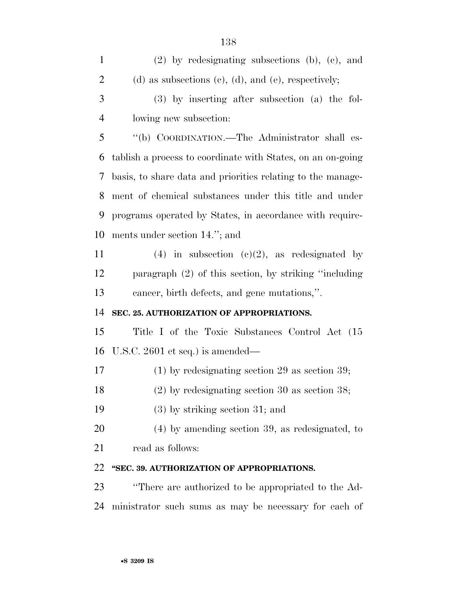| $\mathbf{1}$   | $(2)$ by redesignating subsections (b), (c), and            |
|----------------|-------------------------------------------------------------|
| $\overline{2}$ | (d) as subsections (c), (d), and (e), respectively;         |
| 3              | $(3)$ by inserting after subsection $(a)$ the fol-          |
| $\overline{4}$ | lowing new subsection:                                      |
| 5              | "(b) COORDINATION.—The Administrator shall es-              |
| 6              | tablish a process to coordinate with States, on an on-going |
| 7              | basis, to share data and priorities relating to the manage- |
| 8              | ment of chemical substances under this title and under      |
| 9              | programs operated by States, in accordance with require-    |
| 10             | ments under section 14."; and                               |
| 11             | (4) in subsection (c)(2), as redesignated by                |
| 12             | paragraph $(2)$ of this section, by striking "including"    |
| 13             | cancer, birth defects, and gene mutations,".                |
| 14             | SEC. 25. AUTHORIZATION OF APPROPRIATIONS.                   |
| 15             | Title I of the Toxic Substances Control Act (15             |
| 16             | U.S.C. $2601$ et seq.) is amended—                          |
| 17             | $(1)$ by redesignating section 29 as section 39;            |
| 18             | $(2)$ by redesignating section 30 as section 38;            |
| 19             | $(3)$ by striking section 31; and                           |
| 20             | $(4)$ by amending section 39, as redesignated, to           |
| 21             | read as follows:                                            |
| 22             | "SEC. 39. AUTHORIZATION OF APPROPRIATIONS.                  |
| 23             | "There are authorized to be appropriated to the Ad-         |
| 24             | ministrator such sums as may be necessary for each of       |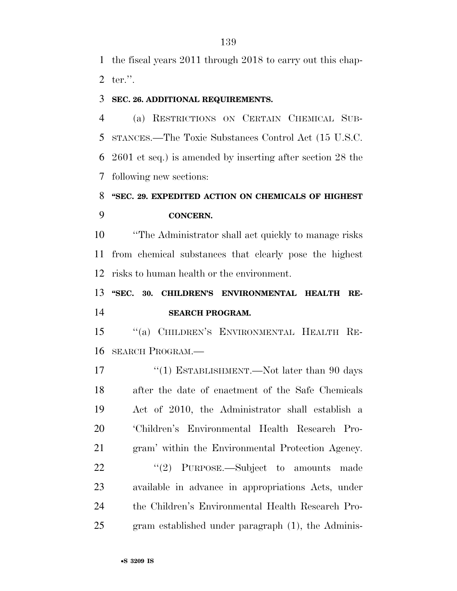the fiscal years 2011 through 2018 to carry out this chap-ter.''.

## **SEC. 26. ADDITIONAL REQUIREMENTS.**

 (a) RESTRICTIONS ON CERTAIN CHEMICAL SUB- STANCES.—The Toxic Substances Control Act (15 U.S.C. 2601 et seq.) is amended by inserting after section 28 the following new sections:

# **''SEC. 29. EXPEDITED ACTION ON CHEMICALS OF HIGHEST CONCERN.**

 ''The Administrator shall act quickly to manage risks from chemical substances that clearly pose the highest risks to human health or the environment.

 **''SEC. 30. CHILDREN'S ENVIRONMENTAL HEALTH RE-SEARCH PROGRAM.** 

 ''(a) CHILDREN'S ENVIRONMENTAL HEALTH RE-SEARCH PROGRAM.—

17 ''(1) ESTABLISHMENT.—Not later than 90 days after the date of enactment of the Safe Chemicals Act of 2010, the Administrator shall establish a 'Children's Environmental Health Research Pro- gram' within the Environmental Protection Agency. 22 "'(2) PURPOSE.—Subject to amounts made available in advance in appropriations Acts, under the Children's Environmental Health Research Pro-gram established under paragraph (1), the Adminis-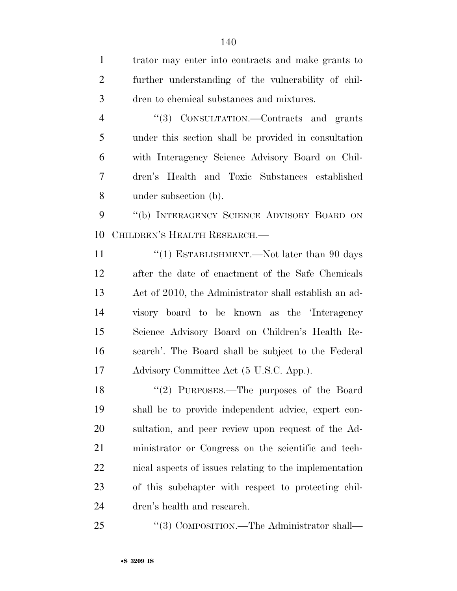trator may enter into contracts and make grants to further understanding of the vulnerability of chil- dren to chemical substances and mixtures. ''(3) CONSULTATION.—Contracts and grants under this section shall be provided in consultation with Interagency Science Advisory Board on Chil- dren's Health and Toxic Substances established under subsection (b). 9 "(b) INTERAGENCY SCIENCE ADVISORY BOARD ON CHILDREN'S HEALTH RESEARCH.— 11 ''(1) ESTABLISHMENT.—Not later than 90 days after the date of enactment of the Safe Chemicals Act of 2010, the Administrator shall establish an ad- visory board to be known as the 'Interagency Science Advisory Board on Children's Health Re- search'. The Board shall be subject to the Federal Advisory Committee Act (5 U.S.C. App.). ''(2) PURPOSES.—The purposes of the Board shall be to provide independent advice, expert con- sultation, and peer review upon request of the Ad- ministrator or Congress on the scientific and tech- nical aspects of issues relating to the implementation of this subchapter with respect to protecting chil-dren's health and research.

25 "(3) COMPOSITION.—The Administrator shall—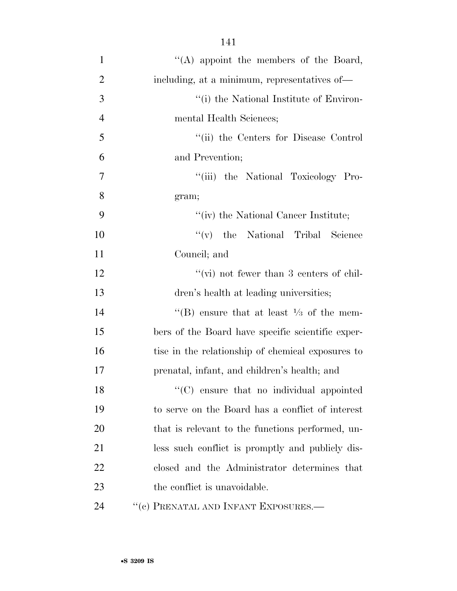| $\mathbf{1}$   | "(A) appoint the members of the Board,              |
|----------------|-----------------------------------------------------|
| $\overline{2}$ | including, at a minimum, representatives of-        |
| 3              | "(i) the National Institute of Environ-             |
| $\overline{4}$ | mental Health Sciences;                             |
| 5              | "(ii) the Centers for Disease Control               |
| 6              | and Prevention;                                     |
| $\overline{7}$ | ``(iii)<br>the National Toxicology Pro-             |
| 8              | gram;                                               |
| 9              | "(iv) the National Cancer Institute;                |
| 10             | $f'(v)$ the National Tribal<br>Science              |
| 11             | Council; and                                        |
| 12             | "(vi) not fewer than 3 centers of chil-             |
| 13             | dren's health at leading universities;              |
| 14             | "(B) ensure that at least $\frac{1}{3}$ of the mem- |
| 15             | bers of the Board have specific scientific exper-   |
| 16             | tise in the relationship of chemical exposures to   |
| 17             | prenatal, infant, and children's health; and        |
| 18             | "(C) ensure that no individual appointed            |
| 19             | to serve on the Board has a conflict of interest    |
| 20             | that is relevant to the functions performed, un-    |
| 21             | less such conflict is promptly and publicly dis-    |
| 22             | closed and the Administrator determines that        |
| 23             | the conflict is unavoidable.                        |
| 24             | "(c) PRENATAL AND INFANT EXPOSURES.-                |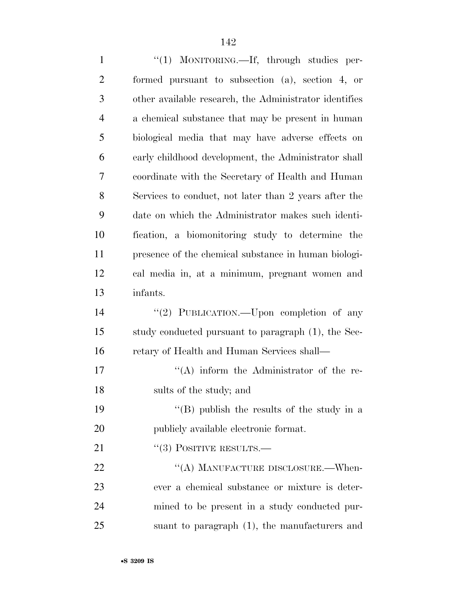1 "(1) MONITORING.—If, through studies per- formed pursuant to subsection (a), section 4, or other available research, the Administrator identifies a chemical substance that may be present in human biological media that may have adverse effects on early childhood development, the Administrator shall coordinate with the Secretary of Health and Human Services to conduct, not later than 2 years after the date on which the Administrator makes such identi- fication, a biomonitoring study to determine the presence of the chemical substance in human biologi- cal media in, at a minimum, pregnant women and infants. 14 "(2) PUBLICATION.—Upon completion of any study conducted pursuant to paragraph (1), the Sec- retary of Health and Human Services shall— 17 ''(A) inform the Administrator of the re- sults of the study; and 19 ''(B) publish the results of the study in a publicly available electronic format. 21 "(3) POSITIVE RESULTS.— 22 "(A) MANUFACTURE DISCLOSURE.—When- ever a chemical substance or mixture is deter- mined to be present in a study conducted pur-suant to paragraph (1), the manufacturers and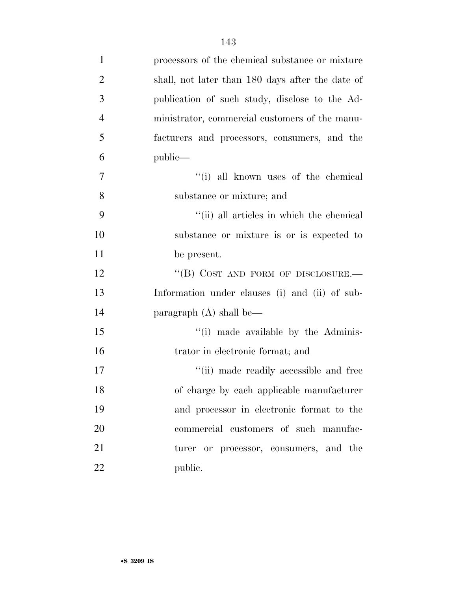| $\mathbf{1}$   | processors of the chemical substance or mixture  |
|----------------|--------------------------------------------------|
| $\overline{2}$ | shall, not later than 180 days after the date of |
| 3              | publication of such study, disclose to the Ad-   |
| $\overline{4}$ | ministrator, commercial customers of the manu-   |
| 5              | facturers and processors, consumers, and the     |
| 6              | public—                                          |
| 7              | "(i) all known uses of the chemical              |
| 8              | substance or mixture; and                        |
| 9              | "(ii) all articles in which the chemical         |
| 10             | substance or mixture is or is expected to        |
| 11             | be present.                                      |
| 12             | "(B) COST AND FORM OF DISCLOSURE.-               |
| 13             | Information under clauses (i) and (ii) of sub-   |
| 14             | paragraph $(A)$ shall be—                        |
| 15             | "(i) made available by the Adminis-              |
| 16             | trator in electronic format; and                 |
| 17             | "(ii) made readily accessible and free           |
| 18             | of charge by each applicable manufacturer        |
| 19             | and processor in electronic format to the        |
| 20             | commercial customers of such manufac-            |
| 21             | turer or processor, consumers, and the           |
| 22             | public.                                          |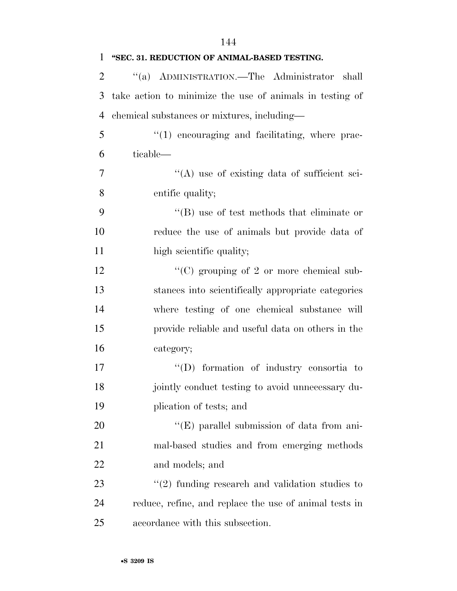| $\mathbf{1}$   | "SEC. 31. REDUCTION OF ANIMAL-BASED TESTING.             |
|----------------|----------------------------------------------------------|
| $\overline{2}$ | "(a) ADMINISTRATION.—The Administrator<br>shall          |
| 3              | take action to minimize the use of animals in testing of |
| $\overline{4}$ | chemical substances or mixtures, including—              |
| 5              | $\lq(1)$ encouraging and facilitating, where prac-       |
| 6              | ticable—                                                 |
| 7              | "(A) use of existing data of sufficient sci-             |
| 8              | entific quality;                                         |
| 9              | $\lq\lq$ use of test methods that eliminate or           |
| 10             | reduce the use of animals but provide data of            |
| 11             | high scientific quality;                                 |
| 12             | " $(C)$ grouping of 2 or more chemical sub-              |
| 13             | stances into scientifically appropriate categories       |
| 14             | where testing of one chemical substance will             |
| 15             | provide reliable and useful data on others in the        |
| 16             | category;                                                |
| 17             | $\lq\lq$ formation of industry consortia to              |
| 18             | jointly conduct testing to avoid unnecessary du-         |
| 19             | plication of tests; and                                  |
| 20             | $\lq\lq(E)$ parallel submission of data from ani-        |
| 21             | mal-based studies and from emerging methods              |
| 22             | and models; and                                          |
| 23             | $\lq(2)$ funding research and validation studies to      |
| 24             | reduce, refine, and replace the use of animal tests in   |
| 25             | accordance with this subsection.                         |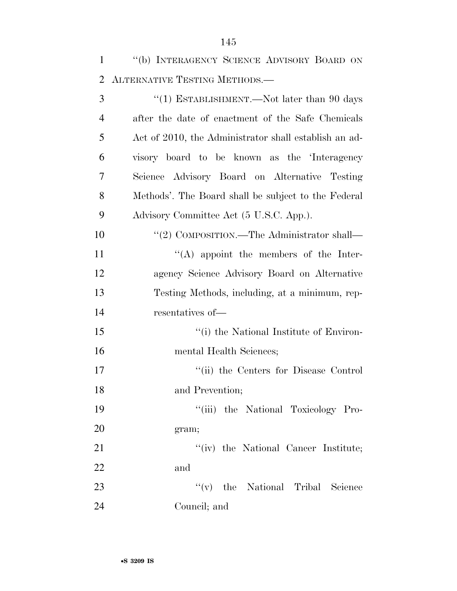| 1              | "(b) INTERAGENCY SCIENCE ADVISORY BOARD ON            |
|----------------|-------------------------------------------------------|
| 2              | ALTERNATIVE TESTING METHODS.-                         |
| 3              | "(1) ESTABLISHMENT.—Not later than $90$ days          |
| $\overline{4}$ | after the date of enactment of the Safe Chemicals     |
| 5              | Act of 2010, the Administrator shall establish an ad- |
| 6              | visory board to be known as the 'Interagency          |
| 7              | Science Advisory Board on Alternative Testing         |
| 8              | Methods'. The Board shall be subject to the Federal   |
| 9              | Advisory Committee Act (5 U.S.C. App.).               |
| 10             | "(2) COMPOSITION.—The Administrator shall—            |
| 11             | $\lq\lq$ appoint the members of the Inter-            |
| 12             | agency Science Advisory Board on Alternative          |
| 13             | Testing Methods, including, at a minimum, rep-        |
| 14             | resentatives of-                                      |
| 15             | "(i) the National Institute of Environ-               |
| 16             | mental Health Sciences;                               |
| 17             | "(ii) the Centers for Disease Control                 |
| 18             | and Prevention;                                       |
| 19             | "(iii) the National Toxicology Pro-                   |
| 20             | gram;                                                 |
| 21             | "(iv) the National Cancer Institute;                  |
| 22             | and                                                   |
| 23             | $f'(v)$ the National Tribal Science                   |
| 24             | Council; and                                          |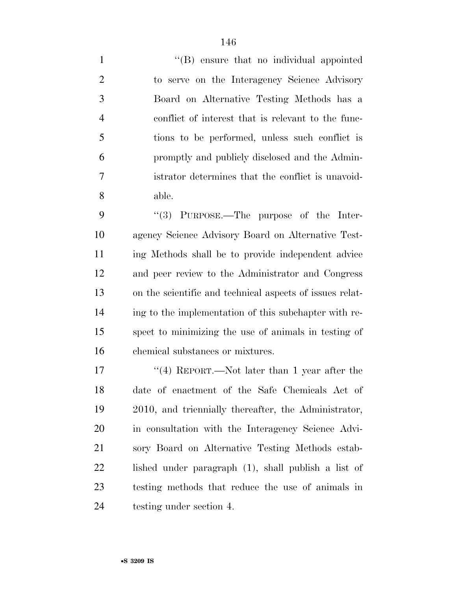1 ''(B) ensure that no individual appointed to serve on the Interagency Science Advisory Board on Alternative Testing Methods has a conflict of interest that is relevant to the func- tions to be performed, unless such conflict is promptly and publicly disclosed and the Admin- istrator determines that the conflict is unavoid-able.

9 "(3) PURPOSE.—The purpose of the Inter- agency Science Advisory Board on Alternative Test- ing Methods shall be to provide independent advice and peer review to the Administrator and Congress on the scientific and technical aspects of issues relat- ing to the implementation of this subchapter with re- spect to minimizing the use of animals in testing of chemical substances or mixtures.

17 ''(4) REPORT.—Not later than 1 year after the date of enactment of the Safe Chemicals Act of 2010, and triennially thereafter, the Administrator, in consultation with the Interagency Science Advi- sory Board on Alternative Testing Methods estab- lished under paragraph (1), shall publish a list of testing methods that reduce the use of animals in testing under section 4.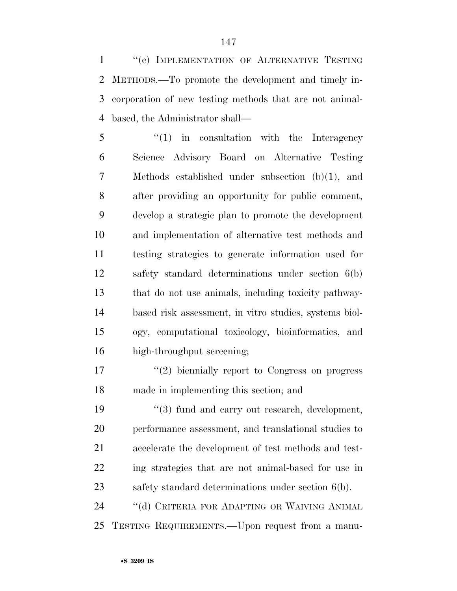1 "(c) IMPLEMENTATION OF ALTERNATIVE TESTING METHODS.—To promote the development and timely in- corporation of new testing methods that are not animal-based, the Administrator shall—

5 "(1) in consultation with the Interagency Science Advisory Board on Alternative Testing Methods established under subsection (b)(1), and after providing an opportunity for public comment, develop a strategic plan to promote the development and implementation of alternative test methods and testing strategies to generate information used for safety standard determinations under section 6(b) that do not use animals, including toxicity pathway- based risk assessment, in vitro studies, systems biol- ogy, computational toxicology, bioinformatics, and high-throughput screening;

17  $\frac{17}{2}$  biennially report to Congress on progress made in implementing this section; and

19 ''(3) fund and carry out research, development, performance assessment, and translational studies to accelerate the development of test methods and test- ing strategies that are not animal-based for use in safety standard determinations under section 6(b).

 ''(d) CRITERIA FOR ADAPTING OR WAIVING ANIMAL TESTING REQUIREMENTS.—Upon request from a manu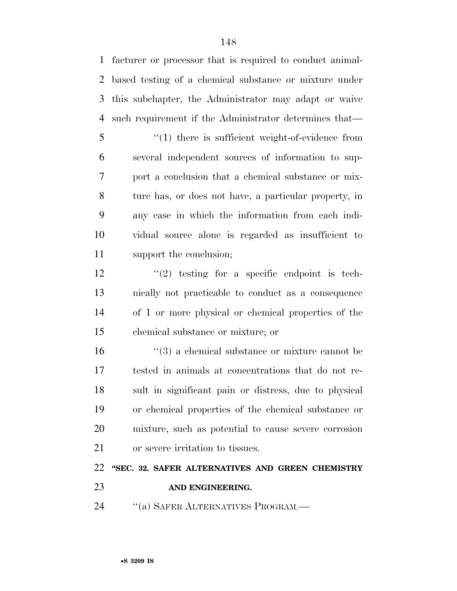facturer or processor that is required to conduct animal- based testing of a chemical substance or mixture under this subchapter, the Administrator may adapt or waive such requirement if the Administrator determines that—

5 "(1) there is sufficient weight-of-evidence from several independent sources of information to sup- port a conclusion that a chemical substance or mix- ture has, or does not have, a particular property, in any case in which the information from each indi- vidual source alone is regarded as insufficient to support the conclusion;

 $\frac{12}{2}$  ''(2) testing for a specific endpoint is tech- nically not practicable to conduct as a consequence of 1 or more physical or chemical properties of the chemical substance or mixture; or

 ''(3) a chemical substance or mixture cannot be tested in animals at concentrations that do not re- sult in significant pain or distress, due to physical or chemical properties of the chemical substance or mixture, such as potential to cause severe corrosion or severe irritation to tissues.

 **''SEC. 32. SAFER ALTERNATIVES AND GREEN CHEMISTRY AND ENGINEERING.** 

24 "(a) SAFER ALTERNATIVES PROGRAM.—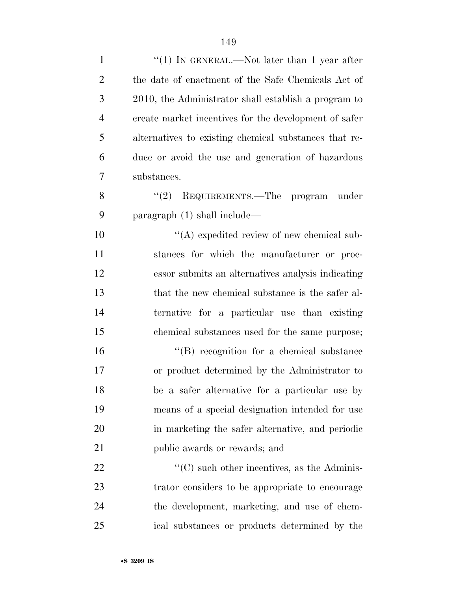| $\mathbf{1}$   | "(1) IN GENERAL.—Not later than 1 year after          |
|----------------|-------------------------------------------------------|
| $\overline{2}$ | the date of enactment of the Safe Chemicals Act of    |
| 3              | 2010, the Administrator shall establish a program to  |
| $\overline{4}$ | create market incentives for the development of safer |
| 5              | alternatives to existing chemical substances that re- |
| 6              | duce or avoid the use and generation of hazardous     |
| 7              | substances.                                           |
| 8              | "(2) REQUIREMENTS.—The program under                  |
| 9              | paragraph $(1)$ shall include—                        |
| 10             | $\lq\lq$ expedited review of new chemical sub-        |
| 11             | stances for which the manufacturer or proc-           |
| 12             | essor submits an alternatives analysis indicating     |
| 13             | that the new chemical substance is the safer al-      |
| 14             | ternative for a particular use than existing          |
| 15             | chemical substances used for the same purpose;        |
| 16             | "(B) recognition for a chemical substance             |
| 17             | or product determined by the Administrator to         |
| 18             | be a safer alternative for a particular use by        |
| 19             | means of a special designation intended for use       |
| 20             | in marketing the safer alternative, and periodic      |
| 21             | public awards or rewards; and                         |
| 22             | $\cdot$ (C) such other incentives, as the Adminis-    |
| 23             | trator considers to be appropriate to encourage       |
| 24             | the development, marketing, and use of chem-          |
| 25             | ical substances or products determined by the         |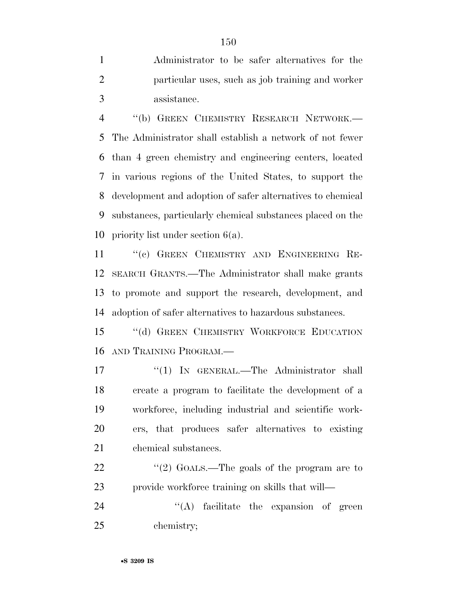Administrator to be safer alternatives for the particular uses, such as job training and worker assistance.

 ''(b) GREEN CHEMISTRY RESEARCH NETWORK.— The Administrator shall establish a network of not fewer than 4 green chemistry and engineering centers, located in various regions of the United States, to support the development and adoption of safer alternatives to chemical substances, particularly chemical substances placed on the priority list under section 6(a).

 ''(c) GREEN CHEMISTRY AND ENGINEERING RE- SEARCH GRANTS.—The Administrator shall make grants to promote and support the research, development, and adoption of safer alternatives to hazardous substances.

15 "(d) GREEN CHEMISTRY WORKFORCE EDUCATION AND TRAINING PROGRAM.—

17 "(1) IN GENERAL.—The Administrator shall create a program to facilitate the development of a workforce, including industrial and scientific work- ers, that produces safer alternatives to existing chemical substances.

22  $\frac{1}{2}$   $\frac{1}{2}$  GOALS. The goals of the program are to provide workforce training on skills that will—

24 ''(A) facilitate the expansion of green chemistry;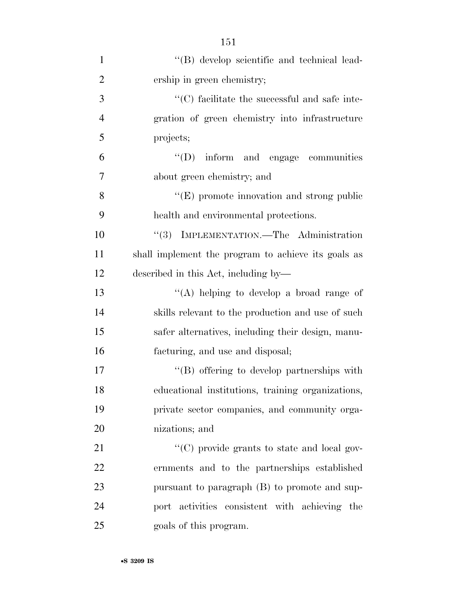| $\mathbf{1}$   | "(B) develop scientific and technical lead-          |
|----------------|------------------------------------------------------|
| $\overline{2}$ | ership in green chemistry;                           |
| 3              | $\cdot$ (C) facilitate the successful and safe inte- |
| $\overline{4}$ | gration of green chemistry into infrastructure       |
| 5              | projects;                                            |
| 6              | "(D) inform and engage communities                   |
| 7              | about green chemistry; and                           |
| 8              | "(E) promote innovation and strong public            |
| 9              | health and environmental protections.                |
| 10             | "(3) IMPLEMENTATION.—The Administration              |
| 11             | shall implement the program to achieve its goals as  |
| 12             | described in this Act, including by—                 |
| 13             | "(A) helping to develop a broad range of             |
| 14             | skills relevant to the production and use of such    |
| 15             | safer alternatives, including their design, manu-    |
| 16             | facturing, and use and disposal;                     |
| 17             | "(B) offering to develop partnerships with           |
| 18             | educational institutions, training organizations,    |
| 19             | private sector companies, and community orga-        |
| 20             | nizations; and                                       |
| 21             | "(C) provide grants to state and local gov-          |
| 22             | ernments and to the partnerships established         |
| 23             | pursuant to paragraph (B) to promote and sup-        |
| 24             | port activities consistent with achieving the        |
| 25             | goals of this program.                               |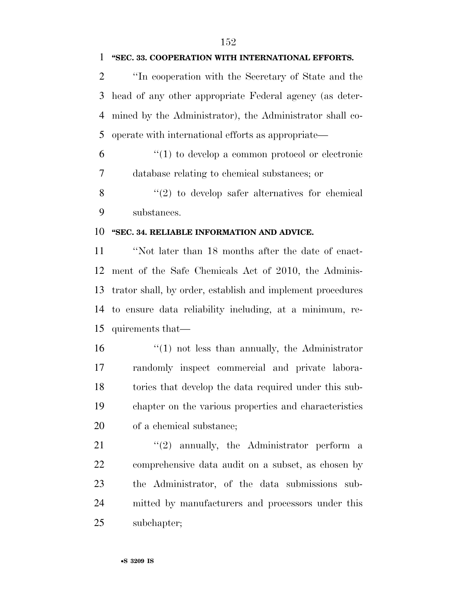### **''SEC. 33. COOPERATION WITH INTERNATIONAL EFFORTS.**

 ''In cooperation with the Secretary of State and the head of any other appropriate Federal agency (as deter- mined by the Administrator), the Administrator shall co-operate with international efforts as appropriate—

 ''(1) to develop a common protocol or electronic database relating to chemical substances; or

 ''(2) to develop safer alternatives for chemical substances.

### **''SEC. 34. RELIABLE INFORMATION AND ADVICE.**

 ''Not later than 18 months after the date of enact- ment of the Safe Chemicals Act of 2010, the Adminis- trator shall, by order, establish and implement procedures to ensure data reliability including, at a minimum, re-quirements that—

16 ''(1) not less than annually, the Administrator randomly inspect commercial and private labora- tories that develop the data required under this sub- chapter on the various properties and characteristics of a chemical substance;

21 ''(2) annually, the Administrator perform a comprehensive data audit on a subset, as chosen by the Administrator, of the data submissions sub- mitted by manufacturers and processors under this subchapter;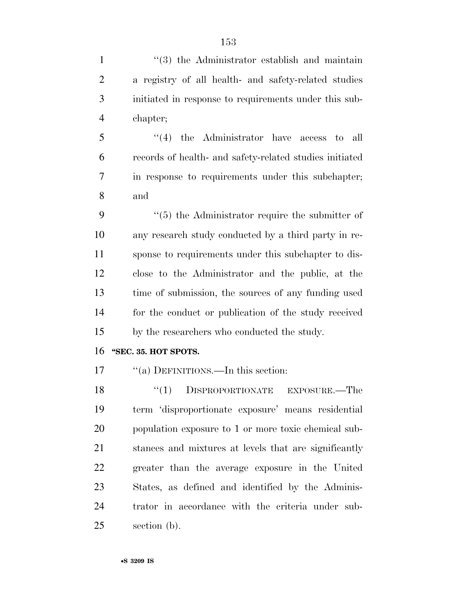| $\mathbf{1}$   | $(3)$ the Administrator establish and maintain          |
|----------------|---------------------------------------------------------|
| $\overline{2}$ | a registry of all health- and safety-related studies    |
| 3              | initiated in response to requirements under this sub-   |
| $\overline{4}$ | chapter;                                                |
| 5              | $(4)$ the Administrator have access<br>to all           |
| 6              | records of health- and safety-related studies initiated |
| 7              | in response to requirements under this subchapter;      |
| 8              | and                                                     |
| 9              | $\lq\lq(5)$ the Administrator require the submitter of  |
| 10             | any research study conducted by a third party in re-    |
| 11             | sponse to requirements under this subchapter to dis-    |
| 12             | close to the Administrator and the public, at the       |
| 13             | time of submission, the sources of any funding used     |
| 14             | for the conduct or publication of the study received    |
| 15             | by the researchers who conducted the study.             |
| 16             | "SEC. 35. HOT SPOTS.                                    |
| 17             | "(a) DEFINITIONS.—In this section:                      |
| 18             | $\lq(1)$ DISPROPORTIONATE EXPOSURE.—The                 |
| 19             | term 'disproportionate exposure' means residential      |
| 20             | population exposure to 1 or more toxic chemical sub-    |
| 21             | stances and mixtures at levels that are significantly   |
| 22             | greater than the average exposure in the United         |
| 23             | States, as defined and identified by the Adminis-       |
| 24             | trator in accordance with the criteria under sub-       |
| 25             | section (b).                                            |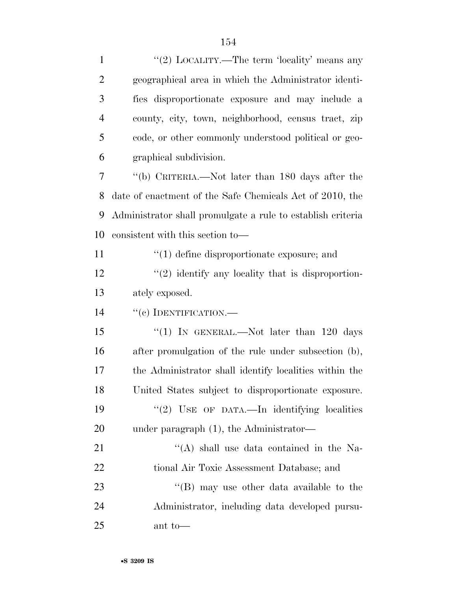| $\mathbf{1}$   | "(2) LOCALITY.—The term 'locality' means any                |
|----------------|-------------------------------------------------------------|
| $\overline{2}$ | geographical area in which the Administrator identi-        |
| 3              | fies disproportionate exposure and may include a            |
| $\overline{4}$ | county, city, town, neighborhood, census tract, zip         |
| 5              | code, or other commonly understood political or geo-        |
| 6              | graphical subdivision.                                      |
| 7              | "(b) CRITERIA.—Not later than 180 days after the            |
| 8              | date of enactment of the Safe Chemicals Act of 2010, the    |
| 9              | Administrator shall promulgate a rule to establish criteria |
| 10             | consistent with this section to—                            |
| 11             | $\cdot$ (1) define disproportionate exposure; and           |
| 12             | $\lq(2)$ identify any locality that is disproportion-       |
| 13             | ately exposed.                                              |
| 14             | "(c) IDENTIFICATION.—                                       |
| 15             | "(1) IN GENERAL.—Not later than $120$ days                  |
| 16             | after promulgation of the rule under subsection (b),        |
| 17             | the Administrator shall identify localities within the      |
| 18             | United States subject to disproportionate exposure.         |
| 19             | "(2) USE OF DATA.—In identifying localities                 |
| 20             | under paragraph $(1)$ , the Administrator—                  |
| 21             | "(A) shall use data contained in the Na-                    |
| 22             | tional Air Toxic Assessment Database; and                   |
| 23             | $\lq\lq (B)$ may use other data available to the            |
| 24             | Administrator, including data developed pursu-              |
| 25             | ant to-                                                     |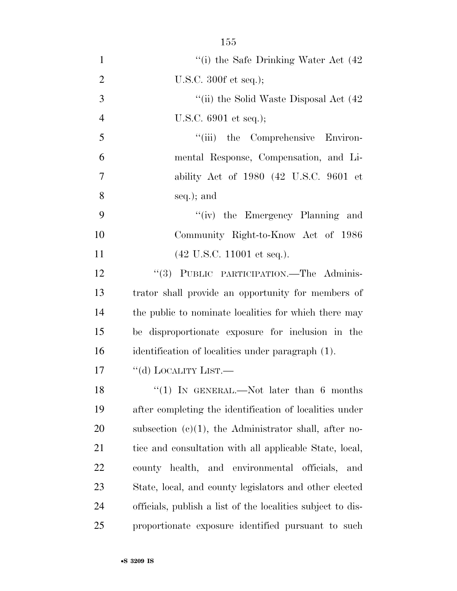| $\mathbf{1}$   | "(i) the Safe Drinking Water Act $(42)$                     |
|----------------|-------------------------------------------------------------|
| $\overline{2}$ | U.S.C. $300f$ et seq.);                                     |
| 3              | "(ii) the Solid Waste Disposal Act $(42)$                   |
| $\overline{4}$ | U.S.C. 6901 et seq.);                                       |
| 5              | "(iii) the Comprehensive Environ-                           |
| 6              | mental Response, Compensation, and Li-                      |
| 7              | ability Act of 1980 (42 U.S.C. 9601 et                      |
| 8              | seq.); and                                                  |
| 9              | "(iv) the Emergency Planning and                            |
| 10             | Community Right-to-Know Act of 1986                         |
| 11             | $(42 \text{ U.S.C. } 11001 \text{ et seq.}).$               |
| 12             | "(3) PUBLIC PARTICIPATION.—The Adminis-                     |
| 13             | trator shall provide an opportunity for members of          |
| 14             | the public to nominate localities for which there may       |
| 15             | be disproportionate exposure for inclusion in the           |
| 16             | identification of localities under paragraph (1).           |
| 17             | "(d) LOCALITY LIST.—                                        |
| 18             | "(1) IN GENERAL.—Not later than $6$ months                  |
| 19             | after completing the identification of localities under     |
| 20             | subsection $(c)(1)$ , the Administrator shall, after no-    |
| 21             | tice and consultation with all applicable State, local,     |
| <u>22</u>      | county health, and environmental officials, and             |
| 23             | State, local, and county legislators and other elected      |
| 24             | officials, publish a list of the localities subject to dis- |
| 25             | proportionate exposure identified pursuant to such          |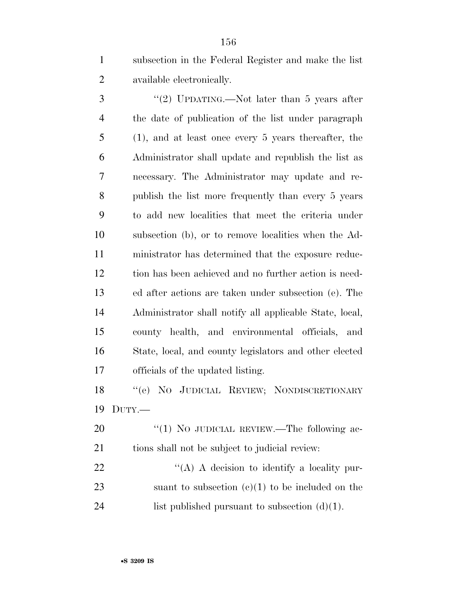subsection in the Federal Register and make the list available electronically.

3 "(2) UPDATING.—Not later than 5 years after the date of publication of the list under paragraph (1), and at least once every 5 years thereafter, the Administrator shall update and republish the list as necessary. The Administrator may update and re- publish the list more frequently than every 5 years to add new localities that meet the criteria under subsection (b), or to remove localities when the Ad- ministrator has determined that the exposure reduc- tion has been achieved and no further action is need- ed after actions are taken under subsection (e). The Administrator shall notify all applicable State, local, county health, and environmental officials, and State, local, and county legislators and other elected officials of the updated listing.

 ''(e) NO JUDICIAL REVIEW; NONDISCRETIONARY DUTY.—

20 "(1) No JUDICIAL REVIEW.—The following ac- tions shall not be subject to judicial review:  $\mathcal{L}(A)$  A decision to identify a locality pur-

23 suant to subsection  $(e)(1)$  to be included on the 24 list published pursuant to subsection  $(d)(1)$ .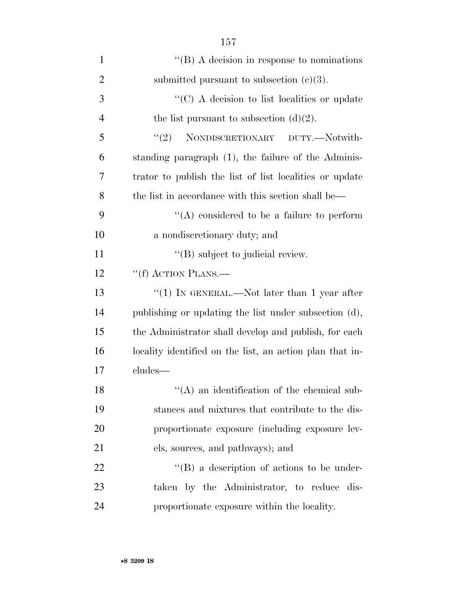| $\mathbf{1}$   | $\lq\lq$ (B) A decision in response to nominations       |
|----------------|----------------------------------------------------------|
| $\overline{2}$ | submitted pursuant to subsection $(c)(3)$ .              |
| 3              | "(C) A decision to list localities or update             |
| $\overline{4}$ | the list pursuant to subsection $(d)(2)$ .               |
| 5              | NONDISCRETIONARY DUTY.-Notwith-<br>(2)                   |
| 6              | standing paragraph (1), the failure of the Adminis-      |
| 7              | trator to publish the list of list localities or update  |
| 8              | the list in accordance with this section shall be—       |
| 9              | $\lq\lq$ considered to be a failure to perform           |
| 10             | a nondiscretionary duty; and                             |
| 11             | $\lq\lq$ (B) subject to judicial review.                 |
| 12             | "(f) ACTION PLANS.—                                      |
| 13             | "(1) IN GENERAL.—Not later than 1 year after             |
| 14             | publishing or updating the list under subsection (d),    |
| 15             | the Administrator shall develop and publish, for each    |
| 16             | locality identified on the list, an action plan that in- |
| 17             | cludes—                                                  |
| 18             | $\lq\lq$ an identification of the chemical sub-          |
| 19             | stances and mixtures that contribute to the dis-         |
| 20             | proportionate exposure (including exposure lev-          |
| 21             | els, sources, and pathways); and                         |
| 22             | $\lq\lq (B)$ a description of actions to be under-       |
| 23             | taken by the Administrator, to reduce dis-               |
| 24             | proportionate exposure within the locality.              |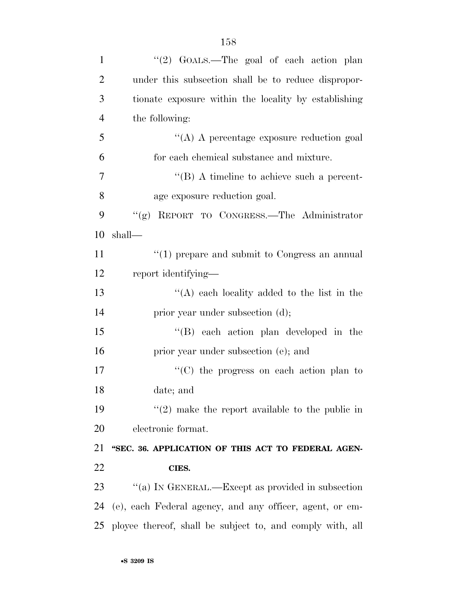| $\mathbf{1}$   | "(2) GOALS.—The goal of each action plan                  |
|----------------|-----------------------------------------------------------|
| $\overline{2}$ | under this subsection shall be to reduce dispropor-       |
| 3              | tionate exposure within the locality by establishing      |
| $\overline{4}$ | the following:                                            |
| 5              | "(A) A percentage exposure reduction goal                 |
| 6              | for each chemical substance and mixture.                  |
| $\overline{7}$ | $\lq\lq (B)$ A timeline to achieve such a percent-        |
| 8              | age exposure reduction goal.                              |
| 9              | "(g) REPORT TO CONGRESS.—The Administrator                |
| 10             | shall—                                                    |
| 11             | $"(1)$ prepare and submit to Congress an annual           |
| 12             | report identifying—                                       |
| 13             | "(A) each locality added to the list in the               |
| 14             | prior year under subsection (d);                          |
| 15             | $\lq\lq$ each action plan developed in the                |
| 16             | prior year under subsection (e); and                      |
| 17             | "(C) the progress on each action plan to                  |
| 18             | date; and                                                 |
| 19             | $\lq(2)$ make the report available to the public in       |
| 20             | electronic format.                                        |
| 21             | "SEC. 36. APPLICATION OF THIS ACT TO FEDERAL AGEN-        |
| 22             | CIES.                                                     |
| 23             | "(a) IN GENERAL.—Except as provided in subsection         |
| 24             | (e), each Federal agency, and any officer, agent, or em-  |
| 25             | ployee thereof, shall be subject to, and comply with, all |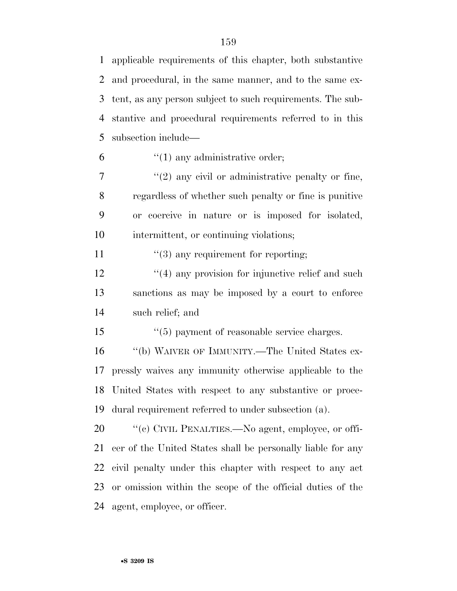applicable requirements of this chapter, both substantive and procedural, in the same manner, and to the same ex- tent, as any person subject to such requirements. The sub- stantive and procedural requirements referred to in this subsection include—

 $\mathfrak{g}$   $\mathfrak{t}$  (1) any administrative order;

 $\frac{1}{2}$  ''(2) any civil or administrative penalty or fine, regardless of whether such penalty or fine is punitive or coercive in nature or is imposed for isolated, intermittent, or continuing violations;

11  $\frac{1}{3}$  any requirement for reporting;

 $\frac{12}{2}$  ''(4) any provision for injunctive relief and such sanctions as may be imposed by a court to enforce such relief; and

15 ''(5) payment of reasonable service charges.

 ''(b) WAIVER OF IMMUNITY.—The United States ex- pressly waives any immunity otherwise applicable to the United States with respect to any substantive or proce-dural requirement referred to under subsection (a).

 $\degree$  (c) CIVIL PENALTIES.—No agent, employee, or offi- cer of the United States shall be personally liable for any civil penalty under this chapter with respect to any act or omission within the scope of the official duties of the agent, employee, or officer.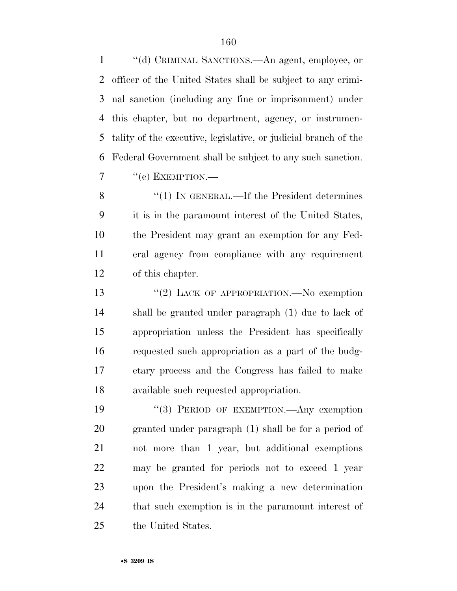''(d) CRIMINAL SANCTIONS.—An agent, employee, or officer of the United States shall be subject to any crimi- nal sanction (including any fine or imprisonment) under this chapter, but no department, agency, or instrumen- tality of the executive, legislative, or judicial branch of the Federal Government shall be subject to any such sanction.  $7 \t``(e)$  EXEMPTION.—

8 "(1) IN GENERAL.—If the President determines it is in the paramount interest of the United States, the President may grant an exemption for any Fed- eral agency from compliance with any requirement of this chapter.

13 "(2) LACK OF APPROPRIATION.—No exemption shall be granted under paragraph (1) due to lack of appropriation unless the President has specifically requested such appropriation as a part of the budg- etary process and the Congress has failed to make available such requested appropriation.

19 "(3) PERIOD OF EXEMPTION.—Any exemption granted under paragraph (1) shall be for a period of not more than 1 year, but additional exemptions may be granted for periods not to exceed 1 year upon the President's making a new determination that such exemption is in the paramount interest of the United States.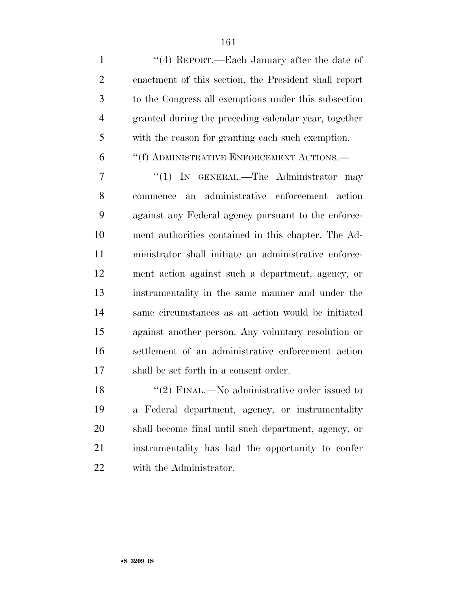1 ''(4) REPORT.—Each January after the date of enactment of this section, the President shall report to the Congress all exemptions under this subsection granted during the preceding calendar year, together with the reason for granting each such exemption.

### ''(f) ADMINISTRATIVE ENFORCEMENT ACTIONS.—

7 "(1) IN GENERAL.—The Administrator may commence an administrative enforcement action against any Federal agency pursuant to the enforce- ment authorities contained in this chapter. The Ad- ministrator shall initiate an administrative enforce- ment action against such a department, agency, or instrumentality in the same manner and under the same circumstances as an action would be initiated against another person. Any voluntary resolution or settlement of an administrative enforcement action shall be set forth in a consent order.

18 ''(2) FINAL.—No administrative order issued to a Federal department, agency, or instrumentality shall become final until such department, agency, or instrumentality has had the opportunity to confer with the Administrator.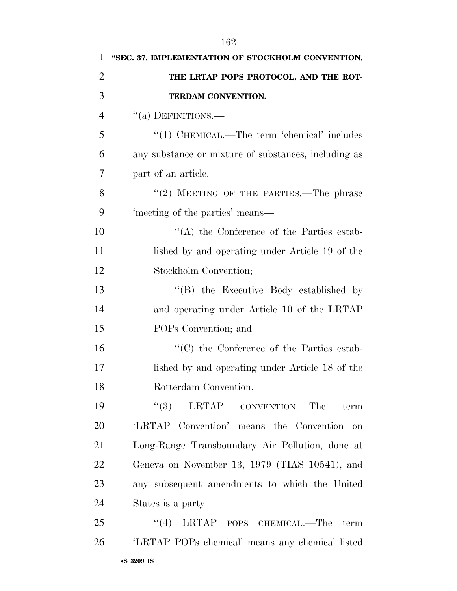| 1              | "SEC. 37. IMPLEMENTATION OF STOCKHOLM CONVENTION,    |
|----------------|------------------------------------------------------|
| $\overline{2}$ | THE LRTAP POPS PROTOCOL, AND THE ROT-                |
| 3              | TERDAM CONVENTION.                                   |
| $\overline{4}$ | $\cdot$ (a) DEFINITIONS.—                            |
| 5              | $\lq(1)$ CHEMICAL.—The term 'chemical' includes      |
| 6              | any substance or mixture of substances, including as |
| 7              | part of an article.                                  |
| 8              | $``(2)$ MEETING OF THE PARTIES.—The phrase           |
| 9              | 'meeting of the parties' means—                      |
| 10             | $\lq\lq$ the Conference of the Parties estab-        |
| 11             | lished by and operating under Article 19 of the      |
| 12             | Stockholm Convention;                                |
| 13             | "(B) the Executive Body established by               |
| 14             | and operating under Article 10 of the LRTAP          |
| 15             | POPs Convention; and                                 |
| 16             | $\cdot$ (C) the Conference of the Parties estab-     |
| 17             | lished by and operating under Article 18 of the      |
| 18             | Rotterdam Convention.                                |
| 19             | (3)<br>LRTAP CONVENTION.—The<br>term                 |
| 20             | 'LRTAP Convention' means the Convention<br>on        |
| 21             | Long-Range Transboundary Air Pollution, done at      |
| 22             | Geneva on November 13, 1979 (TIAS 10541), and        |
| 23             | any subsequent amendments to which the United        |
| 24             | States is a party.                                   |
| 25             | $\cdot$ (4) LRTAP POPS CHEMICAL.—The<br>term         |
| 26             | 'LRTAP POPs chemical' means any chemical listed      |
|                |                                                      |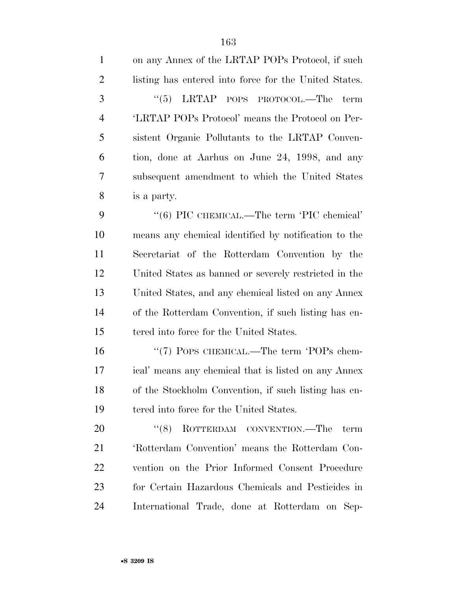| $\mathbf{1}$   | on any Annex of the LRTAP POPs Protocol, if such      |
|----------------|-------------------------------------------------------|
| $\overline{2}$ | listing has entered into force for the United States. |
| 3              | $\cdot\cdot$ (5) LRTAP POPS PROTOCOL.—The<br>term     |
| $\overline{4}$ | 'LRTAP POPs Protocol' means the Protocol on Per-      |
| 5              | sistent Organic Pollutants to the LRTAP Conven-       |
| 6              | tion, done at Aarhus on June 24, 1998, and any        |
| 7              | subsequent amendment to which the United States       |
| 8              | is a party.                                           |
| 9              | "(6) PIC CHEMICAL.—The term 'PIC chemical'            |
| 10             | means any chemical identified by notification to the  |
| 11             | Secretariat of the Rotterdam Convention by the        |
| 12             | United States as banned or severely restricted in the |
| 13             | United States, and any chemical listed on any Annex   |
| 14             | of the Rotterdam Convention, if such listing has en-  |
| 15             | tered into force for the United States.               |
| 16             | "(7) POPS CHEMICAL.—The term 'POPs chem-              |
| 17             | ical' means any chemical that is listed on any Annex  |
| 18             | of the Stockholm Convention, if such listing has en-  |
| 19             | tered into force for the United States.               |
| 20             | (8)<br>ROTTERDAM CONVENTION.—The<br>term              |
| 21             | 'Rotterdam Convention' means the Rotterdam Con-       |
| 22             | vention on the Prior Informed Consent Procedure       |
| 23             | for Certain Hazardous Chemicals and Pesticides in     |
| 24             | International Trade, done at Rotterdam on Sep-        |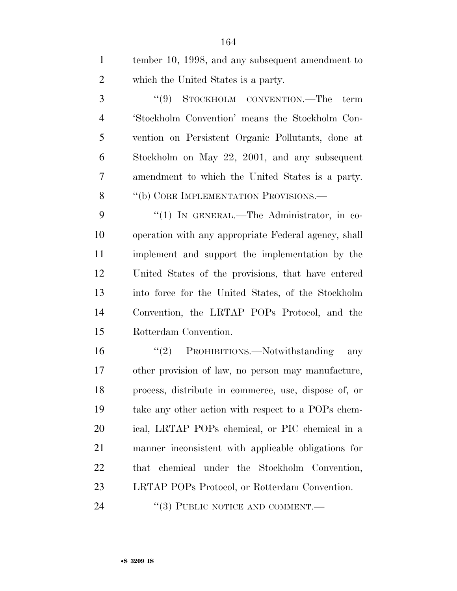tember 10, 1998, and any subsequent amendment to which the United States is a party.

3 "(9) STOCKHOLM CONVENTION.—The term 'Stockholm Convention' means the Stockholm Con- vention on Persistent Organic Pollutants, done at Stockholm on May 22, 2001, and any subsequent amendment to which the United States is a party. 8 "(b) CORE IMPLEMENTATION PROVISIONS.—

9 "(1) IN GENERAL.—The Administrator, in co- operation with any appropriate Federal agency, shall implement and support the implementation by the United States of the provisions, that have entered into force for the United States, of the Stockholm Convention, the LRTAP POPs Protocol, and the Rotterdam Convention.

16 "(2) PROHIBITIONS.—Notwithstanding any other provision of law, no person may manufacture, process, distribute in commerce, use, dispose of, or take any other action with respect to a POPs chem- ical, LRTAP POPs chemical, or PIC chemical in a manner inconsistent with applicable obligations for that chemical under the Stockholm Convention, LRTAP POPs Protocol, or Rotterdam Convention.

24 "(3) PUBLIC NOTICE AND COMMENT.—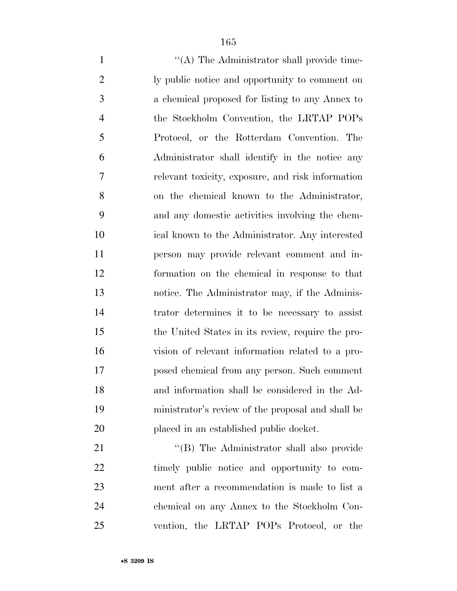1 ''(A) The Administrator shall provide time- ly public notice and opportunity to comment on a chemical proposed for listing to any Annex to the Stockholm Convention, the LRTAP POPs Protocol, or the Rotterdam Convention. The Administrator shall identify in the notice any relevant toxicity, exposure, and risk information on the chemical known to the Administrator, and any domestic activities involving the chem- ical known to the Administrator. Any interested person may provide relevant comment and in- formation on the chemical in response to that notice. The Administrator may, if the Adminis- trator determines it to be necessary to assist the United States in its review, require the pro- vision of relevant information related to a pro- posed chemical from any person. Such comment and information shall be considered in the Ad- ministrator's review of the proposal and shall be placed in an established public docket. 21 "'(B) The Administrator shall also provide

 timely public notice and opportunity to com- ment after a recommendation is made to list a chemical on any Annex to the Stockholm Con-vention, the LRTAP POPs Protocol, or the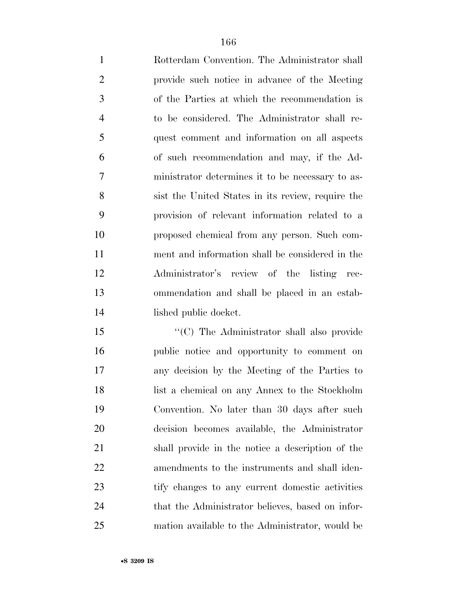Rotterdam Convention. The Administrator shall provide such notice in advance of the Meeting of the Parties at which the recommendation is to be considered. The Administrator shall re- quest comment and information on all aspects of such recommendation and may, if the Ad- ministrator determines it to be necessary to as- sist the United States in its review, require the provision of relevant information related to a proposed chemical from any person. Such com- ment and information shall be considered in the Administrator's review of the listing rec- ommendation and shall be placed in an estab-lished public docket.

15 "'(C) The Administrator shall also provide public notice and opportunity to comment on any decision by the Meeting of the Parties to list a chemical on any Annex to the Stockholm Convention. No later than 30 days after such decision becomes available, the Administrator shall provide in the notice a description of the amendments to the instruments and shall iden- tify changes to any current domestic activities 24 that the Administrator believes, based on infor-mation available to the Administrator, would be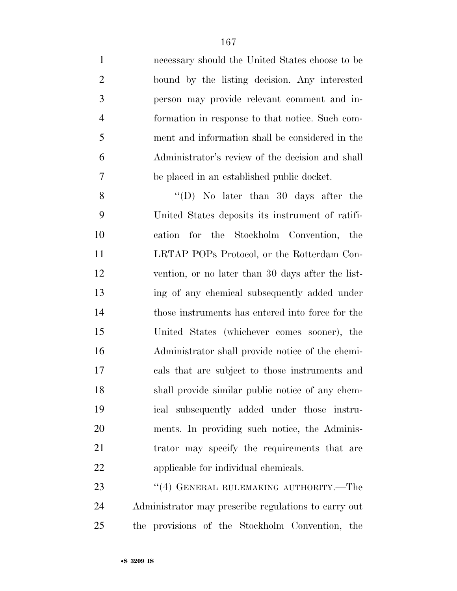necessary should the United States choose to be bound by the listing decision. Any interested person may provide relevant comment and in- formation in response to that notice. Such com- ment and information shall be considered in the Administrator's review of the decision and shall be placed in an established public docket.

 ''(D) No later than 30 days after the United States deposits its instrument of ratifi- cation for the Stockholm Convention, the LRTAP POPs Protocol, or the Rotterdam Con- vention, or no later than 30 days after the list- ing of any chemical subsequently added under those instruments has entered into force for the United States (whichever comes sooner), the Administrator shall provide notice of the chemi- cals that are subject to those instruments and shall provide similar public notice of any chem- ical subsequently added under those instru- ments. In providing such notice, the Adminis-21 trator may specify the requirements that are applicable for individual chemicals.

23 "(4) GENERAL RULEMAKING AUTHORITY.—The Administrator may prescribe regulations to carry out the provisions of the Stockholm Convention, the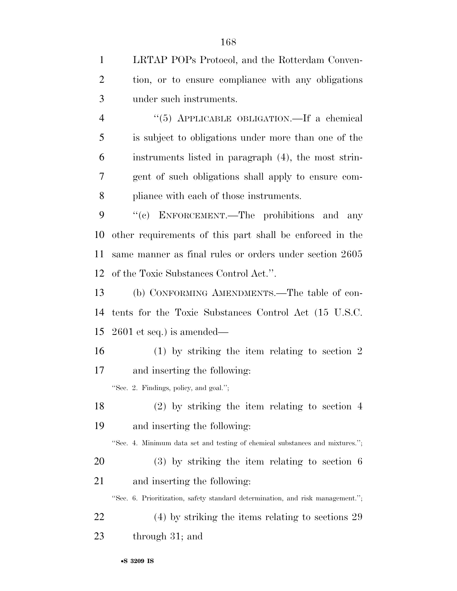LRTAP POPs Protocol, and the Rotterdam Conven- tion, or to ensure compliance with any obligations under such instruments.

 ''(5) APPLICABLE OBLIGATION.—If a chemical is subject to obligations under more than one of the instruments listed in paragraph (4), the most strin- gent of such obligations shall apply to ensure com-pliance with each of those instruments.

 ''(c) ENFORCEMENT.—The prohibitions and any other requirements of this part shall be enforced in the same manner as final rules or orders under section 2605 of the Toxic Substances Control Act.''.

 (b) CONFORMING AMENDMENTS.—The table of con- tents for the Toxic Substances Control Act (15 U.S.C. 2601 et seq.) is amended—

 (1) by striking the item relating to section 2 and inserting the following:

''Sec. 2. Findings, policy, and goal.'';

 (2) by striking the item relating to section 4 and inserting the following:

''Sec. 4. Minimum data set and testing of chemical substances and mixtures.'';

 (3) by striking the item relating to section 6 and inserting the following:

''Sec. 6. Prioritization, safety standard determination, and risk management.'';

 (4) by striking the items relating to sections 29 through 31; and